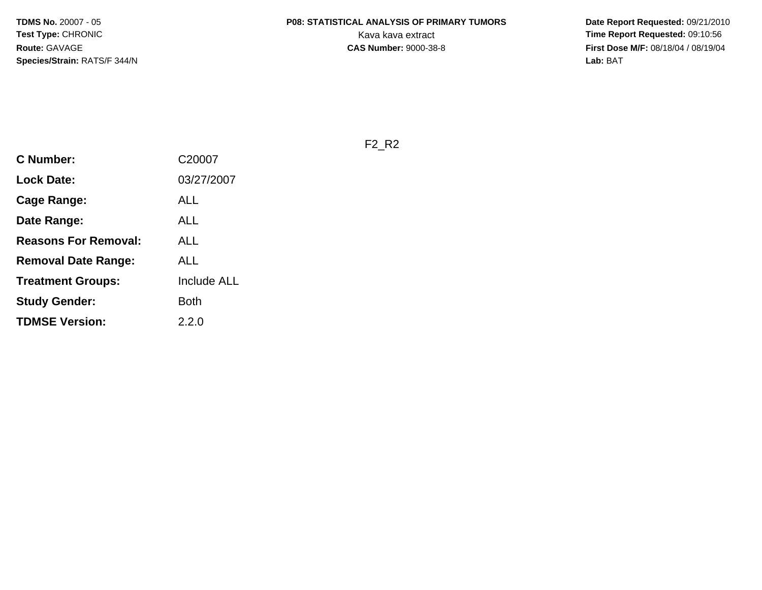**Date Report Requested:** 09/21/2010 **First Dose M/F:** 08/18/04 / 08/19/04 Lab: BAT **Lab:** BAT

F2\_R2

| <b>C Number:</b>            | C20007             |
|-----------------------------|--------------------|
| <b>Lock Date:</b>           | 03/27/2007         |
| Cage Range:                 | ALL                |
| Date Range:                 | ALL                |
| <b>Reasons For Removal:</b> | ALL                |
| Removal Date Range:         | ALL                |
| <b>Treatment Groups:</b>    | <b>Include ALL</b> |
| <b>Study Gender:</b>        | <b>Both</b>        |
| <b>TDMSE Version:</b>       | 2.2.0              |
|                             |                    |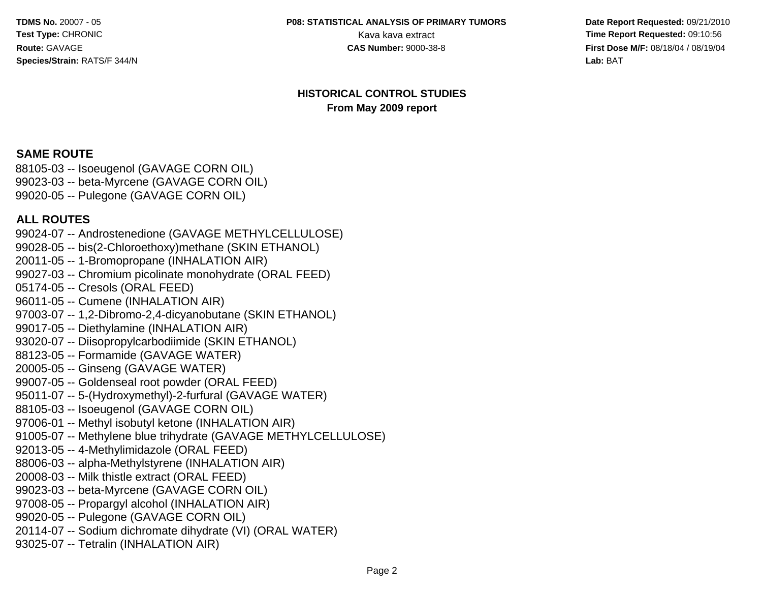#### **P08: STATISTICAL ANALYSIS OF PRIMARY TUMORS**

 **Date Report Requested:** 09/21/2010 Kava kava extract **Time Report Requested: 09:10:56**<br>**CAS Number: 9000-38-8 Time Report Requested: 09:10:56 CAS Number: 9000-38-8 First Dose M/F:** 08/18/04 / 08/19/04 Lab: BAT **Lab:** BAT

#### **HISTORICAL CONTROL STUDIESFrom May 2009 report**

#### **SAME ROUTE**

 88105-03 -- Isoeugenol (GAVAGE CORN OIL) 99023-03 -- beta-Myrcene (GAVAGE CORN OIL)99020-05 -- Pulegone (GAVAGE CORN OIL)

#### **ALL ROUTES**

 99024-07 -- Androstenedione (GAVAGE METHYLCELLULOSE)99028-05 -- bis(2-Chloroethoxy)methane (SKIN ETHANOL)20011-05 -- 1-Bromopropane (INHALATION AIR) 99027-03 -- Chromium picolinate monohydrate (ORAL FEED)05174-05 -- Cresols (ORAL FEED) 96011-05 -- Cumene (INHALATION AIR) 97003-07 -- 1,2-Dibromo-2,4-dicyanobutane (SKIN ETHANOL)99017-05 -- Diethylamine (INHALATION AIR) 93020-07 -- Diisopropylcarbodiimide (SKIN ETHANOL)88123-05 -- Formamide (GAVAGE WATER)20005-05 -- Ginseng (GAVAGE WATER) 99007-05 -- Goldenseal root powder (ORAL FEED) 95011-07 -- 5-(Hydroxymethyl)-2-furfural (GAVAGE WATER)88105-03 -- Isoeugenol (GAVAGE CORN OIL) 97006-01 -- Methyl isobutyl ketone (INHALATION AIR) 91005-07 -- Methylene blue trihydrate (GAVAGE METHYLCELLULOSE)92013-05 -- 4-Methylimidazole (ORAL FEED) 88006-03 -- alpha-Methylstyrene (INHALATION AIR)20008-03 -- Milk thistle extract (ORAL FEED) 99023-03 -- beta-Myrcene (GAVAGE CORN OIL) 97008-05 -- Propargyl alcohol (INHALATION AIR)99020-05 -- Pulegone (GAVAGE CORN OIL) 20114-07 -- Sodium dichromate dihydrate (VI) (ORAL WATER)93025-07 -- Tetralin (INHALATION AIR)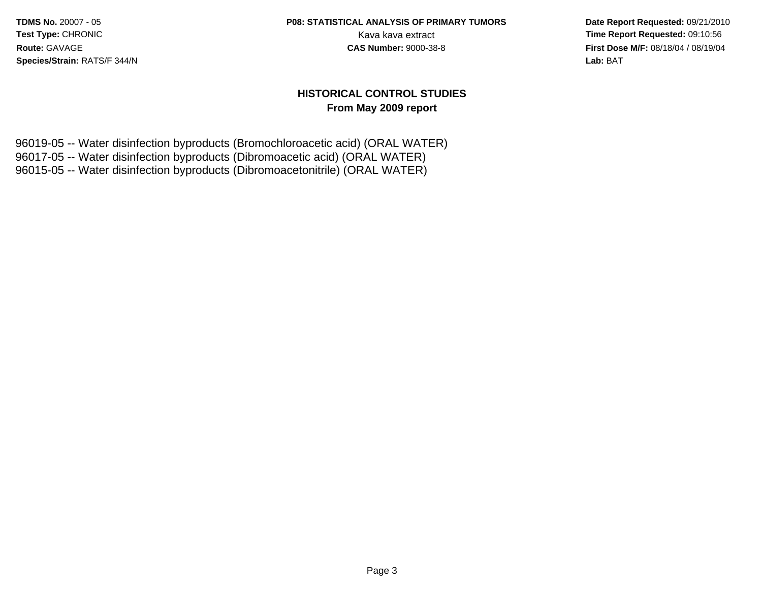# **P08: STATISTICAL ANALYSIS OF PRIMARY TUMORS**

 **Date Report Requested:** 09/21/2010 Kava kava extract **Time Report Requested: 09:10:56**<br>**CAS Number: 9000-38-8 Time Report Requested: 09:10:56 First Dose M/F:** 08/18/04 / 08/19/04 Lab: BAT **Lab:** BAT

#### **HISTORICAL CONTROL STUDIESFrom May 2009 report**

96019-05 -- Water disinfection byproducts (Bromochloroacetic acid) (ORAL WATER)96017-05 -- Water disinfection byproducts (Dibromoacetic acid) (ORAL WATER)96015-05 -- Water disinfection byproducts (Dibromoacetonitrile) (ORAL WATER)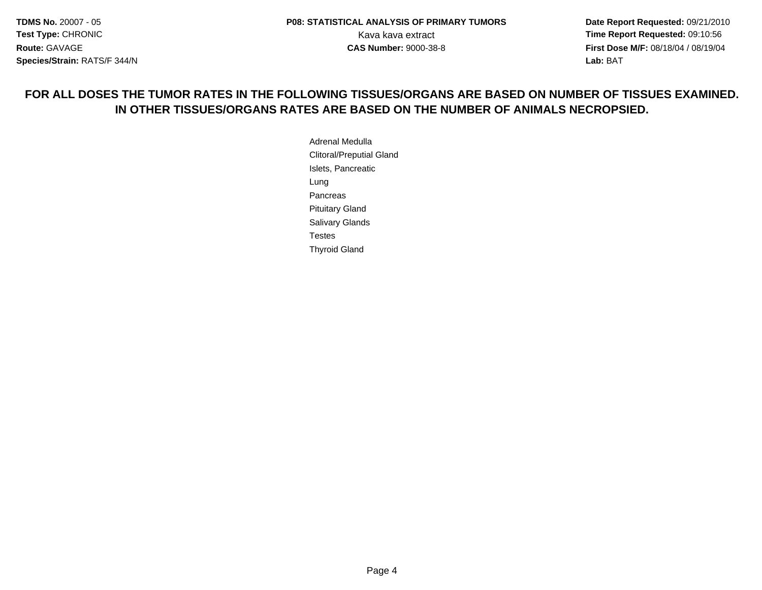**Date Report Requested:** 09/21/2010 **First Dose M/F:** 08/18/04 / 08/19/04 Lab: BAT **Lab:** BAT

#### **FOR ALL DOSES THE TUMOR RATES IN THE FOLLOWING TISSUES/ORGANS ARE BASED ON NUMBER OF TISSUES EXAMINED.IN OTHER TISSUES/ORGANS RATES ARE BASED ON THE NUMBER OF ANIMALS NECROPSIED.**

Adrenal Medulla Clitoral/Preputial GlandIslets, PancreaticLungPancreas Pituitary Gland Salivary GlandsTestesThyroid Gland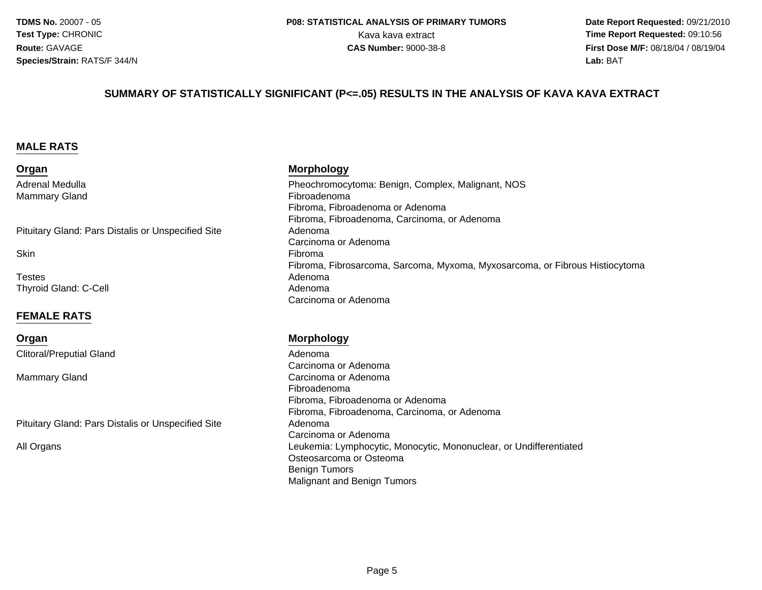**Date Report Requested:** 09/21/2010 Kava kava extract **Time Report Requested: 09:10:56**<br>**CAS Number: 9000-38-8 Time Report Requested: 09:10:56 First Dose M/F:** 08/18/04 / 08/19/04 Lab: BAT **Lab:** BAT

#### **SUMMARY OF STATISTICALLY SIGNIFICANT (P<=.05) RESULTS IN THE ANALYSIS OF KAVA KAVA EXTRACT**

#### **MALE RATS**

**Organ**

Adrenal MedullaMammary Gland

Pituitary Gland: Pars Distalis or Unspecified Site

**Skin** 

Testess Adenoma Thyroid Gland: C-Cell

#### **FEMALE RATS**

**Organ**

Clitoral/Preputial Gland

Mammary Gland

Pituitary Gland: Pars Distalis or Unspecified Site

All Organs

#### **Morphology**

 Pheochromocytoma: Benign, Complex, Malignant, NOS Fibroadenoma Fibroma, Fibroadenoma or Adenoma Fibroma, Fibroadenoma, Carcinoma, or Adenoma Adenoma Carcinoma or Adenoman and the contract of the contract of the contract of the contract of the contract of the contract of the contract of the contract of the contract of the contract of the contract of the contract of the contract of the cont Fibroma, Fibrosarcoma, Sarcoma, Myxoma, Myxosarcoma, or Fibrous Histiocytomal and a strong of the control of the Adenoma Carcinoma or Adenoma

#### **Morphology**

 Adenoma Carcinoma or Adenomad Carcinoma or Adenoma<br>———————————————————— Fibroadenoma Fibroma, Fibroadenoma or Adenoma Fibroma, Fibroadenoma, Carcinoma, or Adenoma Adenoma Carcinoma or Adenoma Leukemia: Lymphocytic, Monocytic, Mononuclear, or UndifferentiatedOsteosarcoma or OsteomaBenign TumorsMalignant and Benign Tumors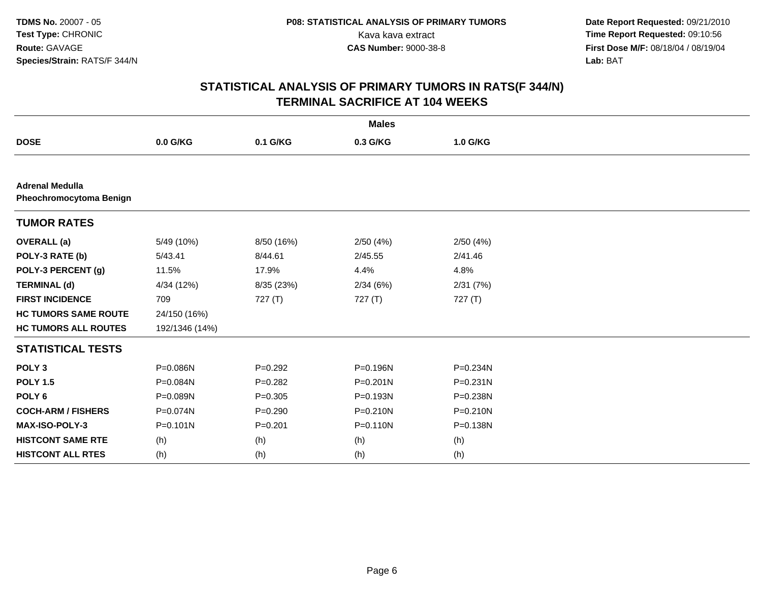|                                                          | <b>Males</b>   |             |              |              |  |  |  |  |
|----------------------------------------------------------|----------------|-------------|--------------|--------------|--|--|--|--|
| <b>DOSE</b>                                              | 0.0 G/KG       | 0.1 G/KG    | 0.3 G/KG     | 1.0 G/KG     |  |  |  |  |
|                                                          |                |             |              |              |  |  |  |  |
| <b>Adrenal Medulla</b><br><b>Pheochromocytoma Benign</b> |                |             |              |              |  |  |  |  |
| <b>TUMOR RATES</b>                                       |                |             |              |              |  |  |  |  |
| <b>OVERALL</b> (a)                                       | 5/49 (10%)     | 8/50 (16%)  | 2/50(4%)     | 2/50(4%)     |  |  |  |  |
| POLY-3 RATE (b)                                          | 5/43.41        | 8/44.61     | 2/45.55      | 2/41.46      |  |  |  |  |
| POLY-3 PERCENT (g)                                       | 11.5%          | 17.9%       | 4.4%         | 4.8%         |  |  |  |  |
| <b>TERMINAL (d)</b>                                      | 4/34 (12%)     | 8/35 (23%)  | 2/34(6%)     | 2/31(7%)     |  |  |  |  |
| <b>FIRST INCIDENCE</b>                                   | 709            | 727(T)      | 727 (T)      | 727(T)       |  |  |  |  |
| <b>HC TUMORS SAME ROUTE</b>                              | 24/150 (16%)   |             |              |              |  |  |  |  |
| <b>HC TUMORS ALL ROUTES</b>                              | 192/1346 (14%) |             |              |              |  |  |  |  |
| <b>STATISTICAL TESTS</b>                                 |                |             |              |              |  |  |  |  |
| POLY <sub>3</sub>                                        | P=0.086N       | $P=0.292$   | P=0.196N     | P=0.234N     |  |  |  |  |
| <b>POLY 1.5</b>                                          | P=0.084N       | $P=0.282$   | $P = 0.201N$ | $P = 0.231N$ |  |  |  |  |
| POLY <sub>6</sub>                                        | P=0.089N       | $P=0.305$   | P=0.193N     | P=0.238N     |  |  |  |  |
| <b>COCH-ARM / FISHERS</b>                                | P=0.074N       | $P = 0.290$ | P=0.210N     | P=0.210N     |  |  |  |  |
| <b>MAX-ISO-POLY-3</b>                                    | $P = 0.101N$   | $P = 0.201$ | P=0.110N     | P=0.138N     |  |  |  |  |
| <b>HISTCONT SAME RTE</b>                                 | (h)            | (h)         | (h)          | (h)          |  |  |  |  |
| <b>HISTCONT ALL RTES</b>                                 | (h)            | (h)         | (h)          | (h)          |  |  |  |  |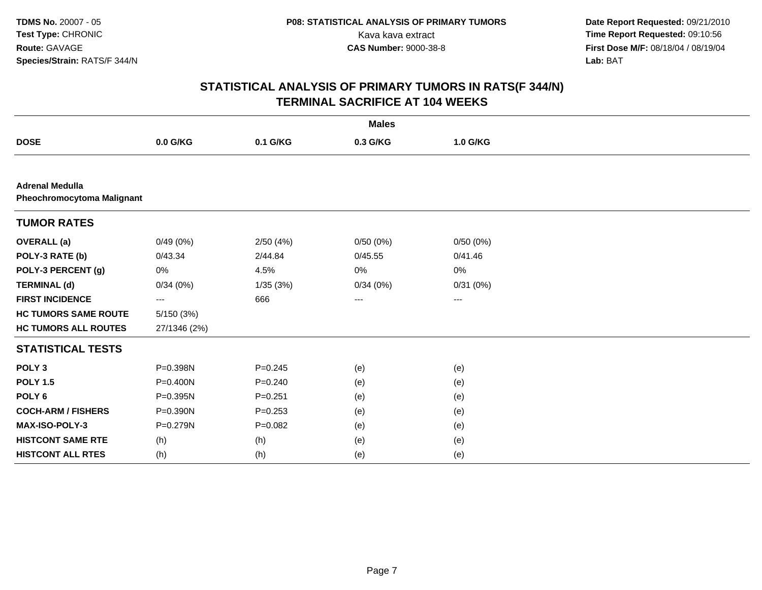| <b>Males</b>                                                |              |             |                   |          |  |  |
|-------------------------------------------------------------|--------------|-------------|-------------------|----------|--|--|
| <b>DOSE</b>                                                 | 0.0 G/KG     | 0.1 G/KG    | 0.3 G/KG          | 1.0 G/KG |  |  |
|                                                             |              |             |                   |          |  |  |
| <b>Adrenal Medulla</b><br><b>Pheochromocytoma Malignant</b> |              |             |                   |          |  |  |
| <b>TUMOR RATES</b>                                          |              |             |                   |          |  |  |
| <b>OVERALL</b> (a)                                          | 0/49(0%)     | 2/50(4%)    | 0/50(0%)          | 0/50(0%) |  |  |
| POLY-3 RATE (b)                                             | 0/43.34      | 2/44.84     | 0/45.55           | 0/41.46  |  |  |
| POLY-3 PERCENT (g)                                          | 0%           | 4.5%        | 0%                | 0%       |  |  |
| <b>TERMINAL (d)</b>                                         | 0/34(0%)     | 1/35(3%)    | 0/34(0%)          | 0/31(0%) |  |  |
| <b>FIRST INCIDENCE</b>                                      | ---          | 666         | $\qquad \qquad -$ | ---      |  |  |
| <b>HC TUMORS SAME ROUTE</b>                                 | 5/150(3%)    |             |                   |          |  |  |
| <b>HC TUMORS ALL ROUTES</b>                                 | 27/1346 (2%) |             |                   |          |  |  |
| <b>STATISTICAL TESTS</b>                                    |              |             |                   |          |  |  |
| POLY <sub>3</sub>                                           | P=0.398N     | $P = 0.245$ | (e)               | (e)      |  |  |
| <b>POLY 1.5</b>                                             | P=0.400N     | $P=0.240$   | (e)               | (e)      |  |  |
| POLY <sub>6</sub>                                           | P=0.395N     | $P = 0.251$ | (e)               | (e)      |  |  |
| <b>COCH-ARM / FISHERS</b>                                   | P=0.390N     | $P = 0.253$ | (e)               | (e)      |  |  |
| <b>MAX-ISO-POLY-3</b>                                       | P=0.279N     | $P=0.082$   | (e)               | (e)      |  |  |
| <b>HISTCONT SAME RTE</b>                                    | (h)          | (h)         | (e)               | (e)      |  |  |
| <b>HISTCONT ALL RTES</b>                                    | (h)          | (h)         | (e)               | (e)      |  |  |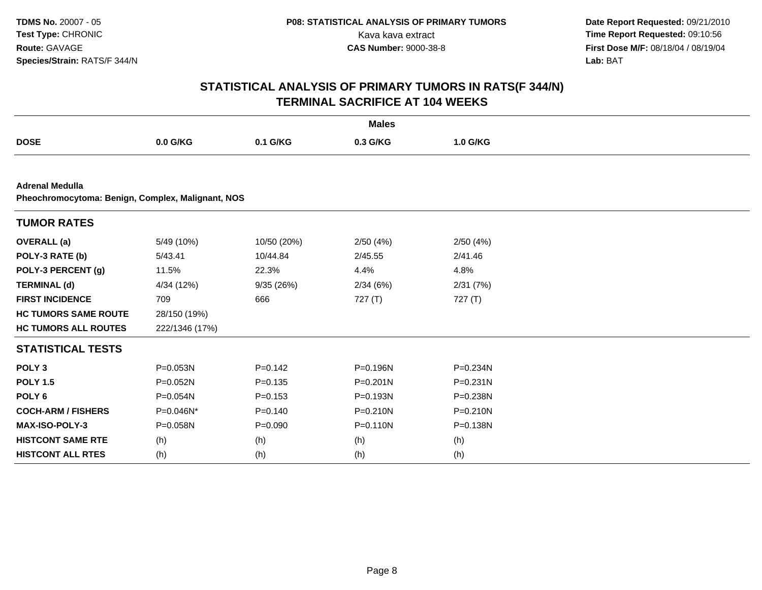| <b>Males</b>                |                                                   |             |              |              |  |  |  |  |  |
|-----------------------------|---------------------------------------------------|-------------|--------------|--------------|--|--|--|--|--|
| <b>DOSE</b>                 | 0.0 G/KG                                          | 0.1 G/KG    | 0.3 G/KG     | 1.0 G/KG     |  |  |  |  |  |
|                             |                                                   |             |              |              |  |  |  |  |  |
| <b>Adrenal Medulla</b>      | Pheochromocytoma: Benign, Complex, Malignant, NOS |             |              |              |  |  |  |  |  |
| <b>TUMOR RATES</b>          |                                                   |             |              |              |  |  |  |  |  |
| <b>OVERALL</b> (a)          | 5/49 (10%)                                        | 10/50 (20%) | 2/50(4%)     | 2/50(4%)     |  |  |  |  |  |
| POLY-3 RATE (b)             | 5/43.41                                           | 10/44.84    | 2/45.55      | 2/41.46      |  |  |  |  |  |
| POLY-3 PERCENT (g)          | 11.5%                                             | 22.3%       | 4.4%         | 4.8%         |  |  |  |  |  |
| <b>TERMINAL (d)</b>         | 4/34 (12%)                                        | 9/35(26%)   | 2/34(6%)     | 2/31(7%)     |  |  |  |  |  |
| <b>FIRST INCIDENCE</b>      | 709                                               | 666         | 727(T)       | 727 (T)      |  |  |  |  |  |
| <b>HC TUMORS SAME ROUTE</b> | 28/150 (19%)                                      |             |              |              |  |  |  |  |  |
| <b>HC TUMORS ALL ROUTES</b> | 222/1346 (17%)                                    |             |              |              |  |  |  |  |  |
| <b>STATISTICAL TESTS</b>    |                                                   |             |              |              |  |  |  |  |  |
| POLY <sub>3</sub>           | P=0.053N                                          | $P=0.142$   | P=0.196N     | P=0.234N     |  |  |  |  |  |
| <b>POLY 1.5</b>             | P=0.052N                                          | $P = 0.135$ | $P = 0.201N$ | P=0.231N     |  |  |  |  |  |
| POLY <sub>6</sub>           | P=0.054N                                          | $P = 0.153$ | P=0.193N     | P=0.238N     |  |  |  |  |  |
| <b>COCH-ARM / FISHERS</b>   | P=0.046N*                                         | $P = 0.140$ | P=0.210N     | $P = 0.210N$ |  |  |  |  |  |
| MAX-ISO-POLY-3              | P=0.058N                                          | $P = 0.090$ | $P = 0.110N$ | P=0.138N     |  |  |  |  |  |
| <b>HISTCONT SAME RTE</b>    | (h)                                               | (h)         | (h)          | (h)          |  |  |  |  |  |
| <b>HISTCONT ALL RTES</b>    | (h)                                               | (h)         | (h)          | (h)          |  |  |  |  |  |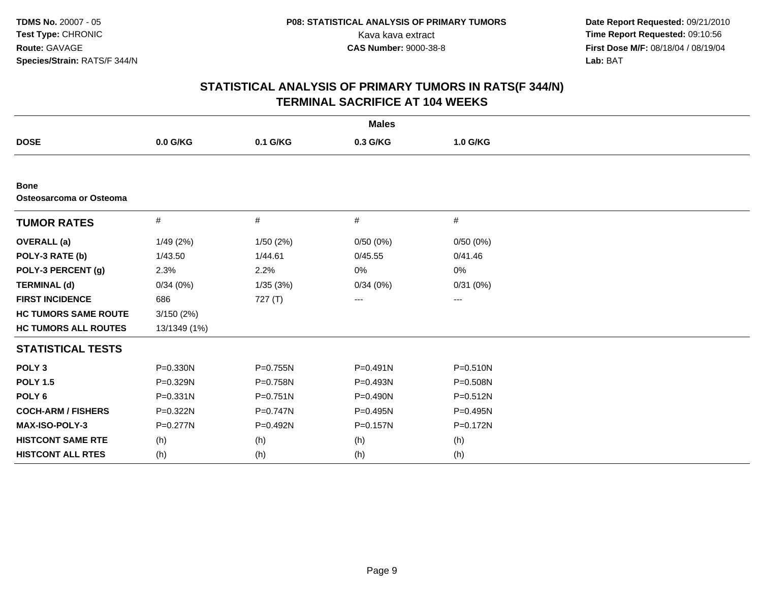| <b>Males</b>                           |              |              |              |              |  |  |  |
|----------------------------------------|--------------|--------------|--------------|--------------|--|--|--|
| <b>DOSE</b>                            | 0.0 G/KG     | 0.1 G/KG     | 0.3 G/KG     | 1.0 G/KG     |  |  |  |
|                                        |              |              |              |              |  |  |  |
| <b>Bone</b><br>Osteosarcoma or Osteoma |              |              |              |              |  |  |  |
| <b>TUMOR RATES</b>                     | $\#$         | #            | #            | #            |  |  |  |
| <b>OVERALL</b> (a)                     | 1/49(2%)     | 1/50(2%)     | 0/50(0%)     | 0/50(0%)     |  |  |  |
| POLY-3 RATE (b)                        | 1/43.50      | 1/44.61      | 0/45.55      | 0/41.46      |  |  |  |
| POLY-3 PERCENT (g)                     | 2.3%         | 2.2%         | 0%           | 0%           |  |  |  |
| <b>TERMINAL (d)</b>                    | 0/34(0%)     | 1/35(3%)     | 0/34(0%)     | 0/31(0%)     |  |  |  |
| <b>FIRST INCIDENCE</b>                 | 686          | 727 (T)      | ---          | ---          |  |  |  |
| <b>HC TUMORS SAME ROUTE</b>            | 3/150(2%)    |              |              |              |  |  |  |
| <b>HC TUMORS ALL ROUTES</b>            | 13/1349 (1%) |              |              |              |  |  |  |
| <b>STATISTICAL TESTS</b>               |              |              |              |              |  |  |  |
| POLY <sub>3</sub>                      | P=0.330N     | P=0.755N     | $P = 0.491N$ | $P = 0.510N$ |  |  |  |
| <b>POLY 1.5</b>                        | P=0.329N     | P=0.758N     | P=0.493N     | P=0.508N     |  |  |  |
| POLY <sub>6</sub>                      | P=0.331N     | $P = 0.751N$ | P=0.490N     | $P = 0.512N$ |  |  |  |
| <b>COCH-ARM / FISHERS</b>              | P=0.322N     | $P = 0.747N$ | $P=0.495N$   | $P=0.495N$   |  |  |  |
| MAX-ISO-POLY-3                         | P=0.277N     | P=0.492N     | P=0.157N     | P=0.172N     |  |  |  |
| <b>HISTCONT SAME RTE</b>               | (h)          | (h)          | (h)          | (h)          |  |  |  |
| <b>HISTCONT ALL RTES</b>               | (h)          | (h)          | (h)          | (h)          |  |  |  |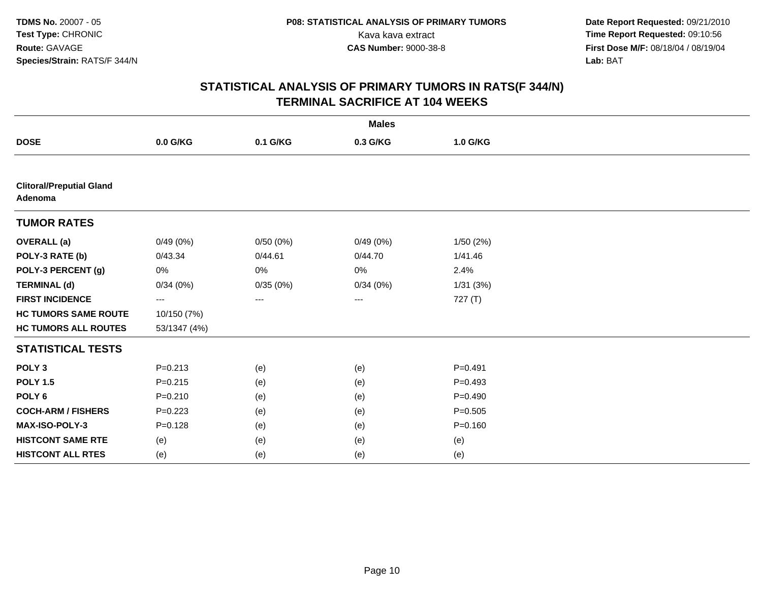|                                            | <b>Males</b> |          |          |             |  |  |  |  |
|--------------------------------------------|--------------|----------|----------|-------------|--|--|--|--|
| <b>DOSE</b>                                | 0.0 G/KG     | 0.1 G/KG | 0.3 G/KG | 1.0 G/KG    |  |  |  |  |
|                                            |              |          |          |             |  |  |  |  |
| <b>Clitoral/Preputial Gland</b><br>Adenoma |              |          |          |             |  |  |  |  |
| <b>TUMOR RATES</b>                         |              |          |          |             |  |  |  |  |
| <b>OVERALL</b> (a)                         | 0/49(0%)     | 0/50(0%) | 0/49(0%) | 1/50(2%)    |  |  |  |  |
| POLY-3 RATE (b)                            | 0/43.34      | 0/44.61  | 0/44.70  | 1/41.46     |  |  |  |  |
| POLY-3 PERCENT (g)                         | 0%           | 0%       | 0%       | 2.4%        |  |  |  |  |
| <b>TERMINAL (d)</b>                        | 0/34(0%)     | 0/35(0%) | 0/34(0%) | 1/31(3%)    |  |  |  |  |
| <b>FIRST INCIDENCE</b>                     | ---          | ---      | $\cdots$ | 727 (T)     |  |  |  |  |
| <b>HC TUMORS SAME ROUTE</b>                | 10/150 (7%)  |          |          |             |  |  |  |  |
| <b>HC TUMORS ALL ROUTES</b>                | 53/1347 (4%) |          |          |             |  |  |  |  |
| <b>STATISTICAL TESTS</b>                   |              |          |          |             |  |  |  |  |
| POLY <sub>3</sub>                          | $P = 0.213$  | (e)      | (e)      | $P = 0.491$ |  |  |  |  |
| <b>POLY 1.5</b>                            | $P = 0.215$  | (e)      | (e)      | $P=0.493$   |  |  |  |  |
| POLY <sub>6</sub>                          | $P = 0.210$  | (e)      | (e)      | $P=0.490$   |  |  |  |  |
| <b>COCH-ARM / FISHERS</b>                  | $P=0.223$    | (e)      | (e)      | $P = 0.505$ |  |  |  |  |
| MAX-ISO-POLY-3                             | $P = 0.128$  | (e)      | (e)      | $P = 0.160$ |  |  |  |  |
| <b>HISTCONT SAME RTE</b>                   | (e)          | (e)      | (e)      | (e)         |  |  |  |  |
| <b>HISTCONT ALL RTES</b>                   | (e)          | (e)      | (e)      | (e)         |  |  |  |  |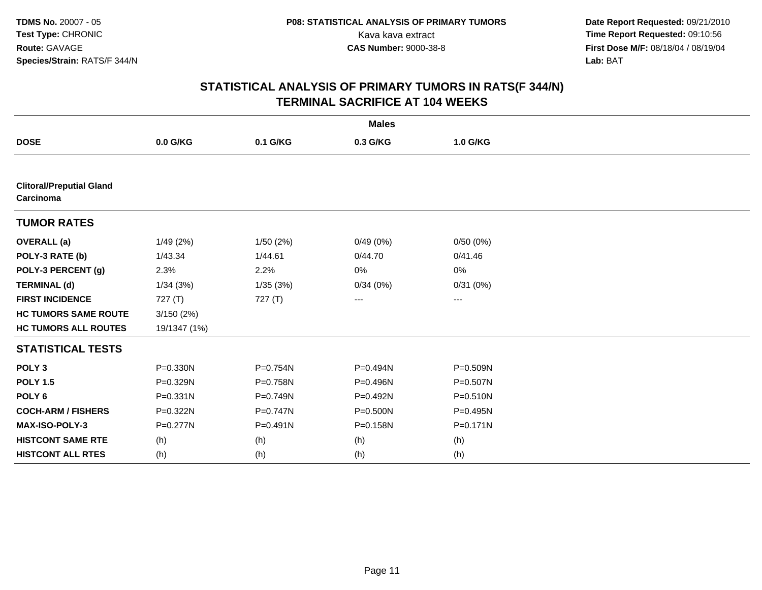| <b>Males</b>                                 |              |              |              |              |  |  |
|----------------------------------------------|--------------|--------------|--------------|--------------|--|--|
| <b>DOSE</b>                                  | 0.0 G/KG     | 0.1 G/KG     | 0.3 G/KG     | 1.0 G/KG     |  |  |
|                                              |              |              |              |              |  |  |
| <b>Clitoral/Preputial Gland</b><br>Carcinoma |              |              |              |              |  |  |
| <b>TUMOR RATES</b>                           |              |              |              |              |  |  |
| <b>OVERALL</b> (a)                           | 1/49(2%)     | 1/50(2%)     | 0/49(0%)     | 0/50(0%)     |  |  |
| POLY-3 RATE (b)                              | 1/43.34      | 1/44.61      | 0/44.70      | 0/41.46      |  |  |
| POLY-3 PERCENT (g)                           | 2.3%         | 2.2%         | 0%           | 0%           |  |  |
| <b>TERMINAL (d)</b>                          | 1/34(3%)     | 1/35(3%)     | 0/34(0%)     | 0/31(0%)     |  |  |
| <b>FIRST INCIDENCE</b>                       | 727 (T)      | 727 (T)      | ---          | ---          |  |  |
| <b>HC TUMORS SAME ROUTE</b>                  | 3/150(2%)    |              |              |              |  |  |
| <b>HC TUMORS ALL ROUTES</b>                  | 19/1347 (1%) |              |              |              |  |  |
| <b>STATISTICAL TESTS</b>                     |              |              |              |              |  |  |
| POLY <sub>3</sub>                            | P=0.330N     | P=0.754N     | P=0.494N     | P=0.509N     |  |  |
| <b>POLY 1.5</b>                              | P=0.329N     | P=0.758N     | P=0.496N     | $P = 0.507N$ |  |  |
| POLY <sub>6</sub>                            | $P = 0.331N$ | P=0.749N     | P=0.492N     | $P = 0.510N$ |  |  |
| <b>COCH-ARM / FISHERS</b>                    | P=0.322N     | $P = 0.747N$ | $P = 0.500N$ | $P = 0.495N$ |  |  |
| MAX-ISO-POLY-3                               | P=0.277N     | $P = 0.491N$ | P=0.158N     | $P = 0.171N$ |  |  |
| <b>HISTCONT SAME RTE</b>                     | (h)          | (h)          | (h)          | (h)          |  |  |
| <b>HISTCONT ALL RTES</b>                     | (h)          | (h)          | (h)          | (h)          |  |  |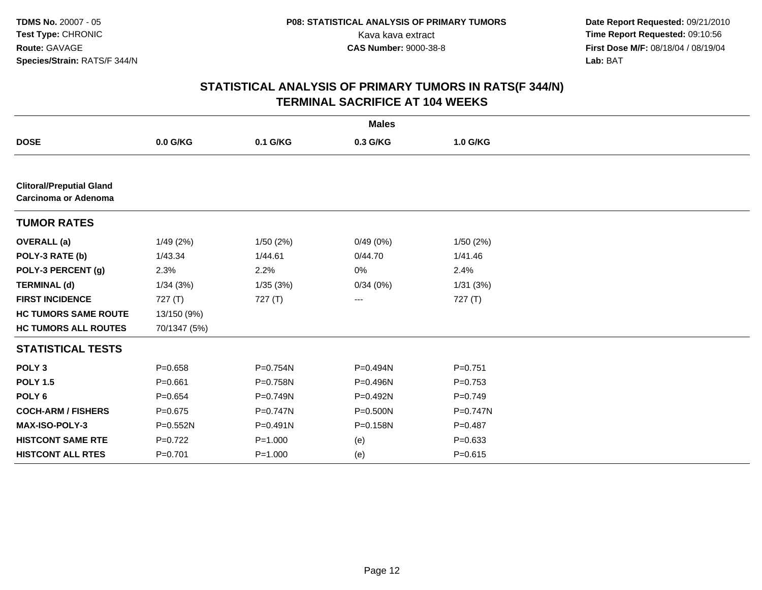| <b>Males</b>                                            |              |              |          |             |  |  |  |
|---------------------------------------------------------|--------------|--------------|----------|-------------|--|--|--|
| <b>DOSE</b>                                             | 0.0 G/KG     | 0.1 G/KG     | 0.3 G/KG | 1.0 G/KG    |  |  |  |
|                                                         |              |              |          |             |  |  |  |
| <b>Clitoral/Preputial Gland</b><br>Carcinoma or Adenoma |              |              |          |             |  |  |  |
| <b>TUMOR RATES</b>                                      |              |              |          |             |  |  |  |
| <b>OVERALL</b> (a)                                      | 1/49(2%)     | 1/50(2%)     | 0/49(0%) | 1/50(2%)    |  |  |  |
| POLY-3 RATE (b)                                         | 1/43.34      | 1/44.61      | 0/44.70  | 1/41.46     |  |  |  |
| POLY-3 PERCENT (g)                                      | 2.3%         | 2.2%         | 0%       | 2.4%        |  |  |  |
| <b>TERMINAL (d)</b>                                     | 1/34(3%)     | 1/35(3%)     | 0/34(0%) | 1/31(3%)    |  |  |  |
| <b>FIRST INCIDENCE</b>                                  | 727 $(T)$    | 727(T)       | ---      | 727 $(T)$   |  |  |  |
| <b>HC TUMORS SAME ROUTE</b>                             | 13/150 (9%)  |              |          |             |  |  |  |
| <b>HC TUMORS ALL ROUTES</b>                             | 70/1347 (5%) |              |          |             |  |  |  |
| <b>STATISTICAL TESTS</b>                                |              |              |          |             |  |  |  |
| POLY <sub>3</sub>                                       | $P = 0.658$  | P=0.754N     | P=0.494N | $P = 0.751$ |  |  |  |
| <b>POLY 1.5</b>                                         | $P = 0.661$  | P=0.758N     | P=0.496N | $P=0.753$   |  |  |  |
| POLY <sub>6</sub>                                       | $P=0.654$    | $P = 0.749N$ | P=0.492N | $P=0.749$   |  |  |  |
| <b>COCH-ARM / FISHERS</b>                               | $P = 0.675$  | P=0.747N     | P=0.500N | P=0.747N    |  |  |  |
| MAX-ISO-POLY-3                                          | P=0.552N     | $P = 0.491N$ | P=0.158N | $P=0.487$   |  |  |  |
| <b>HISTCONT SAME RTE</b>                                | $P=0.722$    | $P = 1.000$  | (e)      | $P = 0.633$ |  |  |  |
| <b>HISTCONT ALL RTES</b>                                | $P = 0.701$  | $P = 1.000$  | (e)      | $P = 0.615$ |  |  |  |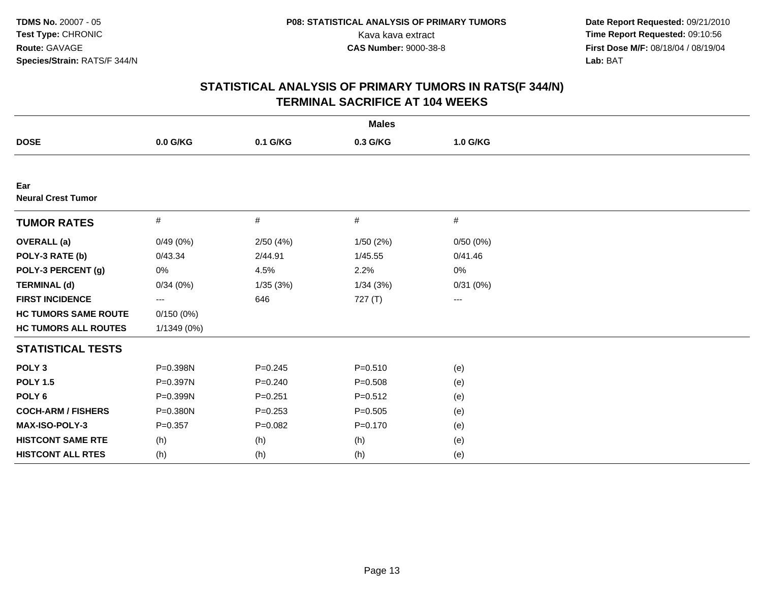| <b>Males</b>                     |             |             |             |          |  |  |
|----------------------------------|-------------|-------------|-------------|----------|--|--|
| <b>DOSE</b>                      | 0.0 G/KG    | 0.1 G/KG    | 0.3 G/KG    | 1.0 G/KG |  |  |
|                                  |             |             |             |          |  |  |
| Ear<br><b>Neural Crest Tumor</b> |             |             |             |          |  |  |
| <b>TUMOR RATES</b>               | #           | $\#$        | #           | #        |  |  |
| <b>OVERALL</b> (a)               | 0/49(0%)    | 2/50(4%)    | 1/50(2%)    | 0/50(0%) |  |  |
| POLY-3 RATE (b)                  | 0/43.34     | 2/44.91     | 1/45.55     | 0/41.46  |  |  |
| POLY-3 PERCENT (g)               | 0%          | 4.5%        | 2.2%        | 0%       |  |  |
| <b>TERMINAL (d)</b>              | 0/34(0%)    | 1/35(3%)    | 1/34(3%)    | 0/31(0%) |  |  |
| <b>FIRST INCIDENCE</b>           | ---         | 646         | 727 (T)     | ---      |  |  |
| <b>HC TUMORS SAME ROUTE</b>      | 0/150(0%)   |             |             |          |  |  |
| <b>HC TUMORS ALL ROUTES</b>      | 1/1349 (0%) |             |             |          |  |  |
| <b>STATISTICAL TESTS</b>         |             |             |             |          |  |  |
| POLY <sub>3</sub>                | P=0.398N    | $P = 0.245$ | $P = 0.510$ | (e)      |  |  |
| <b>POLY 1.5</b>                  | P=0.397N    | $P = 0.240$ | $P = 0.508$ | (e)      |  |  |
| POLY <sub>6</sub>                | P=0.399N    | $P = 0.251$ | $P = 0.512$ | (e)      |  |  |
| <b>COCH-ARM / FISHERS</b>        | P=0.380N    | $P = 0.253$ | $P = 0.505$ | (e)      |  |  |
| <b>MAX-ISO-POLY-3</b>            | $P=0.357$   | $P = 0.082$ | $P = 0.170$ | (e)      |  |  |
| <b>HISTCONT SAME RTE</b>         | (h)         | (h)         | (h)         | (e)      |  |  |
| <b>HISTCONT ALL RTES</b>         | (h)         | (h)         | (h)         | (e)      |  |  |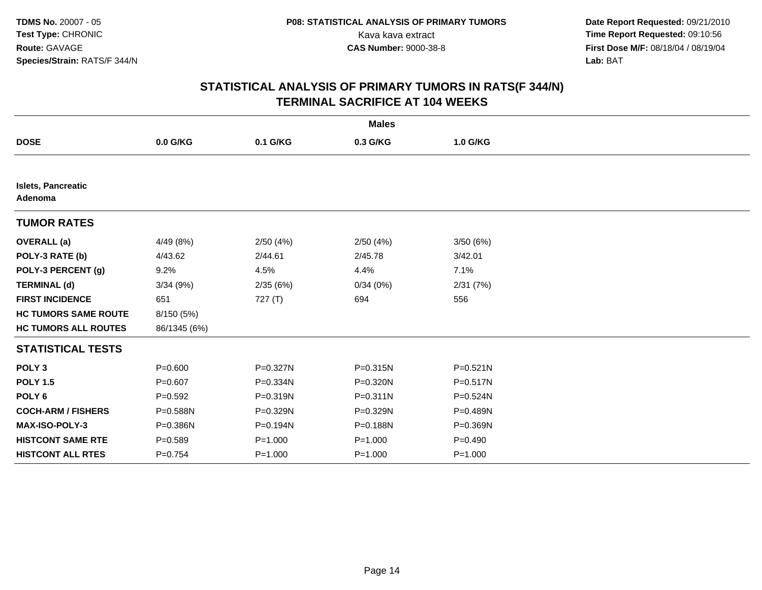| <b>Males</b>                         |              |             |              |              |  |  |  |
|--------------------------------------|--------------|-------------|--------------|--------------|--|--|--|
| <b>DOSE</b>                          | 0.0 G/KG     | 0.1 G/KG    | 0.3 G/KG     | 1.0 G/KG     |  |  |  |
|                                      |              |             |              |              |  |  |  |
| <b>Islets, Pancreatic</b><br>Adenoma |              |             |              |              |  |  |  |
| <b>TUMOR RATES</b>                   |              |             |              |              |  |  |  |
| <b>OVERALL</b> (a)                   | 4/49 (8%)    | 2/50(4%)    | 2/50(4%)     | 3/50(6%)     |  |  |  |
| POLY-3 RATE (b)                      | 4/43.62      | 2/44.61     | 2/45.78      | 3/42.01      |  |  |  |
| POLY-3 PERCENT (g)                   | 9.2%         | 4.5%        | 4.4%         | 7.1%         |  |  |  |
| <b>TERMINAL (d)</b>                  | 3/34(9%)     | 2/35(6%)    | 0/34(0%)     | 2/31(7%)     |  |  |  |
| <b>FIRST INCIDENCE</b>               | 651          | 727 $(T)$   | 694          | 556          |  |  |  |
| <b>HC TUMORS SAME ROUTE</b>          | 8/150 (5%)   |             |              |              |  |  |  |
| <b>HC TUMORS ALL ROUTES</b>          | 86/1345 (6%) |             |              |              |  |  |  |
| <b>STATISTICAL TESTS</b>             |              |             |              |              |  |  |  |
| POLY <sub>3</sub>                    | $P = 0.600$  | P=0.327N    | $P = 0.315N$ | $P = 0.521N$ |  |  |  |
| <b>POLY 1.5</b>                      | $P=0.607$    | P=0.334N    | P=0.320N     | $P = 0.517N$ |  |  |  |
| POLY <sub>6</sub>                    | $P = 0.592$  | P=0.319N    | $P = 0.311N$ | P=0.524N     |  |  |  |
| <b>COCH-ARM / FISHERS</b>            | P=0.588N     | P=0.329N    | P=0.329N     | P=0.489N     |  |  |  |
| MAX-ISO-POLY-3                       | P=0.386N     | P=0.194N    | P=0.188N     | P=0.369N     |  |  |  |
| <b>HISTCONT SAME RTE</b>             | $P = 0.589$  | $P = 1.000$ | $P = 1.000$  | $P=0.490$    |  |  |  |
| <b>HISTCONT ALL RTES</b>             | $P = 0.754$  | $P = 1.000$ | $P = 1.000$  | $P = 1.000$  |  |  |  |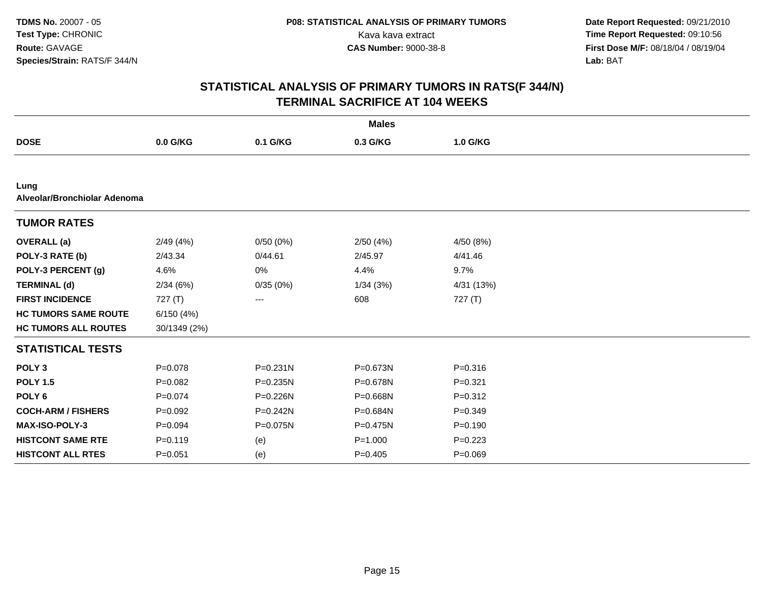|                                      | <b>Males</b> |              |             |             |  |  |  |  |
|--------------------------------------|--------------|--------------|-------------|-------------|--|--|--|--|
| <b>DOSE</b>                          | 0.0 G/KG     | 0.1 G/KG     | 0.3 G/KG    | 1.0 G/KG    |  |  |  |  |
|                                      |              |              |             |             |  |  |  |  |
| Lung<br>Alveolar/Bronchiolar Adenoma |              |              |             |             |  |  |  |  |
| <b>TUMOR RATES</b>                   |              |              |             |             |  |  |  |  |
| <b>OVERALL</b> (a)                   | 2/49(4%)     | 0/50(0%)     | 2/50(4%)    | 4/50 (8%)   |  |  |  |  |
| POLY-3 RATE (b)                      | 2/43.34      | 0/44.61      | 2/45.97     | 4/41.46     |  |  |  |  |
| POLY-3 PERCENT (g)                   | 4.6%         | 0%           | 4.4%        | 9.7%        |  |  |  |  |
| <b>TERMINAL (d)</b>                  | 2/34(6%)     | 0/35(0%)     | 1/34(3%)    | 4/31 (13%)  |  |  |  |  |
| <b>FIRST INCIDENCE</b>               | 727(T)       | ---          | 608         | 727(T)      |  |  |  |  |
| <b>HC TUMORS SAME ROUTE</b>          | 6/150(4%)    |              |             |             |  |  |  |  |
| <b>HC TUMORS ALL ROUTES</b>          | 30/1349 (2%) |              |             |             |  |  |  |  |
| <b>STATISTICAL TESTS</b>             |              |              |             |             |  |  |  |  |
| POLY <sub>3</sub>                    | $P = 0.078$  | $P = 0.231N$ | P=0.673N    | $P = 0.316$ |  |  |  |  |
| <b>POLY 1.5</b>                      | $P=0.082$    | $P = 0.235N$ | P=0.678N    | $P = 0.321$ |  |  |  |  |
| POLY <sub>6</sub>                    | $P = 0.074$  | P=0.226N     | P=0.668N    | $P = 0.312$ |  |  |  |  |
| <b>COCH-ARM / FISHERS</b>            | $P=0.092$    | $P = 0.242N$ | P=0.684N    | $P = 0.349$ |  |  |  |  |
| <b>MAX-ISO-POLY-3</b>                | $P=0.094$    | P=0.075N     | P=0.475N    | $P = 0.190$ |  |  |  |  |
| <b>HISTCONT SAME RTE</b>             | $P = 0.119$  | (e)          | $P = 1.000$ | $P=0.223$   |  |  |  |  |
| <b>HISTCONT ALL RTES</b>             | $P = 0.051$  | (e)          | $P=0.405$   | $P = 0.069$ |  |  |  |  |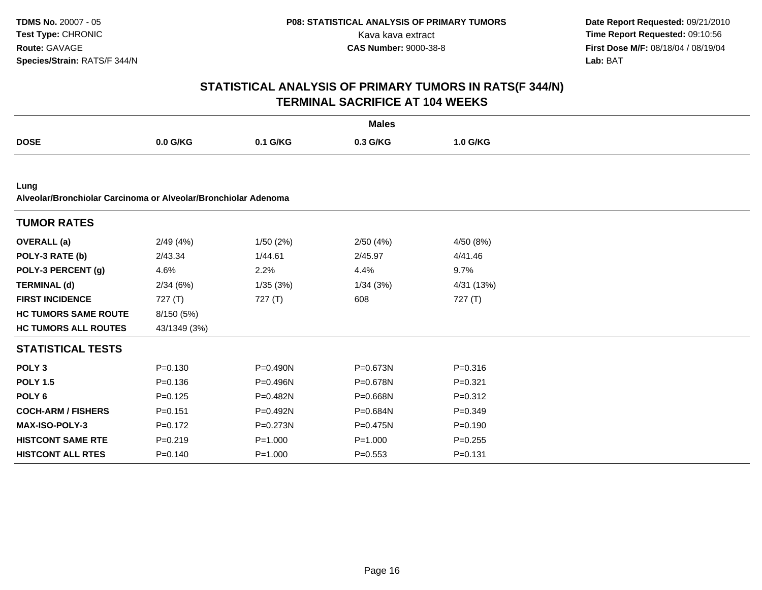|                                                                        | <b>Males</b> |              |             |             |  |  |  |  |
|------------------------------------------------------------------------|--------------|--------------|-------------|-------------|--|--|--|--|
| <b>DOSE</b>                                                            | 0.0 G/KG     | 0.1 G/KG     | 0.3 G/KG    | 1.0 G/KG    |  |  |  |  |
|                                                                        |              |              |             |             |  |  |  |  |
| Lung<br>Alveolar/Bronchiolar Carcinoma or Alveolar/Bronchiolar Adenoma |              |              |             |             |  |  |  |  |
| <b>TUMOR RATES</b>                                                     |              |              |             |             |  |  |  |  |
| <b>OVERALL</b> (a)                                                     | 2/49(4%)     | 1/50(2%)     | 2/50(4%)    | 4/50 (8%)   |  |  |  |  |
| POLY-3 RATE (b)                                                        | 2/43.34      | 1/44.61      | 2/45.97     | 4/41.46     |  |  |  |  |
| POLY-3 PERCENT (g)                                                     | 4.6%         | 2.2%         | 4.4%        | 9.7%        |  |  |  |  |
| <b>TERMINAL (d)</b>                                                    | 2/34(6%)     | 1/35(3%)     | 1/34(3%)    | 4/31 (13%)  |  |  |  |  |
| <b>FIRST INCIDENCE</b>                                                 | 727(T)       | 727(T)       | 608         | 727 $(T)$   |  |  |  |  |
| <b>HC TUMORS SAME ROUTE</b>                                            | 8/150 (5%)   |              |             |             |  |  |  |  |
| <b>HC TUMORS ALL ROUTES</b>                                            | 43/1349 (3%) |              |             |             |  |  |  |  |
| <b>STATISTICAL TESTS</b>                                               |              |              |             |             |  |  |  |  |
| POLY <sub>3</sub>                                                      | $P = 0.130$  | $P = 0.490N$ | P=0.673N    | $P = 0.316$ |  |  |  |  |
| <b>POLY 1.5</b>                                                        | $P = 0.136$  | $P = 0.496N$ | P=0.678N    | $P=0.321$   |  |  |  |  |
| POLY <sub>6</sub>                                                      | $P = 0.125$  | P=0.482N     | P=0.668N    | $P = 0.312$ |  |  |  |  |
| <b>COCH-ARM / FISHERS</b>                                              | $P = 0.151$  | P=0.492N     | P=0.684N    | $P = 0.349$ |  |  |  |  |
| <b>MAX-ISO-POLY-3</b>                                                  | $P=0.172$    | P=0.273N     | P=0.475N    | $P = 0.190$ |  |  |  |  |
| <b>HISTCONT SAME RTE</b>                                               | $P = 0.219$  | $P = 1.000$  | $P = 1.000$ | $P = 0.255$ |  |  |  |  |
| <b>HISTCONT ALL RTES</b>                                               | $P = 0.140$  | $P = 1.000$  | $P = 0.553$ | $P = 0.131$ |  |  |  |  |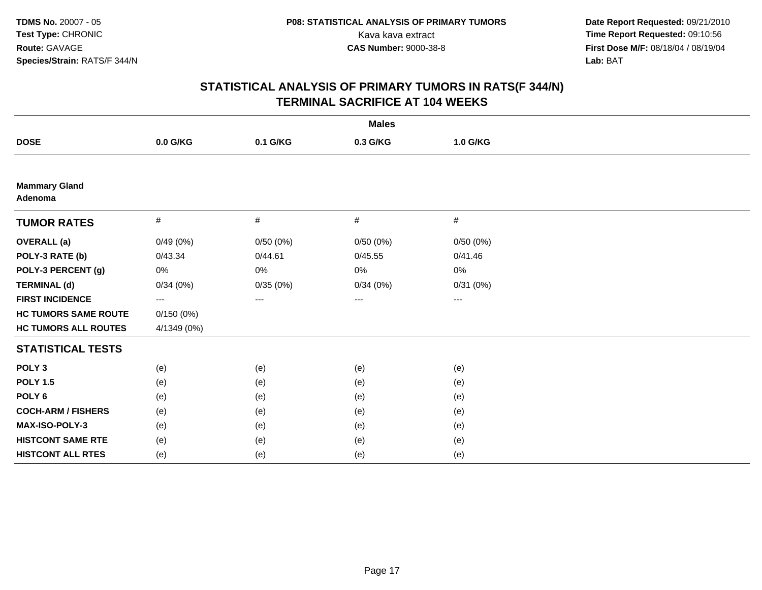|                                 |             |          | <b>Males</b> |                        |  |
|---------------------------------|-------------|----------|--------------|------------------------|--|
| <b>DOSE</b>                     | $0.0$ G/KG  | 0.1 G/KG | 0.3 G/KG     | 1.0 G/KG               |  |
|                                 |             |          |              |                        |  |
| <b>Mammary Gland</b><br>Adenoma |             |          |              |                        |  |
| <b>TUMOR RATES</b>              | #           | $\#$     | #            | #                      |  |
| <b>OVERALL</b> (a)              | 0/49(0%)    | 0/50(0%) | 0/50(0%)     | 0/50(0%)               |  |
| POLY-3 RATE (b)                 | 0/43.34     | 0/44.61  | 0/45.55      | 0/41.46                |  |
| POLY-3 PERCENT (g)              | $0\%$       | 0%       | $0\%$        | 0%                     |  |
| <b>TERMINAL (d)</b>             | 0/34(0%)    | 0/35(0%) | 0/34(0%)     | 0/31(0%)               |  |
| <b>FIRST INCIDENCE</b>          | ---         | ---      | $\cdots$     | $\qquad \qquad \cdots$ |  |
| <b>HC TUMORS SAME ROUTE</b>     | 0/150(0%)   |          |              |                        |  |
| <b>HC TUMORS ALL ROUTES</b>     | 4/1349 (0%) |          |              |                        |  |
| <b>STATISTICAL TESTS</b>        |             |          |              |                        |  |
| POLY <sub>3</sub>               | (e)         | (e)      | (e)          | (e)                    |  |
| <b>POLY 1.5</b>                 | (e)         | (e)      | (e)          | (e)                    |  |
| POLY <sub>6</sub>               | (e)         | (e)      | (e)          | (e)                    |  |
| <b>COCH-ARM / FISHERS</b>       | (e)         | (e)      | (e)          | (e)                    |  |
| MAX-ISO-POLY-3                  | (e)         | (e)      | (e)          | (e)                    |  |
| <b>HISTCONT SAME RTE</b>        | (e)         | (e)      | (e)          | (e)                    |  |
| <b>HISTCONT ALL RTES</b>        | (e)         | (e)      | (e)          | (e)                    |  |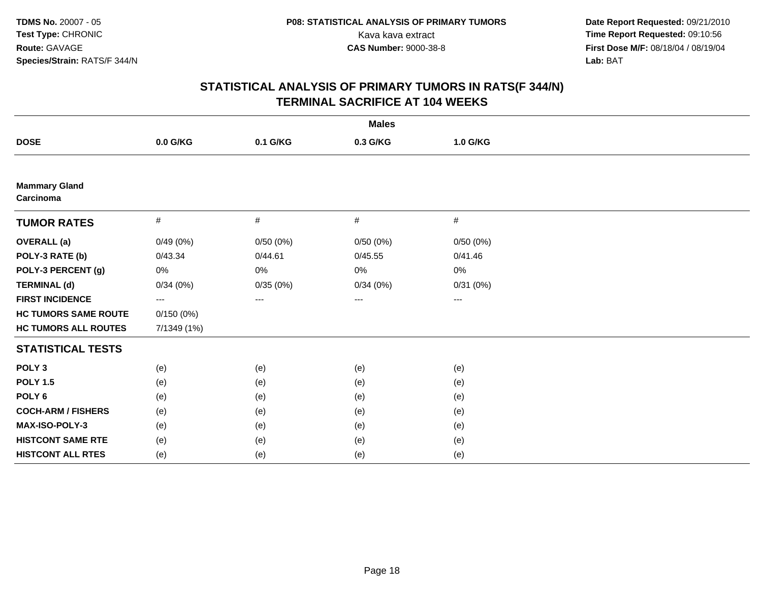|                                   |             |          | <b>Males</b> |                        |  |
|-----------------------------------|-------------|----------|--------------|------------------------|--|
| <b>DOSE</b>                       | $0.0$ G/KG  | 0.1 G/KG | 0.3 G/KG     | 1.0 G/KG               |  |
|                                   |             |          |              |                        |  |
| <b>Mammary Gland</b><br>Carcinoma |             |          |              |                        |  |
| <b>TUMOR RATES</b>                | #           | #        | #            | #                      |  |
| <b>OVERALL</b> (a)                | 0/49(0%)    | 0/50(0%) | 0/50(0%)     | 0/50(0%)               |  |
| POLY-3 RATE (b)                   | 0/43.34     | 0/44.61  | 0/45.55      | 0/41.46                |  |
| POLY-3 PERCENT (g)                | $0\%$       | 0%       | $0\%$        | 0%                     |  |
| <b>TERMINAL (d)</b>               | 0/34(0%)    | 0/35(0%) | 0/34(0%)     | 0/31(0%)               |  |
| <b>FIRST INCIDENCE</b>            | ---         | ---      | $\cdots$     | $\qquad \qquad \cdots$ |  |
| <b>HC TUMORS SAME ROUTE</b>       | 0/150(0%)   |          |              |                        |  |
| <b>HC TUMORS ALL ROUTES</b>       | 7/1349 (1%) |          |              |                        |  |
| <b>STATISTICAL TESTS</b>          |             |          |              |                        |  |
| POLY <sub>3</sub>                 | (e)         | (e)      | (e)          | (e)                    |  |
| <b>POLY 1.5</b>                   | (e)         | (e)      | (e)          | (e)                    |  |
| POLY <sub>6</sub>                 | (e)         | (e)      | (e)          | (e)                    |  |
| <b>COCH-ARM / FISHERS</b>         | (e)         | (e)      | (e)          | (e)                    |  |
| MAX-ISO-POLY-3                    | (e)         | (e)      | (e)          | (e)                    |  |
| <b>HISTCONT SAME RTE</b>          | (e)         | (e)      | (e)          | (e)                    |  |
| <b>HISTCONT ALL RTES</b>          | (e)         | (e)      | (e)          | (e)                    |  |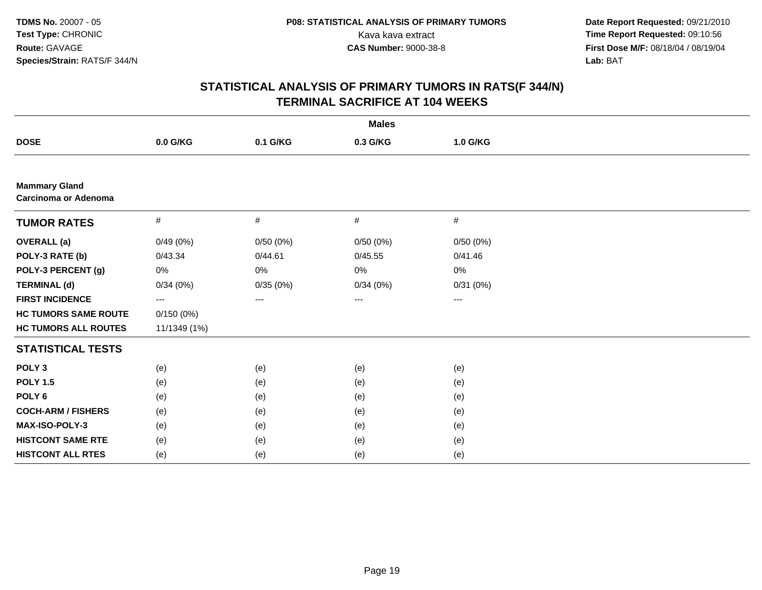|                                                     |                   |          | <b>Males</b>           |                   |  |
|-----------------------------------------------------|-------------------|----------|------------------------|-------------------|--|
| <b>DOSE</b>                                         | 0.0 G/KG          | 0.1 G/KG | 0.3 G/KG               | 1.0 G/KG          |  |
|                                                     |                   |          |                        |                   |  |
| <b>Mammary Gland</b><br><b>Carcinoma or Adenoma</b> |                   |          |                        |                   |  |
| <b>TUMOR RATES</b>                                  | $\#$              | #        | $\#$                   | $\#$              |  |
| <b>OVERALL</b> (a)                                  | 0/49(0%)          | 0/50(0%) | 0/50(0%)               | 0/50(0%)          |  |
| POLY-3 RATE (b)                                     | 0/43.34           | 0/44.61  | 0/45.55                | 0/41.46           |  |
| POLY-3 PERCENT (g)                                  | 0%                | 0%       | 0%                     | 0%                |  |
| <b>TERMINAL (d)</b>                                 | 0/34(0%)          | 0/35(0%) | 0/34(0%)               | 0/31(0%)          |  |
| <b>FIRST INCIDENCE</b>                              | $\qquad \qquad -$ | ---      | $\qquad \qquad \cdots$ | $\qquad \qquad -$ |  |
| <b>HC TUMORS SAME ROUTE</b>                         | 0/150(0%)         |          |                        |                   |  |
| <b>HC TUMORS ALL ROUTES</b>                         | 11/1349 (1%)      |          |                        |                   |  |
| <b>STATISTICAL TESTS</b>                            |                   |          |                        |                   |  |
| POLY <sub>3</sub>                                   | (e)               | (e)      | (e)                    | (e)               |  |
| <b>POLY 1.5</b>                                     | (e)               | (e)      | (e)                    | (e)               |  |
| POLY <sub>6</sub>                                   | (e)               | (e)      | (e)                    | (e)               |  |
| <b>COCH-ARM / FISHERS</b>                           | (e)               | (e)      | (e)                    | (e)               |  |
| MAX-ISO-POLY-3                                      | (e)               | (e)      | (e)                    | (e)               |  |
| <b>HISTCONT SAME RTE</b>                            | (e)               | (e)      | (e)                    | (e)               |  |
| <b>HISTCONT ALL RTES</b>                            | (e)               | (e)      | (e)                    | (e)               |  |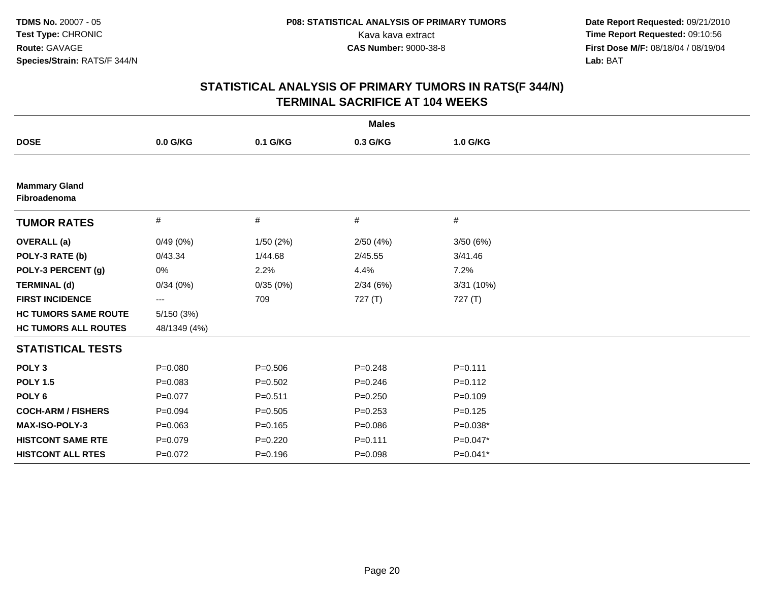|                                      |              |             | <b>Males</b> |             |  |
|--------------------------------------|--------------|-------------|--------------|-------------|--|
| <b>DOSE</b>                          | 0.0 G/KG     | 0.1 G/KG    | 0.3 G/KG     | 1.0 G/KG    |  |
|                                      |              |             |              |             |  |
| <b>Mammary Gland</b><br>Fibroadenoma |              |             |              |             |  |
| <b>TUMOR RATES</b>                   | #            | #           | #            | #           |  |
| <b>OVERALL</b> (a)                   | 0/49(0%)     | 1/50(2%)    | 2/50(4%)     | 3/50(6%)    |  |
| POLY-3 RATE (b)                      | 0/43.34      | 1/44.68     | 2/45.55      | 3/41.46     |  |
| POLY-3 PERCENT (g)                   | 0%           | 2.2%        | 4.4%         | 7.2%        |  |
| <b>TERMINAL (d)</b>                  | 0/34(0%)     | 0/35(0%)    | 2/34(6%)     | 3/31 (10%)  |  |
| <b>FIRST INCIDENCE</b>               | ---          | 709         | 727(T)       | 727(T)      |  |
| <b>HC TUMORS SAME ROUTE</b>          | 5/150(3%)    |             |              |             |  |
| <b>HC TUMORS ALL ROUTES</b>          | 48/1349 (4%) |             |              |             |  |
| <b>STATISTICAL TESTS</b>             |              |             |              |             |  |
| POLY <sub>3</sub>                    | $P = 0.080$  | $P = 0.506$ | $P=0.248$    | $P = 0.111$ |  |
| <b>POLY 1.5</b>                      | $P = 0.083$  | $P = 0.502$ | $P = 0.246$  | $P = 0.112$ |  |
| POLY <sub>6</sub>                    | $P = 0.077$  | $P = 0.511$ | $P = 0.250$  | $P = 0.109$ |  |
| <b>COCH-ARM / FISHERS</b>            | $P = 0.094$  | $P = 0.505$ | $P = 0.253$  | $P = 0.125$ |  |
| MAX-ISO-POLY-3                       | $P = 0.063$  | $P=0.165$   | $P = 0.086$  | $P=0.038*$  |  |
| <b>HISTCONT SAME RTE</b>             | $P = 0.079$  | $P=0.220$   | $P = 0.111$  | $P=0.047*$  |  |
| <b>HISTCONT ALL RTES</b>             | $P=0.072$    | $P = 0.196$ | $P = 0.098$  | P=0.041*    |  |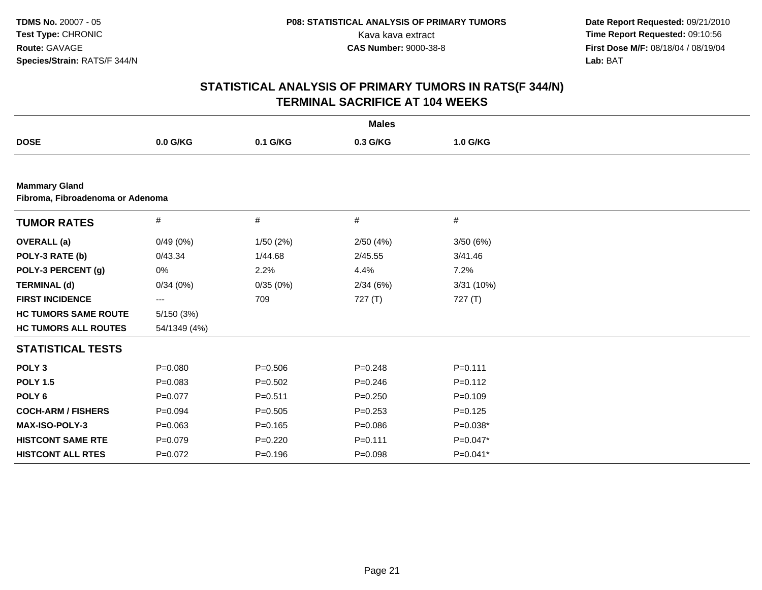|                                                          |              |             | <b>Males</b> |             |  |
|----------------------------------------------------------|--------------|-------------|--------------|-------------|--|
| <b>DOSE</b>                                              | 0.0 G/KG     | 0.1 G/KG    | 0.3 G/KG     | 1.0 G/KG    |  |
|                                                          |              |             |              |             |  |
| <b>Mammary Gland</b><br>Fibroma, Fibroadenoma or Adenoma |              |             |              |             |  |
| <b>TUMOR RATES</b>                                       | $\#$         | #           | $\#$         | $\#$        |  |
| <b>OVERALL</b> (a)                                       | 0/49(0%)     | 1/50(2%)    | 2/50(4%)     | 3/50(6%)    |  |
| POLY-3 RATE (b)                                          | 0/43.34      | 1/44.68     | 2/45.55      | 3/41.46     |  |
| POLY-3 PERCENT (g)                                       | 0%           | 2.2%        | 4.4%         | 7.2%        |  |
| <b>TERMINAL (d)</b>                                      | 0/34(0%)     | 0/35(0%)    | 2/34(6%)     | 3/31 (10%)  |  |
| <b>FIRST INCIDENCE</b>                                   | ---          | 709         | 727 (T)      | 727 (T)     |  |
| <b>HC TUMORS SAME ROUTE</b>                              | 5/150(3%)    |             |              |             |  |
| <b>HC TUMORS ALL ROUTES</b>                              | 54/1349 (4%) |             |              |             |  |
| <b>STATISTICAL TESTS</b>                                 |              |             |              |             |  |
| POLY <sub>3</sub>                                        | $P = 0.080$  | $P = 0.506$ | $P=0.248$    | $P = 0.111$ |  |
| <b>POLY 1.5</b>                                          | $P = 0.083$  | $P = 0.502$ | $P = 0.246$  | $P = 0.112$ |  |
| POLY <sub>6</sub>                                        | $P = 0.077$  | $P = 0.511$ | $P = 0.250$  | $P = 0.109$ |  |
| <b>COCH-ARM / FISHERS</b>                                | $P = 0.094$  | $P = 0.505$ | $P = 0.253$  | $P = 0.125$ |  |
| <b>MAX-ISO-POLY-3</b>                                    | $P=0.063$    | $P=0.165$   | $P = 0.086$  | $P=0.038*$  |  |
| <b>HISTCONT SAME RTE</b>                                 | $P = 0.079$  | $P=0.220$   | $P = 0.111$  | $P=0.047*$  |  |
| <b>HISTCONT ALL RTES</b>                                 | $P=0.072$    | $P = 0.196$ | $P = 0.098$  | $P=0.041*$  |  |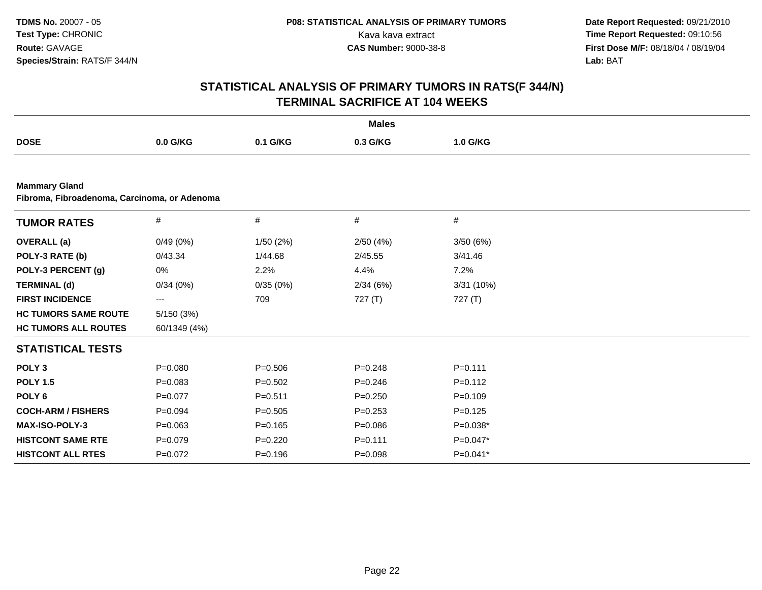|                                                                      |              |             | <b>Males</b> |             |  |
|----------------------------------------------------------------------|--------------|-------------|--------------|-------------|--|
| <b>DOSE</b>                                                          | 0.0 G/KG     | 0.1 G/KG    | 0.3 G/KG     | 1.0 G/KG    |  |
|                                                                      |              |             |              |             |  |
| <b>Mammary Gland</b><br>Fibroma, Fibroadenoma, Carcinoma, or Adenoma |              |             |              |             |  |
|                                                                      |              |             |              |             |  |
| <b>TUMOR RATES</b>                                                   | $\#$         | #           | $\#$         | #           |  |
| <b>OVERALL</b> (a)                                                   | 0/49(0%)     | 1/50(2%)    | 2/50(4%)     | 3/50(6%)    |  |
| POLY-3 RATE (b)                                                      | 0/43.34      | 1/44.68     | 2/45.55      | 3/41.46     |  |
| POLY-3 PERCENT (g)                                                   | 0%           | 2.2%        | 4.4%         | 7.2%        |  |
| <b>TERMINAL (d)</b>                                                  | 0/34(0%)     | 0/35(0%)    | 2/34(6%)     | 3/31(10%)   |  |
| <b>FIRST INCIDENCE</b>                                               | ---          | 709         | 727(T)       | 727(T)      |  |
| <b>HC TUMORS SAME ROUTE</b>                                          | 5/150(3%)    |             |              |             |  |
| <b>HC TUMORS ALL ROUTES</b>                                          | 60/1349 (4%) |             |              |             |  |
| <b>STATISTICAL TESTS</b>                                             |              |             |              |             |  |
| POLY <sub>3</sub>                                                    | $P = 0.080$  | $P = 0.506$ | $P=0.248$    | $P = 0.111$ |  |
| <b>POLY 1.5</b>                                                      | $P=0.083$    | $P=0.502$   | $P = 0.246$  | $P=0.112$   |  |
| POLY <sub>6</sub>                                                    | $P = 0.077$  | $P = 0.511$ | $P = 0.250$  | $P=0.109$   |  |
| <b>COCH-ARM / FISHERS</b>                                            | $P = 0.094$  | $P = 0.505$ | $P = 0.253$  | $P=0.125$   |  |
| <b>MAX-ISO-POLY-3</b>                                                | $P = 0.063$  | $P = 0.165$ | $P = 0.086$  | $P=0.038*$  |  |
| <b>HISTCONT SAME RTE</b>                                             | $P = 0.079$  | $P=0.220$   | $P = 0.111$  | $P=0.047*$  |  |
| <b>HISTCONT ALL RTES</b>                                             | $P=0.072$    | $P = 0.196$ | $P = 0.098$  | P=0.041*    |  |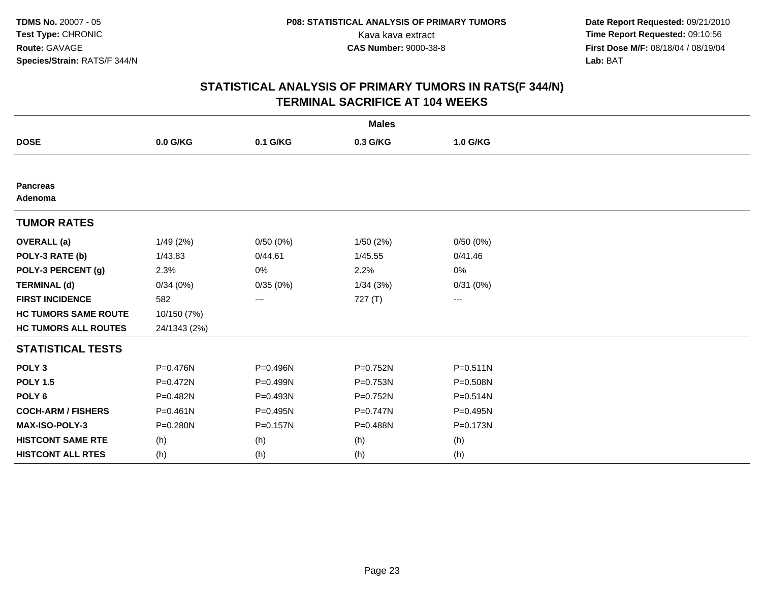|                             |              |            | <b>Males</b> |              |  |
|-----------------------------|--------------|------------|--------------|--------------|--|
| <b>DOSE</b>                 | 0.0 G/KG     | 0.1 G/KG   | 0.3 G/KG     | 1.0 G/KG     |  |
|                             |              |            |              |              |  |
| <b>Pancreas</b><br>Adenoma  |              |            |              |              |  |
| <b>TUMOR RATES</b>          |              |            |              |              |  |
| <b>OVERALL</b> (a)          | 1/49(2%)     | 0/50(0%)   | 1/50(2%)     | 0/50(0%)     |  |
| POLY-3 RATE (b)             | 1/43.83      | 0/44.61    | 1/45.55      | 0/41.46      |  |
| POLY-3 PERCENT (g)          | 2.3%         | 0%         | 2.2%         | 0%           |  |
| <b>TERMINAL (d)</b>         | 0/34(0%)     | 0/35(0%)   | 1/34(3%)     | 0/31(0%)     |  |
| <b>FIRST INCIDENCE</b>      | 582          | ---        | 727 (T)      | ---          |  |
| <b>HC TUMORS SAME ROUTE</b> | 10/150 (7%)  |            |              |              |  |
| <b>HC TUMORS ALL ROUTES</b> | 24/1343 (2%) |            |              |              |  |
| <b>STATISTICAL TESTS</b>    |              |            |              |              |  |
| POLY <sub>3</sub>           | P=0.476N     | P=0.496N   | $P = 0.752N$ | $P = 0.511N$ |  |
| <b>POLY 1.5</b>             | P=0.472N     | $P=0.499N$ | P=0.753N     | P=0.508N     |  |
| POLY <sub>6</sub>           | P=0.482N     | P=0.493N   | P=0.752N     | P=0.514N     |  |
| <b>COCH-ARM / FISHERS</b>   | $P = 0.461N$ | P=0.495N   | $P = 0.747N$ | P=0.495N     |  |
| <b>MAX-ISO-POLY-3</b>       | P=0.280N     | P=0.157N   | P=0.488N     | P=0.173N     |  |
| <b>HISTCONT SAME RTE</b>    | (h)          | (h)        | (h)          | (h)          |  |
| <b>HISTCONT ALL RTES</b>    | (h)          | (h)        | (h)          | (h)          |  |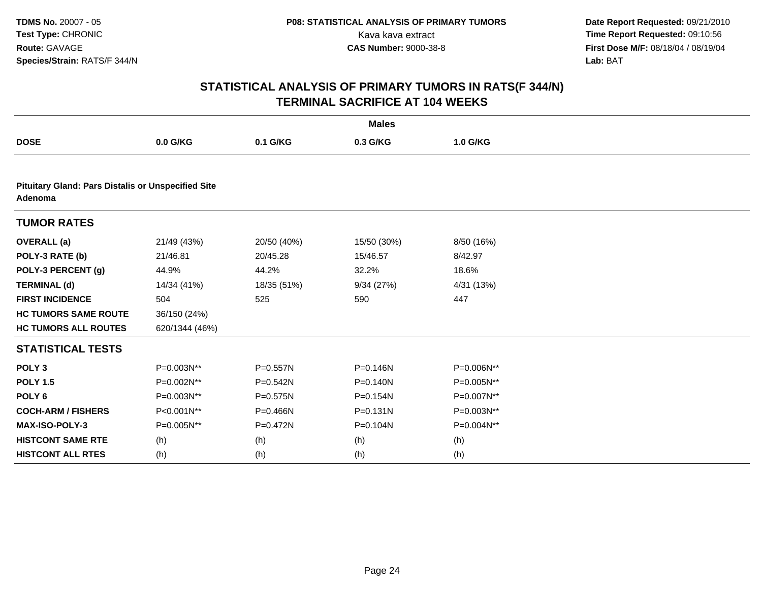|                                                                      |                |              | <b>Males</b> |            |  |
|----------------------------------------------------------------------|----------------|--------------|--------------|------------|--|
| <b>DOSE</b>                                                          | $0.0$ G/KG     | 0.1 G/KG     | 0.3 G/KG     | 1.0 G/KG   |  |
|                                                                      |                |              |              |            |  |
| <b>Pituitary Gland: Pars Distalis or Unspecified Site</b><br>Adenoma |                |              |              |            |  |
| <b>TUMOR RATES</b>                                                   |                |              |              |            |  |
| <b>OVERALL</b> (a)                                                   | 21/49 (43%)    | 20/50 (40%)  | 15/50 (30%)  | 8/50 (16%) |  |
| POLY-3 RATE (b)                                                      | 21/46.81       | 20/45.28     | 15/46.57     | 8/42.97    |  |
| POLY-3 PERCENT (g)                                                   | 44.9%          | 44.2%        | 32.2%        | 18.6%      |  |
| <b>TERMINAL (d)</b>                                                  | 14/34 (41%)    | 18/35 (51%)  | 9/34(27%)    | 4/31 (13%) |  |
| <b>FIRST INCIDENCE</b>                                               | 504            | 525          | 590          | 447        |  |
| <b>HC TUMORS SAME ROUTE</b>                                          | 36/150 (24%)   |              |              |            |  |
| <b>HC TUMORS ALL ROUTES</b>                                          | 620/1344 (46%) |              |              |            |  |
| <b>STATISTICAL TESTS</b>                                             |                |              |              |            |  |
| POLY <sub>3</sub>                                                    | P=0.003N**     | $P = 0.557N$ | P=0.146N     | P=0.006N** |  |
| <b>POLY 1.5</b>                                                      | P=0.002N**     | P=0.542N     | P=0.140N     | P=0.005N** |  |
| POLY <sub>6</sub>                                                    | P=0.003N**     | $P = 0.575N$ | P=0.154N     | P=0.007N** |  |
| <b>COCH-ARM / FISHERS</b>                                            | P<0.001N**     | $P = 0.466N$ | $P = 0.131N$ | P=0.003N** |  |
| <b>MAX-ISO-POLY-3</b>                                                | P=0.005N**     | P=0.472N     | P=0.104N     | P=0.004N** |  |
| <b>HISTCONT SAME RTE</b>                                             | (h)            | (h)          | (h)          | (h)        |  |
| <b>HISTCONT ALL RTES</b>                                             | (h)            | (h)          | (h)          | (h)        |  |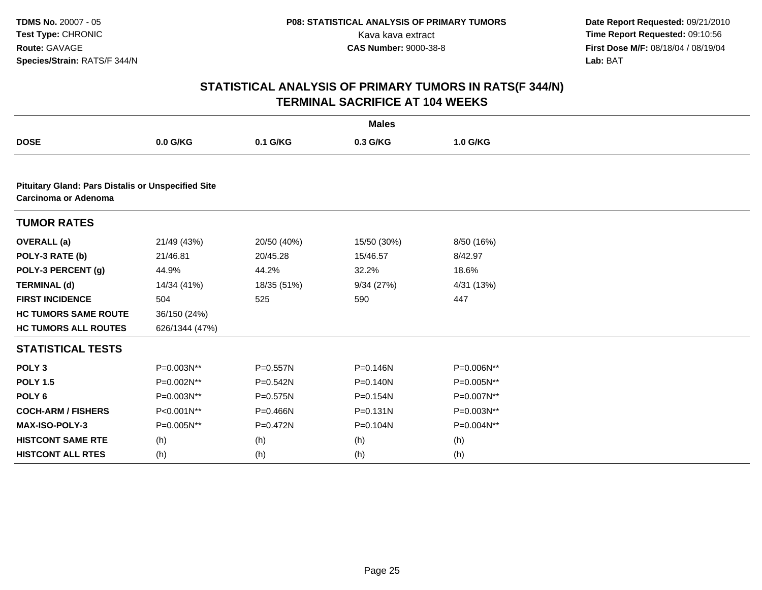|                                                                                   |                |              | <b>Males</b> |            |
|-----------------------------------------------------------------------------------|----------------|--------------|--------------|------------|
| <b>DOSE</b>                                                                       | 0.0 G/KG       | 0.1 G/KG     | 0.3 G/KG     | 1.0 G/KG   |
|                                                                                   |                |              |              |            |
| <b>Pituitary Gland: Pars Distalis or Unspecified Site</b><br>Carcinoma or Adenoma |                |              |              |            |
| <b>TUMOR RATES</b>                                                                |                |              |              |            |
| <b>OVERALL</b> (a)                                                                | 21/49 (43%)    | 20/50 (40%)  | 15/50 (30%)  | 8/50 (16%) |
| POLY-3 RATE (b)                                                                   | 21/46.81       | 20/45.28     | 15/46.57     | 8/42.97    |
| POLY-3 PERCENT (g)                                                                | 44.9%          | 44.2%        | 32.2%        | 18.6%      |
| <b>TERMINAL (d)</b>                                                               | 14/34 (41%)    | 18/35 (51%)  | 9/34(27%)    | 4/31 (13%) |
| <b>FIRST INCIDENCE</b>                                                            | 504            | 525          | 590          | 447        |
| <b>HC TUMORS SAME ROUTE</b>                                                       | 36/150 (24%)   |              |              |            |
| <b>HC TUMORS ALL ROUTES</b>                                                       | 626/1344 (47%) |              |              |            |
| <b>STATISTICAL TESTS</b>                                                          |                |              |              |            |
| POLY <sub>3</sub>                                                                 | $P=0.003N**$   | $P = 0.557N$ | $P = 0.146N$ | P=0.006N** |
| <b>POLY 1.5</b>                                                                   | P=0.002N**     | $P = 0.542N$ | $P = 0.140N$ | P=0.005N** |
| POLY <sub>6</sub>                                                                 | P=0.003N**     | $P = 0.575N$ | P=0.154N     | P=0.007N** |
| <b>COCH-ARM / FISHERS</b>                                                         | P<0.001N**     | P=0.466N     | $P = 0.131N$ | P=0.003N** |
| MAX-ISO-POLY-3                                                                    | P=0.005N**     | $P = 0.472N$ | P=0.104N     | P=0.004N** |
| <b>HISTCONT SAME RTE</b>                                                          | (h)            | (h)          | (h)          | (h)        |
| <b>HISTCONT ALL RTES</b>                                                          | (h)            | (h)          | (h)          | (h)        |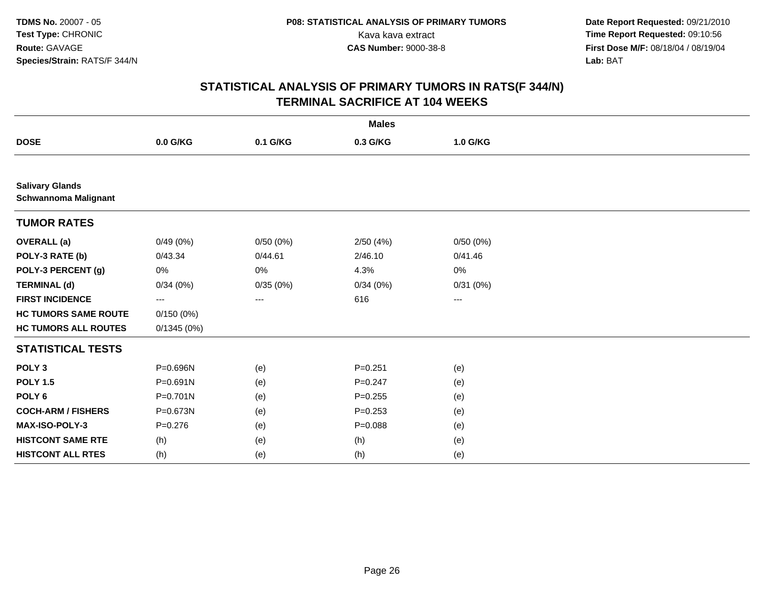|                                                       |              |                   | <b>Males</b> |          |  |
|-------------------------------------------------------|--------------|-------------------|--------------|----------|--|
| <b>DOSE</b>                                           | 0.0 G/KG     | 0.1 G/KG          | 0.3 G/KG     | 1.0 G/KG |  |
|                                                       |              |                   |              |          |  |
| <b>Salivary Glands</b><br><b>Schwannoma Malignant</b> |              |                   |              |          |  |
| <b>TUMOR RATES</b>                                    |              |                   |              |          |  |
| <b>OVERALL</b> (a)                                    | 0/49(0%)     | 0/50(0%)          | 2/50(4%)     | 0/50(0%) |  |
| POLY-3 RATE (b)                                       | 0/43.34      | 0/44.61           | 2/46.10      | 0/41.46  |  |
| POLY-3 PERCENT (g)                                    | 0%           | 0%                | 4.3%         | 0%       |  |
| <b>TERMINAL (d)</b>                                   | 0/34(0%)     | 0/35(0%)          | 0/34(0%)     | 0/31(0%) |  |
| <b>FIRST INCIDENCE</b>                                | ---          | $\qquad \qquad -$ | 616          | ---      |  |
| <b>HC TUMORS SAME ROUTE</b>                           | 0/150(0%)    |                   |              |          |  |
| <b>HC TUMORS ALL ROUTES</b>                           | 0/1345(0%)   |                   |              |          |  |
| <b>STATISTICAL TESTS</b>                              |              |                   |              |          |  |
| POLY <sub>3</sub>                                     | P=0.696N     | (e)               | $P = 0.251$  | (e)      |  |
| <b>POLY 1.5</b>                                       | P=0.691N     | (e)               | $P = 0.247$  | (e)      |  |
| POLY <sub>6</sub>                                     | $P = 0.701N$ | (e)               | $P=0.255$    | (e)      |  |
| <b>COCH-ARM / FISHERS</b>                             | P=0.673N     | (e)               | $P = 0.253$  | (e)      |  |
| MAX-ISO-POLY-3                                        | $P = 0.276$  | (e)               | $P = 0.088$  | (e)      |  |
| <b>HISTCONT SAME RTE</b>                              | (h)          | (e)               | (h)          | (e)      |  |
| <b>HISTCONT ALL RTES</b>                              | (h)          | (e)               | (h)          | (e)      |  |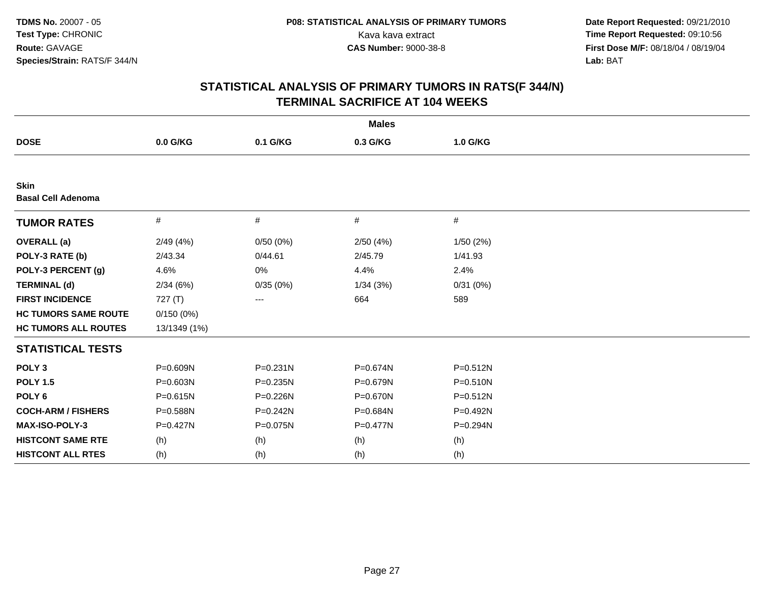|                                          |              |              | <b>Males</b> |              |
|------------------------------------------|--------------|--------------|--------------|--------------|
| <b>DOSE</b>                              | 0.0 G/KG     | 0.1 G/KG     | 0.3 G/KG     | 1.0 G/KG     |
|                                          |              |              |              |              |
| <b>Skin</b><br><b>Basal Cell Adenoma</b> |              |              |              |              |
| <b>TUMOR RATES</b>                       | $\#$         | $\#$         | #            | #            |
| <b>OVERALL</b> (a)                       | 2/49(4%)     | 0/50(0%)     | 2/50(4%)     | 1/50(2%)     |
| POLY-3 RATE (b)                          | 2/43.34      | 0/44.61      | 2/45.79      | 1/41.93      |
| POLY-3 PERCENT (g)                       | 4.6%         | $0\%$        | 4.4%         | 2.4%         |
| <b>TERMINAL (d)</b>                      | 2/34(6%)     | 0/35(0%)     | 1/34(3%)     | 0/31(0%)     |
| <b>FIRST INCIDENCE</b>                   | 727 (T)      | ---          | 664          | 589          |
| <b>HC TUMORS SAME ROUTE</b>              | 0/150(0%)    |              |              |              |
| <b>HC TUMORS ALL ROUTES</b>              | 13/1349 (1%) |              |              |              |
| <b>STATISTICAL TESTS</b>                 |              |              |              |              |
| POLY <sub>3</sub>                        | P=0.609N     | $P = 0.231N$ | P=0.674N     | $P = 0.512N$ |
| <b>POLY 1.5</b>                          | P=0.603N     | P=0.235N     | P=0.679N     | $P = 0.510N$ |
| POLY <sub>6</sub>                        | $P = 0.615N$ | P=0.226N     | P=0.670N     | $P = 0.512N$ |
| <b>COCH-ARM / FISHERS</b>                | P=0.588N     | P=0.242N     | P=0.684N     | P=0.492N     |
| MAX-ISO-POLY-3                           | P=0.427N     | P=0.075N     | $P = 0.477N$ | P=0.294N     |
| <b>HISTCONT SAME RTE</b>                 | (h)          | (h)          | (h)          | (h)          |
| <b>HISTCONT ALL RTES</b>                 | (h)          | (h)          | (h)          | (h)          |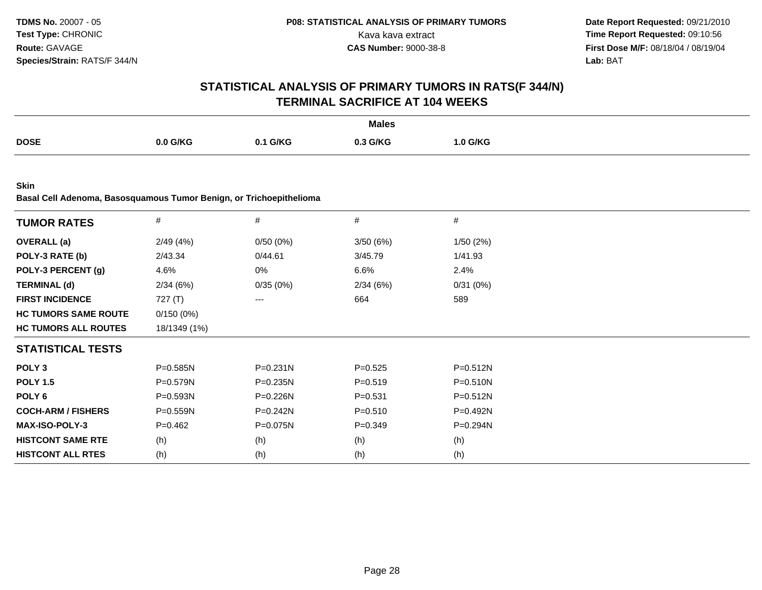## **STATISTICAL ANALYSIS OF PRIMARY TUMORS IN RATS(F 344/N)TERMINAL SACRIFICE AT 104 WEEKS**

|             |          |          | <b>Males</b> |          |
|-------------|----------|----------|--------------|----------|
| <b>DOSE</b> | 0.0 G/KG | 0.1 G/KG | 0.3 G/KG     | 1.0 G/KG |

**Skin**

**Basal Cell Adenoma, Basosquamous Tumor Benign, or Trichoepithelioma**

| <b>TUMOR RATES</b>          | $\#$         | $\#$         | #           | $\#$         |  |
|-----------------------------|--------------|--------------|-------------|--------------|--|
| <b>OVERALL</b> (a)          | 2/49(4%)     | 0/50(0%)     | 3/50(6%)    | 1/50(2%)     |  |
| POLY-3 RATE (b)             | 2/43.34      | 0/44.61      | 3/45.79     | 1/41.93      |  |
| POLY-3 PERCENT (g)          | 4.6%         | 0%           | 6.6%        | 2.4%         |  |
| <b>TERMINAL (d)</b>         | 2/34(6%)     | 0/35(0%)     | 2/34(6%)    | 0/31(0%)     |  |
| <b>FIRST INCIDENCE</b>      | 727 (T)      | ---          | 664         | 589          |  |
| <b>HC TUMORS SAME ROUTE</b> | 0/150(0%)    |              |             |              |  |
| <b>HC TUMORS ALL ROUTES</b> | 18/1349 (1%) |              |             |              |  |
| <b>STATISTICAL TESTS</b>    |              |              |             |              |  |
| POLY <sub>3</sub>           | $P = 0.585N$ | $P = 0.231N$ | $P = 0.525$ | $P = 0.512N$ |  |
| <b>POLY 1.5</b>             | $P = 0.579N$ | $P = 0.235N$ | $P = 0.519$ | $P = 0.510N$ |  |
| POLY 6                      | $P = 0.593N$ | $P=0.226N$   | $P = 0.531$ | $P = 0.512N$ |  |
| <b>COCH-ARM / FISHERS</b>   | $P = 0.559N$ | $P=0.242N$   | $P = 0.510$ | $P = 0.492N$ |  |
| <b>MAX-ISO-POLY-3</b>       | $P=0.462$    | P=0.075N     | $P = 0.349$ | P=0.294N     |  |
| <b>HISTCONT SAME RTE</b>    | (h)          | (h)          | (h)         | (h)          |  |
| <b>HISTCONT ALL RTES</b>    | (h)          | (h)          | (h)         | (h)          |  |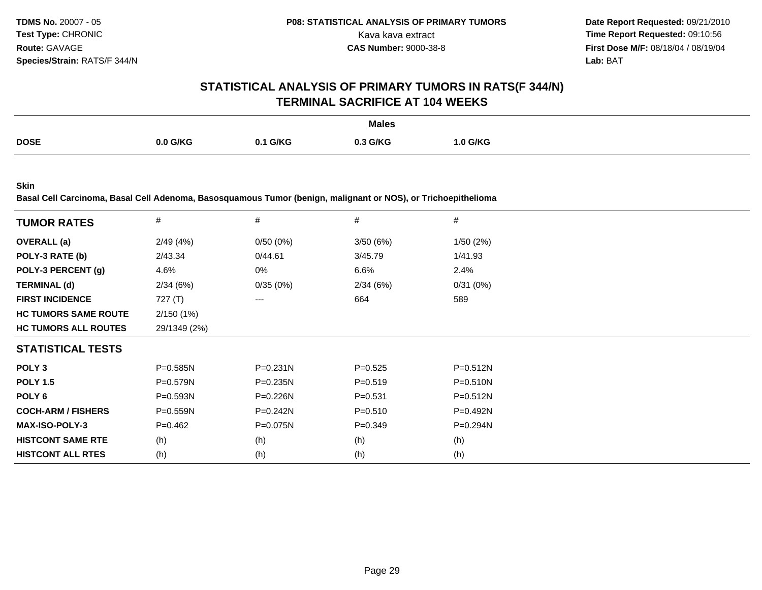### **STATISTICAL ANALYSIS OF PRIMARY TUMORS IN RATS(F 344/N)TERMINAL SACRIFICE AT 104 WEEKS**

|             |          |               | <b>Males</b> |          |
|-------------|----------|---------------|--------------|----------|
| <b>DOSE</b> | 0.0 G/KG | 0.1 G/KG<br>. | 0.3 G/KG     | 1.0 G/KG |

**Skin**

**Basal Cell Carcinoma, Basal Cell Adenoma, Basosquamous Tumor (benign, malignant or NOS), or Trichoepithelioma**

| <b>TUMOR RATES</b>          | $\#$         | #            | #           | #            |
|-----------------------------|--------------|--------------|-------------|--------------|
| <b>OVERALL</b> (a)          | 2/49(4%)     | 0/50(0%)     | 3/50(6%)    | 1/50(2%)     |
| POLY-3 RATE (b)             | 2/43.34      | 0/44.61      | 3/45.79     | 1/41.93      |
| POLY-3 PERCENT (g)          | 4.6%         | 0%           | 6.6%        | 2.4%         |
| <b>TERMINAL (d)</b>         | 2/34(6%)     | 0/35(0%)     | 2/34(6%)    | 0/31(0%)     |
| <b>FIRST INCIDENCE</b>      | 727 $(T)$    | $---$        | 664         | 589          |
| <b>HC TUMORS SAME ROUTE</b> | 2/150(1%)    |              |             |              |
| <b>HC TUMORS ALL ROUTES</b> | 29/1349 (2%) |              |             |              |
| <b>STATISTICAL TESTS</b>    |              |              |             |              |
| POLY <sub>3</sub>           | $P = 0.585N$ | P=0.231N     | $P=0.525$   | $P = 0.512N$ |
| <b>POLY 1.5</b>             | $P = 0.579N$ | $P = 0.235N$ | $P = 0.519$ | $P = 0.510N$ |
| POLY <sub>6</sub>           | $P = 0.593N$ | $P = 0.226N$ | $P = 0.531$ | $P = 0.512N$ |
| <b>COCH-ARM / FISHERS</b>   | $P = 0.559N$ | $P = 0.242N$ | $P = 0.510$ | $P = 0.492N$ |
| <b>MAX-ISO-POLY-3</b>       | $P=0.462$    | $P = 0.075N$ | $P=0.349$   | P=0.294N     |
| <b>HISTCONT SAME RTE</b>    | (h)          | (h)          | (h)         | (h)          |
| <b>HISTCONT ALL RTES</b>    | (h)          | (h)          | (h)         | (h)          |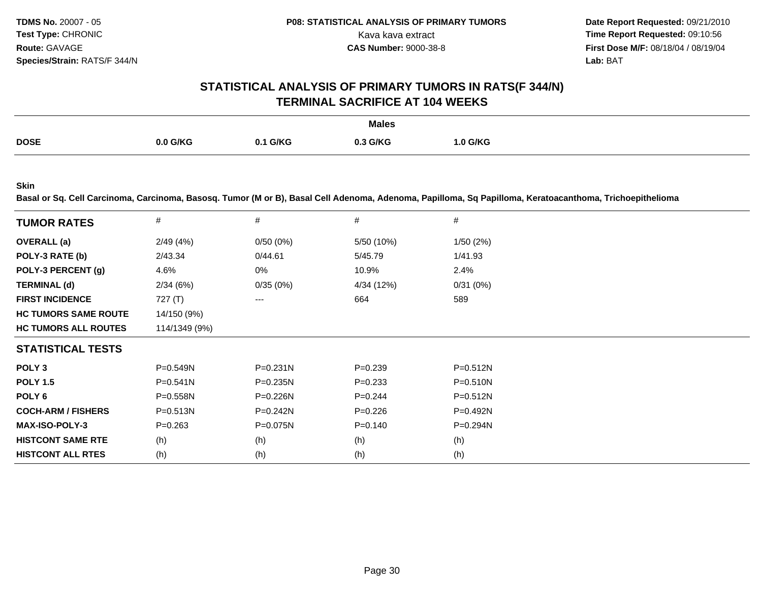**Date Report Requested:** 09/21/2010 Kava kava extract **Time Report Requested: 09:10:56**<br>**CAS Number: 9000-38-8 Time Report Requested: 09:10:56 First Dose M/F:** 08/18/04 / 08/19/04 Lab: BAT **Lab:** BAT

#### **STATISTICAL ANALYSIS OF PRIMARY TUMORS IN RATS(F 344/N)TERMINAL SACRIFICE AT 104 WEEKS**

|             |            |                 | <b>Males</b> |          |
|-------------|------------|-----------------|--------------|----------|
| <b>DOSE</b> | $0.0$ G/KG | <b>0.1 G/KG</b> | 0.3 G/KG     | 1.0 G/KG |

**Skin**

**Basal or Sq. Cell Carcinoma, Carcinoma, Basosq. Tumor (M or B), Basal Cell Adenoma, Adenoma, Papilloma, Sq Papilloma, Keratoacanthoma, Trichoepithelioma**

| <b>TUMOR RATES</b>          | $\#$          | #            | #           | #            |
|-----------------------------|---------------|--------------|-------------|--------------|
| <b>OVERALL</b> (a)          | 2/49(4%)      | 0/50(0%)     | 5/50 (10%)  | 1/50(2%)     |
| POLY-3 RATE (b)             | 2/43.34       | 0/44.61      | 5/45.79     | 1/41.93      |
| POLY-3 PERCENT (g)          | 4.6%          | 0%           | 10.9%       | 2.4%         |
| <b>TERMINAL (d)</b>         | 2/34(6%)      | 0/35(0%)     | 4/34 (12%)  | 0/31(0%)     |
| <b>FIRST INCIDENCE</b>      | 727 (T)       | $---$        | 664         | 589          |
| <b>HC TUMORS SAME ROUTE</b> | 14/150 (9%)   |              |             |              |
| <b>HC TUMORS ALL ROUTES</b> | 114/1349 (9%) |              |             |              |
| <b>STATISTICAL TESTS</b>    |               |              |             |              |
| POLY <sub>3</sub>           | $P = 0.549N$  | $P = 0.231N$ | $P=0.239$   | $P = 0.512N$ |
| <b>POLY 1.5</b>             | $P = 0.541N$  | $P = 0.235N$ | $P = 0.233$ | $P = 0.510N$ |
| POLY 6                      | $P = 0.558N$  | P=0.226N     | $P=0.244$   | $P = 0.512N$ |
| <b>COCH-ARM / FISHERS</b>   | $P = 0.513N$  | $P = 0.242N$ | $P=0.226$   | $P=0.492N$   |
| <b>MAX-ISO-POLY-3</b>       | $P = 0.263$   | $P = 0.075N$ | $P = 0.140$ | P=0.294N     |
| <b>HISTCONT SAME RTE</b>    | (h)           | (h)          | (h)         | (h)          |
| <b>HISTCONT ALL RTES</b>    | (h)           | (h)          | (h)         | (h)          |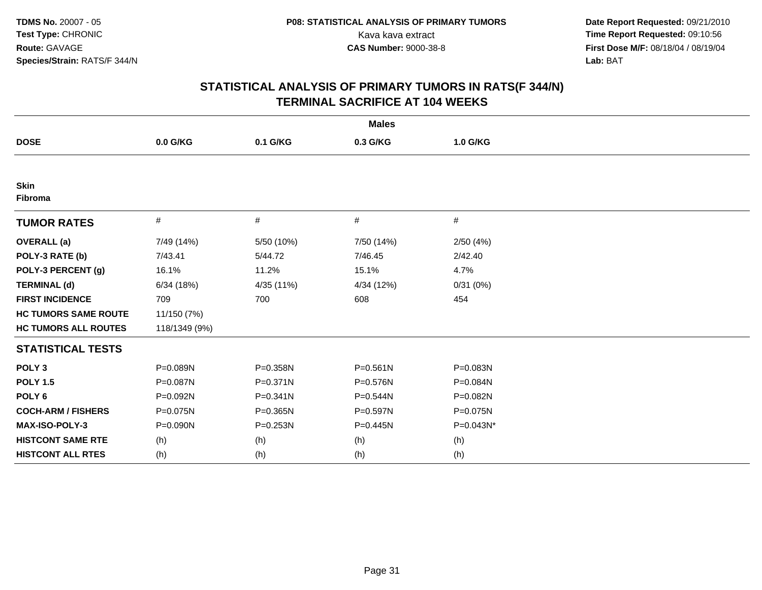| <b>Males</b>                |               |              |              |           |  |  |  |
|-----------------------------|---------------|--------------|--------------|-----------|--|--|--|
| <b>DOSE</b>                 | 0.0 G/KG      | 0.1 G/KG     | 0.3 G/KG     | 1.0 G/KG  |  |  |  |
|                             |               |              |              |           |  |  |  |
| <b>Skin</b><br>Fibroma      |               |              |              |           |  |  |  |
| <b>TUMOR RATES</b>          | #             | #            | #            | #         |  |  |  |
| <b>OVERALL</b> (a)          | 7/49 (14%)    | 5/50 (10%)   | 7/50 (14%)   | 2/50(4%)  |  |  |  |
| POLY-3 RATE (b)             | 7/43.41       | 5/44.72      | 7/46.45      | 2/42.40   |  |  |  |
| POLY-3 PERCENT (g)          | 16.1%         | 11.2%        | 15.1%        | 4.7%      |  |  |  |
| <b>TERMINAL (d)</b>         | 6/34(18%)     | 4/35 (11%)   | 4/34 (12%)   | 0/31(0%)  |  |  |  |
| <b>FIRST INCIDENCE</b>      | 709           | 700          | 608          | 454       |  |  |  |
| <b>HC TUMORS SAME ROUTE</b> | 11/150 (7%)   |              |              |           |  |  |  |
| <b>HC TUMORS ALL ROUTES</b> | 118/1349 (9%) |              |              |           |  |  |  |
| <b>STATISTICAL TESTS</b>    |               |              |              |           |  |  |  |
| POLY <sub>3</sub>           | P=0.089N      | P=0.358N     | $P = 0.561N$ | P=0.083N  |  |  |  |
| <b>POLY 1.5</b>             | P=0.087N      | $P = 0.371N$ | $P = 0.576N$ | P=0.084N  |  |  |  |
| POLY <sub>6</sub>           | P=0.092N      | $P = 0.341N$ | P=0.544N     | P=0.082N  |  |  |  |
| <b>COCH-ARM / FISHERS</b>   | P=0.075N      | P=0.365N     | P=0.597N     | P=0.075N  |  |  |  |
| <b>MAX-ISO-POLY-3</b>       | P=0.090N      | P=0.253N     | P=0.445N     | P=0.043N* |  |  |  |
| <b>HISTCONT SAME RTE</b>    | (h)           | (h)          | (h)          | (h)       |  |  |  |
| <b>HISTCONT ALL RTES</b>    | (h)           | (h)          | (h)          | (h)       |  |  |  |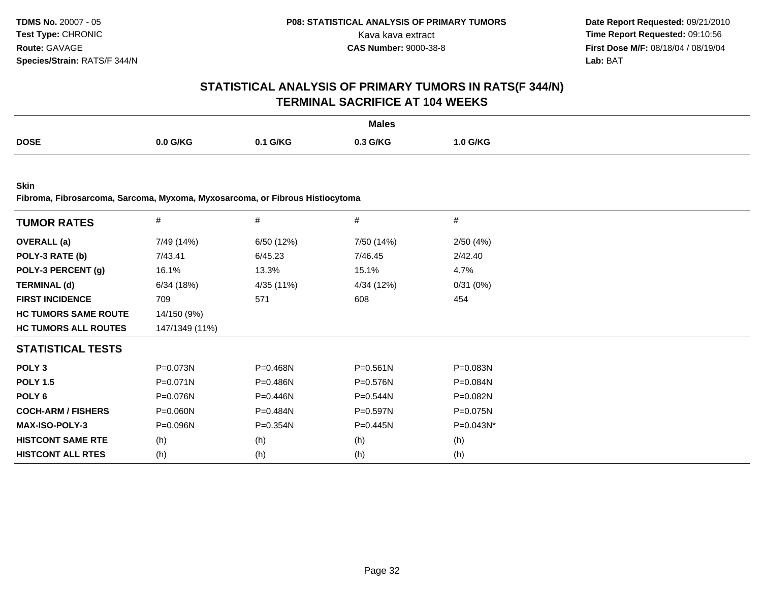## **STATISTICAL ANALYSIS OF PRIMARY TUMORS IN RATS(F 344/N)TERMINAL SACRIFICE AT 104 WEEKS**

|             |          |                | <b>Males</b> |          |
|-------------|----------|----------------|--------------|----------|
| <b>DOSE</b> | 0.0 G/KG | <b>\1 G/KG</b> | 0.3 G/KG     | 1.0 G/KG |

**Skin**

**Fibroma, Fibrosarcoma, Sarcoma, Myxoma, Myxosarcoma, or Fibrous Histiocytoma**

| <b>TUMOR RATES</b>          | #              | $\#$         | $\#$         | $\#$         |
|-----------------------------|----------------|--------------|--------------|--------------|
| <b>OVERALL (a)</b>          | 7/49 (14%)     | 6/50 (12%)   | 7/50 (14%)   | 2/50(4%)     |
| POLY-3 RATE (b)             | 7/43.41        | 6/45.23      | 7/46.45      | 2/42.40      |
| POLY-3 PERCENT (g)          | 16.1%          | 13.3%        | 15.1%        | 4.7%         |
| <b>TERMINAL (d)</b>         | 6/34(18%)      | 4/35 (11%)   | 4/34 (12%)   | 0/31(0%)     |
| <b>FIRST INCIDENCE</b>      | 709            | 571          | 608          | 454          |
| <b>HC TUMORS SAME ROUTE</b> | 14/150 (9%)    |              |              |              |
| <b>HC TUMORS ALL ROUTES</b> | 147/1349 (11%) |              |              |              |
| <b>STATISTICAL TESTS</b>    |                |              |              |              |
| POLY <sub>3</sub>           | P=0.073N       | P=0.468N     | $P = 0.561N$ | P=0.083N     |
| <b>POLY 1.5</b>             | $P = 0.071N$   | $P = 0.486N$ | $P = 0.576N$ | $P = 0.084N$ |
| POLY 6                      | P=0.076N       | $P = 0.446N$ | $P = 0.544N$ | P=0.082N     |
| <b>COCH-ARM / FISHERS</b>   | P=0.060N       | P=0.484N     | P=0.597N     | P=0.075N     |
| <b>MAX-ISO-POLY-3</b>       | $P = 0.096N$   | $P = 0.354N$ | $P = 0.445N$ | $P=0.043N^*$ |
| <b>HISTCONT SAME RTE</b>    | (h)            | (h)          | (h)          | (h)          |
| <b>HISTCONT ALL RTES</b>    | (h)            | (h)          | (h)          | (h)          |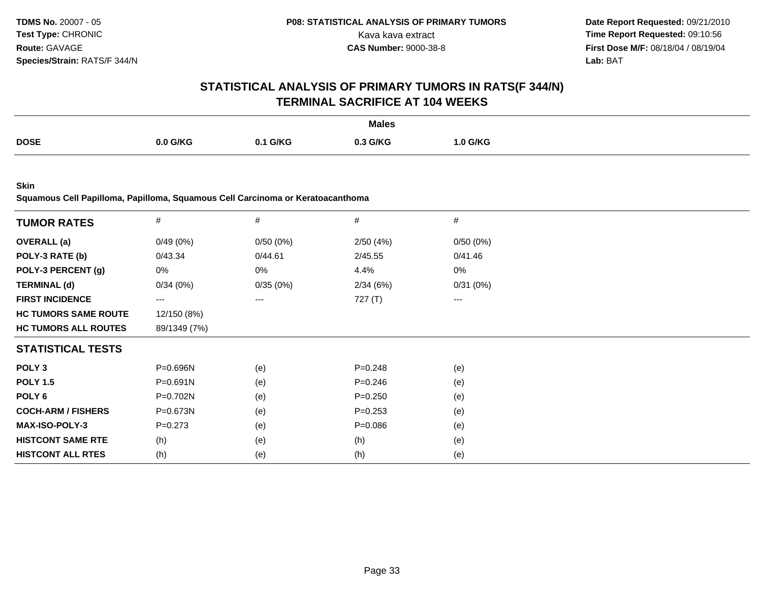## **STATISTICAL ANALYSIS OF PRIMARY TUMORS IN RATS(F 344/N)TERMINAL SACRIFICE AT 104 WEEKS**

|             |          |        | <b>Males</b> |                 |
|-------------|----------|--------|--------------|-----------------|
| <b>DOSE</b> | 0.0 G/KG | 1 G/KG | 3 G/KG       | <b>1.0 G/KG</b> |
|             |          |        |              |                 |

**Skin**

**Squamous Cell Papilloma, Papilloma, Squamous Cell Carcinoma or Keratoacanthoma**

| <b>TUMOR RATES</b>          | $\#$         | #        | $\#$        | #        |
|-----------------------------|--------------|----------|-------------|----------|
| <b>OVERALL</b> (a)          | 0/49(0%)     | 0/50(0%) | 2/50(4%)    | 0/50(0%) |
| POLY-3 RATE (b)             | 0/43.34      | 0/44.61  | 2/45.55     | 0/41.46  |
| POLY-3 PERCENT (g)          | 0%           | 0%       | 4.4%        | 0%       |
| <b>TERMINAL (d)</b>         | 0/34(0%)     | 0/35(0%) | 2/34(6%)    | 0/31(0%) |
| <b>FIRST INCIDENCE</b>      | $\cdots$     | $---$    | 727 (T)     | $\cdots$ |
| <b>HC TUMORS SAME ROUTE</b> | 12/150 (8%)  |          |             |          |
| <b>HC TUMORS ALL ROUTES</b> | 89/1349 (7%) |          |             |          |
| <b>STATISTICAL TESTS</b>    |              |          |             |          |
| POLY <sub>3</sub>           | P=0.696N     | (e)      | $P = 0.248$ | (e)      |
| <b>POLY 1.5</b>             | $P = 0.691N$ | (e)      | $P = 0.246$ | (e)      |
| POLY 6                      | P=0.702N     | (e)      | $P = 0.250$ | (e)      |
| <b>COCH-ARM / FISHERS</b>   | P=0.673N     | (e)      | $P=0.253$   | (e)      |
| <b>MAX-ISO-POLY-3</b>       | $P = 0.273$  | (e)      | $P = 0.086$ | (e)      |
| <b>HISTCONT SAME RTE</b>    | (h)          | (e)      | (h)         | (e)      |
| <b>HISTCONT ALL RTES</b>    | (h)          | (e)      | (h)         | (e)      |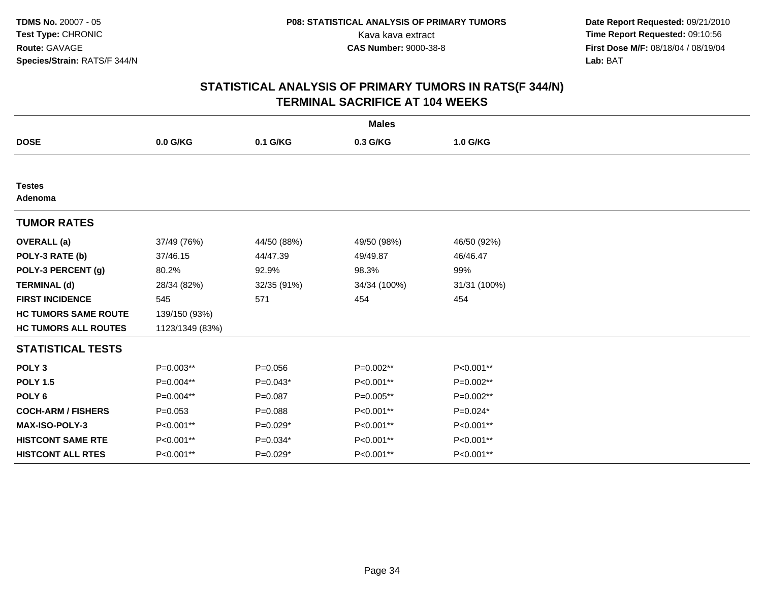| <b>Males</b>                |                 |             |              |              |  |  |
|-----------------------------|-----------------|-------------|--------------|--------------|--|--|
| <b>DOSE</b>                 | 0.0 G/KG        | 0.1 G/KG    | 0.3 G/KG     | 1.0 G/KG     |  |  |
|                             |                 |             |              |              |  |  |
| <b>Testes</b><br>Adenoma    |                 |             |              |              |  |  |
| <b>TUMOR RATES</b>          |                 |             |              |              |  |  |
| <b>OVERALL</b> (a)          | 37/49 (76%)     | 44/50 (88%) | 49/50 (98%)  | 46/50 (92%)  |  |  |
| POLY-3 RATE (b)             | 37/46.15        | 44/47.39    | 49/49.87     | 46/46.47     |  |  |
| POLY-3 PERCENT (g)          | 80.2%           | 92.9%       | 98.3%        | 99%          |  |  |
| <b>TERMINAL (d)</b>         | 28/34 (82%)     | 32/35 (91%) | 34/34 (100%) | 31/31 (100%) |  |  |
| <b>FIRST INCIDENCE</b>      | 545             | 571         | 454          | 454          |  |  |
| <b>HC TUMORS SAME ROUTE</b> | 139/150 (93%)   |             |              |              |  |  |
| <b>HC TUMORS ALL ROUTES</b> | 1123/1349 (83%) |             |              |              |  |  |
| <b>STATISTICAL TESTS</b>    |                 |             |              |              |  |  |
| POLY <sub>3</sub>           | $P=0.003**$     | $P = 0.056$ | P=0.002**    | P<0.001**    |  |  |
| <b>POLY 1.5</b>             | P=0.004**       | $P=0.043*$  | P<0.001**    | $P=0.002**$  |  |  |
| POLY <sub>6</sub>           | P=0.004**       | $P = 0.087$ | P=0.005**    | P=0.002**    |  |  |
| <b>COCH-ARM / FISHERS</b>   | $P = 0.053$     | $P = 0.088$ | P<0.001**    | $P=0.024*$   |  |  |
| <b>MAX-ISO-POLY-3</b>       | P<0.001**       | $P=0.029*$  | P<0.001**    | P<0.001**    |  |  |
| <b>HISTCONT SAME RTE</b>    | P<0.001**       | $P=0.034*$  | P<0.001**    | P<0.001**    |  |  |
| <b>HISTCONT ALL RTES</b>    | P<0.001**       | $P=0.029*$  | P<0.001**    | P<0.001**    |  |  |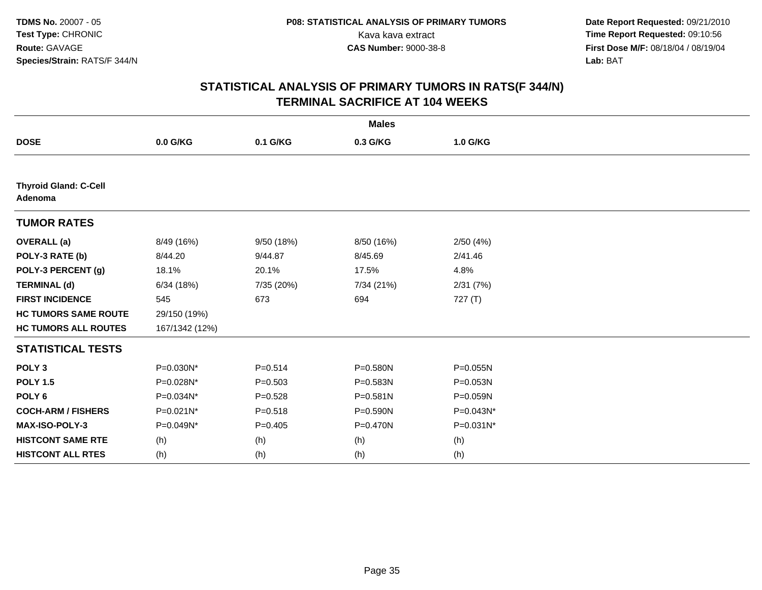| <b>Males</b>                            |                |             |              |           |  |  |
|-----------------------------------------|----------------|-------------|--------------|-----------|--|--|
| <b>DOSE</b>                             | 0.0 G/KG       | 0.1 G/KG    | 0.3 G/KG     | 1.0 G/KG  |  |  |
|                                         |                |             |              |           |  |  |
| <b>Thyroid Gland: C-Cell</b><br>Adenoma |                |             |              |           |  |  |
| <b>TUMOR RATES</b>                      |                |             |              |           |  |  |
| <b>OVERALL</b> (a)                      | 8/49 (16%)     | 9/50 (18%)  | 8/50 (16%)   | 2/50(4%)  |  |  |
| POLY-3 RATE (b)                         | 8/44.20        | 9/44.87     | 8/45.69      | 2/41.46   |  |  |
| POLY-3 PERCENT (g)                      | 18.1%          | 20.1%       | 17.5%        | 4.8%      |  |  |
| <b>TERMINAL (d)</b>                     | 6/34(18%)      | 7/35 (20%)  | 7/34 (21%)   | 2/31(7%)  |  |  |
| <b>FIRST INCIDENCE</b>                  | 545            | 673         | 694          | 727(T)    |  |  |
| <b>HC TUMORS SAME ROUTE</b>             | 29/150 (19%)   |             |              |           |  |  |
| <b>HC TUMORS ALL ROUTES</b>             | 167/1342 (12%) |             |              |           |  |  |
| <b>STATISTICAL TESTS</b>                |                |             |              |           |  |  |
| POLY <sub>3</sub>                       | P=0.030N*      | $P = 0.514$ | P=0.580N     | P=0.055N  |  |  |
| <b>POLY 1.5</b>                         | P=0.028N*      | $P = 0.503$ | P=0.583N     | P=0.053N  |  |  |
| POLY <sub>6</sub>                       | P=0.034N*      | $P = 0.528$ | P=0.581N     | P=0.059N  |  |  |
| <b>COCH-ARM / FISHERS</b>               | P=0.021N*      | $P = 0.518$ | P=0.590N     | P=0.043N* |  |  |
| <b>MAX-ISO-POLY-3</b>                   | P=0.049N*      | $P=0.405$   | $P = 0.470N$ | P=0.031N* |  |  |
| <b>HISTCONT SAME RTE</b>                | (h)            | (h)         | (h)          | (h)       |  |  |
| <b>HISTCONT ALL RTES</b>                | (h)            | (h)         | (h)          | (h)       |  |  |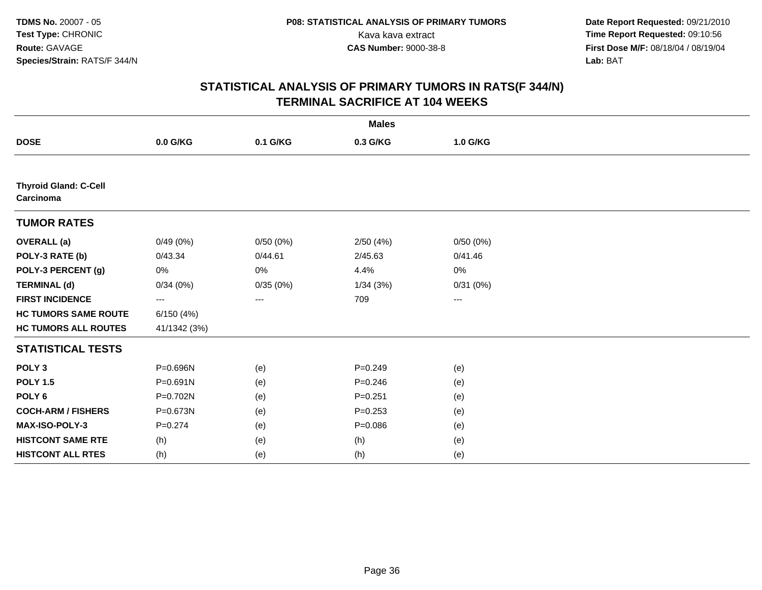| <b>Males</b>                              |                     |          |             |          |  |
|-------------------------------------------|---------------------|----------|-------------|----------|--|
| <b>DOSE</b>                               | 0.0 G/KG            | 0.1 G/KG | 0.3 G/KG    | 1.0 G/KG |  |
|                                           |                     |          |             |          |  |
| <b>Thyroid Gland: C-Cell</b><br>Carcinoma |                     |          |             |          |  |
| <b>TUMOR RATES</b>                        |                     |          |             |          |  |
| <b>OVERALL</b> (a)                        | 0/49(0%)            | 0/50(0%) | 2/50(4%)    | 0/50(0%) |  |
| POLY-3 RATE (b)                           | 0/43.34             | 0/44.61  | 2/45.63     | 0/41.46  |  |
| POLY-3 PERCENT (g)                        | 0%                  | 0%       | 4.4%        | 0%       |  |
| <b>TERMINAL (d)</b>                       | 0/34(0%)            | 0/35(0%) | 1/34(3%)    | 0/31(0%) |  |
| <b>FIRST INCIDENCE</b>                    | $\qquad \qquad - -$ | ---      | 709         | ---      |  |
| <b>HC TUMORS SAME ROUTE</b>               | 6/150(4%)           |          |             |          |  |
| <b>HC TUMORS ALL ROUTES</b>               | 41/1342 (3%)        |          |             |          |  |
| <b>STATISTICAL TESTS</b>                  |                     |          |             |          |  |
| POLY <sub>3</sub>                         | P=0.696N            | (e)      | $P = 0.249$ | (e)      |  |
| <b>POLY 1.5</b>                           | P=0.691N            | (e)      | $P = 0.246$ | (e)      |  |
| POLY <sub>6</sub>                         | P=0.702N            | (e)      | $P = 0.251$ | (e)      |  |
| <b>COCH-ARM / FISHERS</b>                 | P=0.673N            | (e)      | $P = 0.253$ | (e)      |  |
| MAX-ISO-POLY-3                            | $P = 0.274$         | (e)      | $P = 0.086$ | (e)      |  |
| <b>HISTCONT SAME RTE</b>                  | (h)                 | (e)      | (h)         | (e)      |  |
| <b>HISTCONT ALL RTES</b>                  | (h)                 | (e)      | (h)         | (e)      |  |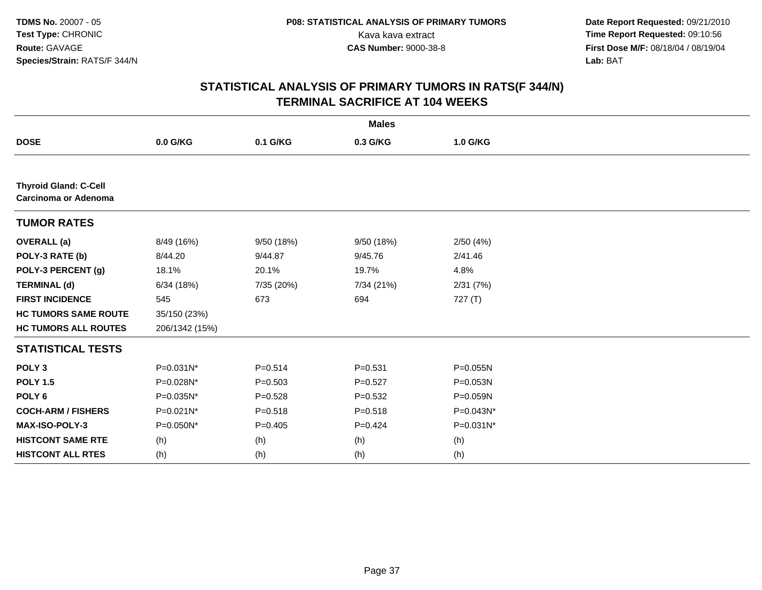|                                                      |                |             | <b>Males</b> |              |  |
|------------------------------------------------------|----------------|-------------|--------------|--------------|--|
| <b>DOSE</b>                                          | 0.0 G/KG       | 0.1 G/KG    | 0.3 G/KG     | 1.0 G/KG     |  |
|                                                      |                |             |              |              |  |
| <b>Thyroid Gland: C-Cell</b><br>Carcinoma or Adenoma |                |             |              |              |  |
| <b>TUMOR RATES</b>                                   |                |             |              |              |  |
| <b>OVERALL</b> (a)                                   | 8/49 (16%)     | 9/50(18%)   | 9/50 (18%)   | 2/50(4%)     |  |
| POLY-3 RATE (b)                                      | 8/44.20        | 9/44.87     | 9/45.76      | 2/41.46      |  |
| POLY-3 PERCENT (g)                                   | 18.1%          | 20.1%       | 19.7%        | 4.8%         |  |
| <b>TERMINAL (d)</b>                                  | 6/34(18%)      | 7/35 (20%)  | 7/34 (21%)   | 2/31(7%)     |  |
| <b>FIRST INCIDENCE</b>                               | 545            | 673         | 694          | 727(T)       |  |
| <b>HC TUMORS SAME ROUTE</b>                          | 35/150 (23%)   |             |              |              |  |
| <b>HC TUMORS ALL ROUTES</b>                          | 206/1342 (15%) |             |              |              |  |
| <b>STATISTICAL TESTS</b>                             |                |             |              |              |  |
| POLY <sub>3</sub>                                    | P=0.031N*      | $P=0.514$   | $P = 0.531$  | $P = 0.055N$ |  |
| <b>POLY 1.5</b>                                      | P=0.028N*      | $P = 0.503$ | $P=0.527$    | P=0.053N     |  |
| POLY <sub>6</sub>                                    | P=0.035N*      | $P=0.528$   | $P = 0.532$  | P=0.059N     |  |
| <b>COCH-ARM / FISHERS</b>                            | P=0.021N*      | $P = 0.518$ | $P = 0.518$  | P=0.043N*    |  |
| <b>MAX-ISO-POLY-3</b>                                | P=0.050N*      | $P=0.405$   | $P=0.424$    | P=0.031N*    |  |
| <b>HISTCONT SAME RTE</b>                             | (h)            | (h)         | (h)          | (h)          |  |
| <b>HISTCONT ALL RTES</b>                             | (h)            | (h)         | (h)          | (h)          |  |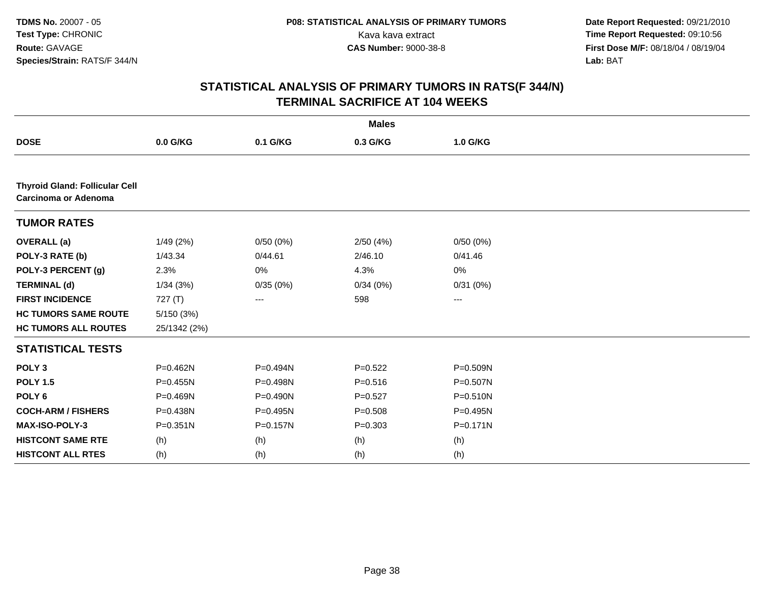|                                                               |              |                   | <b>Males</b> |                   |  |
|---------------------------------------------------------------|--------------|-------------------|--------------|-------------------|--|
| <b>DOSE</b>                                                   | 0.0 G/KG     | 0.1 G/KG          | 0.3 G/KG     | 1.0 G/KG          |  |
|                                                               |              |                   |              |                   |  |
| <b>Thyroid Gland: Follicular Cell</b><br>Carcinoma or Adenoma |              |                   |              |                   |  |
| <b>TUMOR RATES</b>                                            |              |                   |              |                   |  |
| <b>OVERALL</b> (a)                                            | 1/49(2%)     | 0/50(0%)          | 2/50 (4%)    | 0/50(0%)          |  |
| POLY-3 RATE (b)                                               | 1/43.34      | 0/44.61           | 2/46.10      | 0/41.46           |  |
| POLY-3 PERCENT (g)                                            | 2.3%         | 0%                | 4.3%         | 0%                |  |
| <b>TERMINAL (d)</b>                                           | 1/34(3%)     | 0/35(0%)          | 0/34(0%)     | 0/31(0%)          |  |
| <b>FIRST INCIDENCE</b>                                        | 727(T)       | $\qquad \qquad -$ | 598          | $\qquad \qquad -$ |  |
| <b>HC TUMORS SAME ROUTE</b>                                   | 5/150(3%)    |                   |              |                   |  |
| <b>HC TUMORS ALL ROUTES</b>                                   | 25/1342 (2%) |                   |              |                   |  |
| <b>STATISTICAL TESTS</b>                                      |              |                   |              |                   |  |
| POLY <sub>3</sub>                                             | P=0.462N     | P=0.494N          | $P = 0.522$  | P=0.509N          |  |
| <b>POLY 1.5</b>                                               | $P = 0.455N$ | P=0.498N          | $P = 0.516$  | P=0.507N          |  |
| POLY <sub>6</sub>                                             | P=0.469N     | $P = 0.490N$      | $P=0.527$    | P=0.510N          |  |
| <b>COCH-ARM / FISHERS</b>                                     | P=0.438N     | P=0.495N          | $P = 0.508$  | P=0.495N          |  |
| <b>MAX-ISO-POLY-3</b>                                         | $P = 0.351N$ | $P = 0.157N$      | $P = 0.303$  | $P = 0.171N$      |  |
| <b>HISTCONT SAME RTE</b>                                      | (h)          | (h)               | (h)          | (h)               |  |
| <b>HISTCONT ALL RTES</b>                                      | (h)          | (h)               | (h)          | (h)               |  |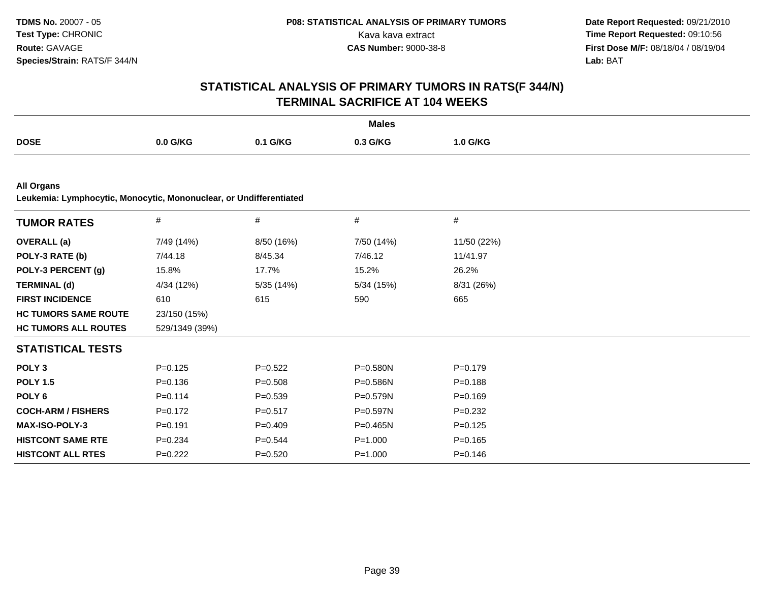|                                                                                         |                |             | <b>Males</b> |             |  |
|-----------------------------------------------------------------------------------------|----------------|-------------|--------------|-------------|--|
| <b>DOSE</b>                                                                             | 0.0 G/KG       | 0.1 G/KG    | 0.3 G/KG     | 1.0 G/KG    |  |
|                                                                                         |                |             |              |             |  |
| <b>All Organs</b><br>Leukemia: Lymphocytic, Monocytic, Mononuclear, or Undifferentiated |                |             |              |             |  |
| <b>TUMOR RATES</b>                                                                      | #              | #           | #            | #           |  |
| <b>OVERALL</b> (a)                                                                      | 7/49 (14%)     | 8/50 (16%)  | 7/50 (14%)   | 11/50 (22%) |  |
| POLY-3 RATE (b)                                                                         | 7/44.18        | 8/45.34     | 7/46.12      | 11/41.97    |  |
| POLY-3 PERCENT (g)                                                                      | 15.8%          | 17.7%       | 15.2%        | 26.2%       |  |
| <b>TERMINAL (d)</b>                                                                     | 4/34 (12%)     | 5/35 (14%)  | 5/34 (15%)   | 8/31 (26%)  |  |
| <b>FIRST INCIDENCE</b>                                                                  | 610            | 615         | 590          | 665         |  |
| <b>HC TUMORS SAME ROUTE</b>                                                             | 23/150 (15%)   |             |              |             |  |
| <b>HC TUMORS ALL ROUTES</b>                                                             | 529/1349 (39%) |             |              |             |  |
| <b>STATISTICAL TESTS</b>                                                                |                |             |              |             |  |
| POLY <sub>3</sub>                                                                       | $P=0.125$      | $P=0.522$   | $P = 0.580N$ | $P = 0.179$ |  |
| <b>POLY 1.5</b>                                                                         | $P = 0.136$    | $P = 0.508$ | $P = 0.586N$ | $P = 0.188$ |  |
| POLY <sub>6</sub>                                                                       | $P=0.114$      | $P = 0.539$ | $P = 0.579N$ | $P=0.169$   |  |
| <b>COCH-ARM / FISHERS</b>                                                               | $P=0.172$      | $P = 0.517$ | P=0.597N     | $P=0.232$   |  |
| MAX-ISO-POLY-3                                                                          | $P = 0.191$    | $P=0.409$   | $P = 0.465N$ | $P = 0.125$ |  |
| <b>HISTCONT SAME RTE</b>                                                                | $P = 0.234$    | $P = 0.544$ | $P = 1.000$  | $P = 0.165$ |  |
| <b>HISTCONT ALL RTES</b>                                                                | $P=0.222$      | $P = 0.520$ | $P = 1.000$  | $P = 0.146$ |  |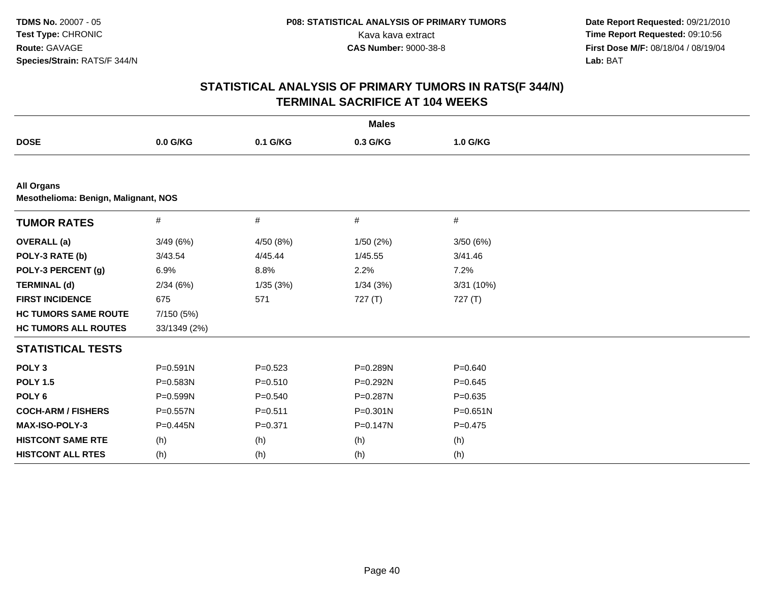|                                                           |              |             | <b>Males</b> |              |  |
|-----------------------------------------------------------|--------------|-------------|--------------|--------------|--|
| <b>DOSE</b>                                               | 0.0 G/KG     | 0.1 G/KG    | 0.3 G/KG     | 1.0 G/KG     |  |
|                                                           |              |             |              |              |  |
| <b>All Organs</b><br>Mesothelioma: Benign, Malignant, NOS |              |             |              |              |  |
| <b>TUMOR RATES</b>                                        | $\#$         | $\#$        | #            | #            |  |
| <b>OVERALL</b> (a)                                        | 3/49(6%)     | 4/50 (8%)   | 1/50(2%)     | 3/50(6%)     |  |
| POLY-3 RATE (b)                                           | 3/43.54      | 4/45.44     | 1/45.55      | 3/41.46      |  |
| POLY-3 PERCENT (g)                                        | 6.9%         | 8.8%        | 2.2%         | 7.2%         |  |
| <b>TERMINAL (d)</b>                                       | 2/34(6%)     | 1/35(3%)    | 1/34(3%)     | 3/31 (10%)   |  |
| <b>FIRST INCIDENCE</b>                                    | 675          | 571         | 727 (T)      | 727 (T)      |  |
| <b>HC TUMORS SAME ROUTE</b>                               | 7/150 (5%)   |             |              |              |  |
| <b>HC TUMORS ALL ROUTES</b>                               | 33/1349 (2%) |             |              |              |  |
| <b>STATISTICAL TESTS</b>                                  |              |             |              |              |  |
| POLY <sub>3</sub>                                         | $P = 0.591N$ | $P = 0.523$ | P=0.289N     | $P = 0.640$  |  |
| <b>POLY 1.5</b>                                           | P=0.583N     | $P = 0.510$ | P=0.292N     | $P = 0.645$  |  |
| POLY <sub>6</sub>                                         | P=0.599N     | $P = 0.540$ | P=0.287N     | $P = 0.635$  |  |
| <b>COCH-ARM / FISHERS</b>                                 | P=0.557N     | $P = 0.511$ | $P = 0.301N$ | $P = 0.651N$ |  |
| MAX-ISO-POLY-3                                            | $P = 0.445N$ | $P = 0.371$ | P=0.147N     | $P=0.475$    |  |
| <b>HISTCONT SAME RTE</b>                                  | (h)          | (h)         | (h)          | (h)          |  |
| <b>HISTCONT ALL RTES</b>                                  | (h)          | (h)         | (h)          | (h)          |  |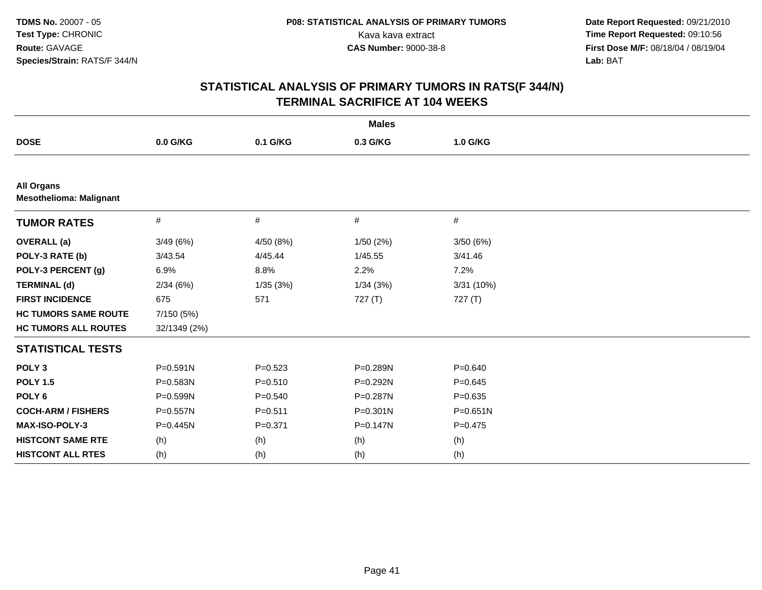|                                                     |              |             | <b>Males</b> |              |  |
|-----------------------------------------------------|--------------|-------------|--------------|--------------|--|
| <b>DOSE</b>                                         | 0.0 G/KG     | 0.1 G/KG    | 0.3 G/KG     | 1.0 G/KG     |  |
|                                                     |              |             |              |              |  |
| <b>All Organs</b><br><b>Mesothelioma: Malignant</b> |              |             |              |              |  |
| <b>TUMOR RATES</b>                                  | #            | $\#$        | #            | $\#$         |  |
| <b>OVERALL</b> (a)                                  | 3/49(6%)     | 4/50 (8%)   | 1/50 (2%)    | 3/50(6%)     |  |
| POLY-3 RATE (b)                                     | 3/43.54      | 4/45.44     | 1/45.55      | 3/41.46      |  |
| POLY-3 PERCENT (g)                                  | 6.9%         | 8.8%        | 2.2%         | 7.2%         |  |
| <b>TERMINAL (d)</b>                                 | 2/34(6%)     | 1/35(3%)    | 1/34(3%)     | 3/31 (10%)   |  |
| <b>FIRST INCIDENCE</b>                              | 675          | 571         | 727 (T)      | 727 (T)      |  |
| <b>HC TUMORS SAME ROUTE</b>                         | 7/150 (5%)   |             |              |              |  |
| <b>HC TUMORS ALL ROUTES</b>                         | 32/1349 (2%) |             |              |              |  |
| <b>STATISTICAL TESTS</b>                            |              |             |              |              |  |
| POLY <sub>3</sub>                                   | P=0.591N     | $P=0.523$   | P=0.289N     | $P = 0.640$  |  |
| <b>POLY 1.5</b>                                     | P=0.583N     | $P = 0.510$ | P=0.292N     | $P = 0.645$  |  |
| POLY <sub>6</sub>                                   | P=0.599N     | $P = 0.540$ | P=0.287N     | $P = 0.635$  |  |
| <b>COCH-ARM / FISHERS</b>                           | P=0.557N     | $P = 0.511$ | $P = 0.301N$ | $P = 0.651N$ |  |
| <b>MAX-ISO-POLY-3</b>                               | $P = 0.445N$ | $P = 0.371$ | $P = 0.147N$ | $P=0.475$    |  |
| <b>HISTCONT SAME RTE</b>                            | (h)          | (h)         | (h)          | (h)          |  |
| <b>HISTCONT ALL RTES</b>                            | (h)          | (h)         | (h)          | (h)          |  |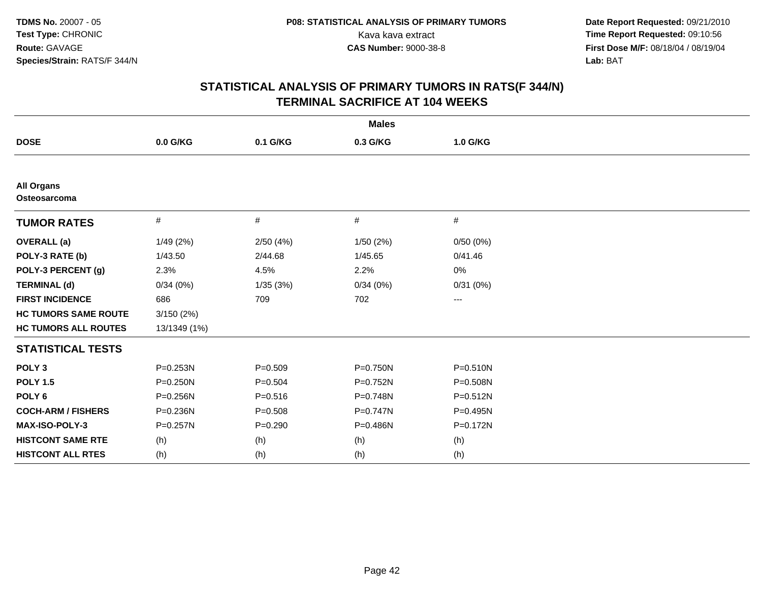|                                   |              |             | <b>Males</b> |              |  |
|-----------------------------------|--------------|-------------|--------------|--------------|--|
| <b>DOSE</b>                       | $0.0$ G/KG   | 0.1 G/KG    | 0.3 G/KG     | 1.0 G/KG     |  |
|                                   |              |             |              |              |  |
| <b>All Organs</b><br>Osteosarcoma |              |             |              |              |  |
| <b>TUMOR RATES</b>                | #            | #           | #            | #            |  |
| <b>OVERALL</b> (a)                | 1/49(2%)     | 2/50(4%)    | 1/50(2%)     | 0/50(0%)     |  |
| POLY-3 RATE (b)                   | 1/43.50      | 2/44.68     | 1/45.65      | 0/41.46      |  |
| POLY-3 PERCENT (g)                | 2.3%         | 4.5%        | 2.2%         | 0%           |  |
| <b>TERMINAL (d)</b>               | 0/34(0%)     | 1/35(3%)    | 0/34(0%)     | 0/31(0%)     |  |
| <b>FIRST INCIDENCE</b>            | 686          | 709         | 702          | ---          |  |
| <b>HC TUMORS SAME ROUTE</b>       | 3/150(2%)    |             |              |              |  |
| <b>HC TUMORS ALL ROUTES</b>       | 13/1349 (1%) |             |              |              |  |
| <b>STATISTICAL TESTS</b>          |              |             |              |              |  |
| POLY <sub>3</sub>                 | P=0.253N     | $P = 0.509$ | P=0.750N     | $P = 0.510N$ |  |
| <b>POLY 1.5</b>                   | $P = 0.250N$ | $P = 0.504$ | P=0.752N     | P=0.508N     |  |
| POLY <sub>6</sub>                 | P=0.256N     | $P = 0.516$ | P=0.748N     | $P = 0.512N$ |  |
| <b>COCH-ARM / FISHERS</b>         | P=0.236N     | $P = 0.508$ | P=0.747N     | P=0.495N     |  |
| MAX-ISO-POLY-3                    | $P = 0.257N$ | $P=0.290$   | P=0.486N     | P=0.172N     |  |
| <b>HISTCONT SAME RTE</b>          | (h)          | (h)         | (h)          | (h)          |  |
| <b>HISTCONT ALL RTES</b>          | (h)          | (h)         | (h)          | (h)          |  |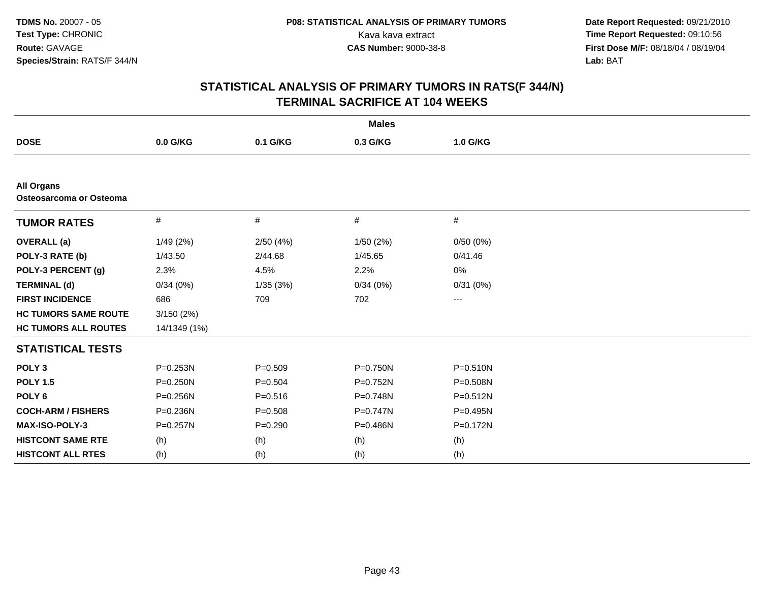|                                              |              |             | <b>Males</b> |              |  |
|----------------------------------------------|--------------|-------------|--------------|--------------|--|
| <b>DOSE</b>                                  | 0.0 G/KG     | 0.1 G/KG    | 0.3 G/KG     | 1.0 G/KG     |  |
|                                              |              |             |              |              |  |
| <b>All Organs</b><br>Osteosarcoma or Osteoma |              |             |              |              |  |
| <b>TUMOR RATES</b>                           | #            | #           | #            | #            |  |
| <b>OVERALL (a)</b>                           | 1/49(2%)     | 2/50(4%)    | 1/50(2%)     | 0/50(0%)     |  |
| POLY-3 RATE (b)                              | 1/43.50      | 2/44.68     | 1/45.65      | 0/41.46      |  |
| POLY-3 PERCENT (g)                           | 2.3%         | 4.5%        | 2.2%         | 0%           |  |
| <b>TERMINAL (d)</b>                          | 0/34(0%)     | 1/35(3%)    | 0/34(0%)     | 0/31(0%)     |  |
| <b>FIRST INCIDENCE</b>                       | 686          | 709         | 702          | ---          |  |
| <b>HC TUMORS SAME ROUTE</b>                  | 3/150(2%)    |             |              |              |  |
| <b>HC TUMORS ALL ROUTES</b>                  | 14/1349 (1%) |             |              |              |  |
| <b>STATISTICAL TESTS</b>                     |              |             |              |              |  |
| POLY <sub>3</sub>                            | P=0.253N     | $P = 0.509$ | P=0.750N     | $P = 0.510N$ |  |
| <b>POLY 1.5</b>                              | P=0.250N     | $P = 0.504$ | P=0.752N     | P=0.508N     |  |
| POLY <sub>6</sub>                            | P=0.256N     | $P = 0.516$ | P=0.748N     | $P = 0.512N$ |  |
| <b>COCH-ARM / FISHERS</b>                    | P=0.236N     | $P = 0.508$ | P=0.747N     | P=0.495N     |  |
| MAX-ISO-POLY-3                               | P=0.257N     | $P = 0.290$ | P=0.486N     | P=0.172N     |  |
| <b>HISTCONT SAME RTE</b>                     | (h)          | (h)         | (h)          | (h)          |  |
| <b>HISTCONT ALL RTES</b>                     | (h)          | (h)         | (h)          | (h)          |  |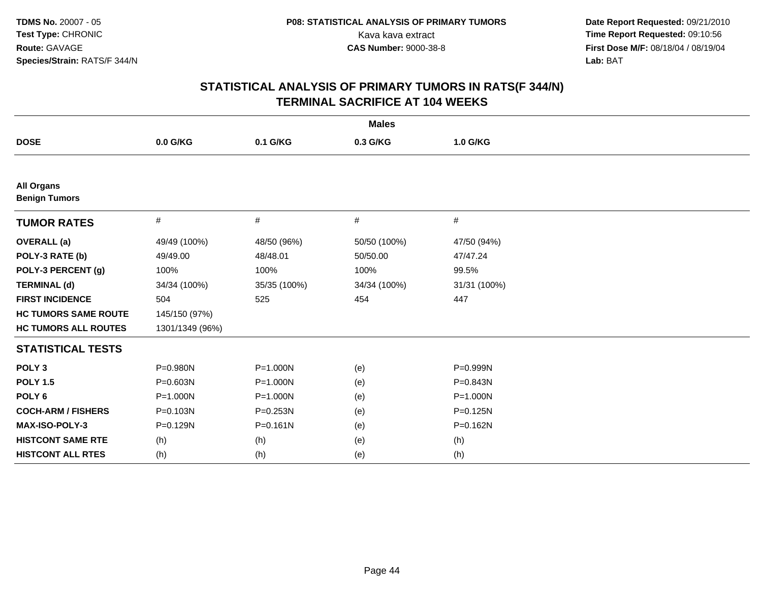| <b>Males</b>                              |                 |              |              |              |  |  |
|-------------------------------------------|-----------------|--------------|--------------|--------------|--|--|
| <b>DOSE</b>                               | 0.0 G/KG        | 0.1 G/KG     | 0.3 G/KG     | 1.0 G/KG     |  |  |
|                                           |                 |              |              |              |  |  |
| <b>All Organs</b><br><b>Benign Tumors</b> |                 |              |              |              |  |  |
| <b>TUMOR RATES</b>                        | #               | #            | #            | #            |  |  |
| <b>OVERALL</b> (a)                        | 49/49 (100%)    | 48/50 (96%)  | 50/50 (100%) | 47/50 (94%)  |  |  |
| POLY-3 RATE (b)                           | 49/49.00        | 48/48.01     | 50/50.00     | 47/47.24     |  |  |
| POLY-3 PERCENT (g)                        | 100%            | 100%         | 100%         | 99.5%        |  |  |
| <b>TERMINAL (d)</b>                       | 34/34 (100%)    | 35/35 (100%) | 34/34 (100%) | 31/31 (100%) |  |  |
| <b>FIRST INCIDENCE</b>                    | 504             | 525          | 454          | 447          |  |  |
| <b>HC TUMORS SAME ROUTE</b>               | 145/150 (97%)   |              |              |              |  |  |
| <b>HC TUMORS ALL ROUTES</b>               | 1301/1349 (96%) |              |              |              |  |  |
| <b>STATISTICAL TESTS</b>                  |                 |              |              |              |  |  |
| POLY <sub>3</sub>                         | P=0.980N        | P=1.000N     | (e)          | P=0.999N     |  |  |
| <b>POLY 1.5</b>                           | P=0.603N        | P=1.000N     | (e)          | P=0.843N     |  |  |
| POLY <sub>6</sub>                         | P=1.000N        | $P = 1.000N$ | (e)          | $P = 1.000N$ |  |  |
| <b>COCH-ARM / FISHERS</b>                 | P=0.103N        | P=0.253N     | (e)          | P=0.125N     |  |  |
| MAX-ISO-POLY-3                            | P=0.129N        | $P = 0.161N$ | (e)          | P=0.162N     |  |  |
| <b>HISTCONT SAME RTE</b>                  | (h)             | (h)          | (e)          | (h)          |  |  |
| <b>HISTCONT ALL RTES</b>                  | (h)             | (h)          | (e)          | (h)          |  |  |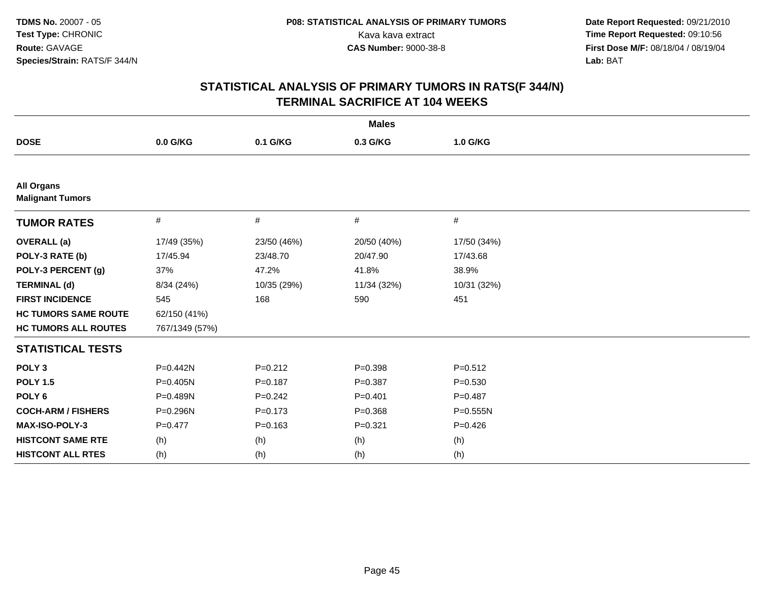| <b>Males</b>                                 |                |             |             |              |  |  |
|----------------------------------------------|----------------|-------------|-------------|--------------|--|--|
| <b>DOSE</b>                                  | 0.0 G/KG       | 0.1 G/KG    | 0.3 G/KG    | 1.0 G/KG     |  |  |
|                                              |                |             |             |              |  |  |
| <b>All Organs</b><br><b>Malignant Tumors</b> |                |             |             |              |  |  |
| <b>TUMOR RATES</b>                           | $\#$           | $\#$        | #           | #            |  |  |
| <b>OVERALL (a)</b>                           | 17/49 (35%)    | 23/50 (46%) | 20/50 (40%) | 17/50 (34%)  |  |  |
| POLY-3 RATE (b)                              | 17/45.94       | 23/48.70    | 20/47.90    | 17/43.68     |  |  |
| POLY-3 PERCENT (g)                           | 37%            | 47.2%       | 41.8%       | 38.9%        |  |  |
| <b>TERMINAL (d)</b>                          | 8/34 (24%)     | 10/35 (29%) | 11/34 (32%) | 10/31 (32%)  |  |  |
| <b>FIRST INCIDENCE</b>                       | 545            | 168         | 590         | 451          |  |  |
| <b>HC TUMORS SAME ROUTE</b>                  | 62/150 (41%)   |             |             |              |  |  |
| <b>HC TUMORS ALL ROUTES</b>                  | 767/1349 (57%) |             |             |              |  |  |
| <b>STATISTICAL TESTS</b>                     |                |             |             |              |  |  |
| POLY <sub>3</sub>                            | P=0.442N       | $P = 0.212$ | $P = 0.398$ | $P = 0.512$  |  |  |
| <b>POLY 1.5</b>                              | P=0.405N       | $P = 0.187$ | $P=0.387$   | $P = 0.530$  |  |  |
| POLY <sub>6</sub>                            | P=0.489N       | $P=0.242$   | $P = 0.401$ | $P=0.487$    |  |  |
| <b>COCH-ARM / FISHERS</b>                    | P=0.296N       | $P = 0.173$ | $P = 0.368$ | $P = 0.555N$ |  |  |
| MAX-ISO-POLY-3                               | $P=0.477$      | $P = 0.163$ | $P = 0.321$ | $P = 0.426$  |  |  |
| <b>HISTCONT SAME RTE</b>                     | (h)            | (h)         | (h)         | (h)          |  |  |
| <b>HISTCONT ALL RTES</b>                     | (h)            | (h)         | (h)         | (h)          |  |  |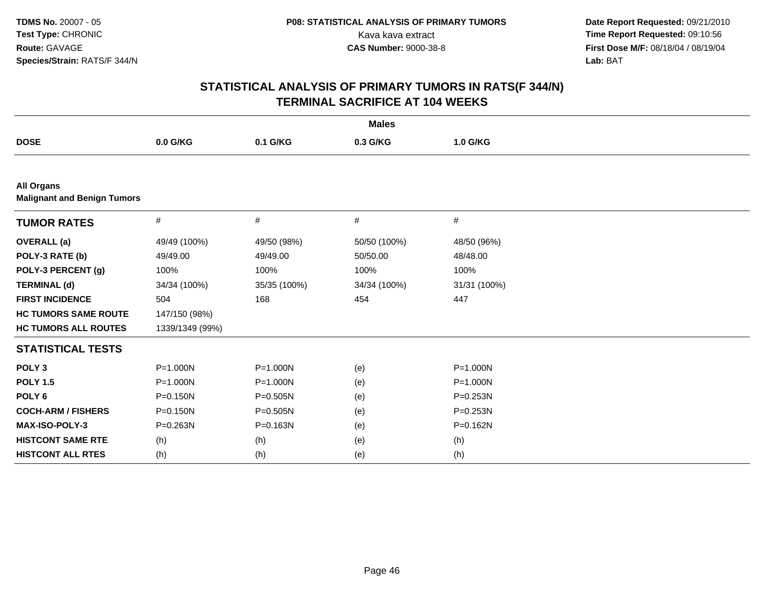|                                                         |                 |              | <b>Males</b> |              |
|---------------------------------------------------------|-----------------|--------------|--------------|--------------|
| <b>DOSE</b>                                             | 0.0 G/KG        | 0.1 G/KG     | 0.3 G/KG     | 1.0 G/KG     |
|                                                         |                 |              |              |              |
| <b>All Organs</b><br><b>Malignant and Benign Tumors</b> |                 |              |              |              |
| <b>TUMOR RATES</b>                                      | $\#$            | #            | $\#$         | #            |
| <b>OVERALL</b> (a)                                      | 49/49 (100%)    | 49/50 (98%)  | 50/50 (100%) | 48/50 (96%)  |
| POLY-3 RATE (b)                                         | 49/49.00        | 49/49.00     | 50/50.00     | 48/48.00     |
| POLY-3 PERCENT (g)                                      | 100%            | 100%         | 100%         | 100%         |
| <b>TERMINAL (d)</b>                                     | 34/34 (100%)    | 35/35 (100%) | 34/34 (100%) | 31/31 (100%) |
| <b>FIRST INCIDENCE</b>                                  | 504             | 168          | 454          | 447          |
| <b>HC TUMORS SAME ROUTE</b>                             | 147/150 (98%)   |              |              |              |
| <b>HC TUMORS ALL ROUTES</b>                             | 1339/1349 (99%) |              |              |              |
| <b>STATISTICAL TESTS</b>                                |                 |              |              |              |
| POLY <sub>3</sub>                                       | $P = 1.000N$    | $P = 1.000N$ | (e)          | P=1.000N     |
| <b>POLY 1.5</b>                                         | $P = 1.000N$    | $P = 1.000N$ | (e)          | P=1.000N     |
| POLY <sub>6</sub>                                       | P=0.150N        | P=0.505N     | (e)          | P=0.253N     |
| <b>COCH-ARM / FISHERS</b>                               | $P = 0.150N$    | $P = 0.505N$ | (e)          | P=0.253N     |
| MAX-ISO-POLY-3                                          | P=0.263N        | $P = 0.163N$ | (e)          | P=0.162N     |
| <b>HISTCONT SAME RTE</b>                                | (h)             | (h)          | (e)          | (h)          |
| <b>HISTCONT ALL RTES</b>                                | (h)             | (h)          | (e)          | (h)          |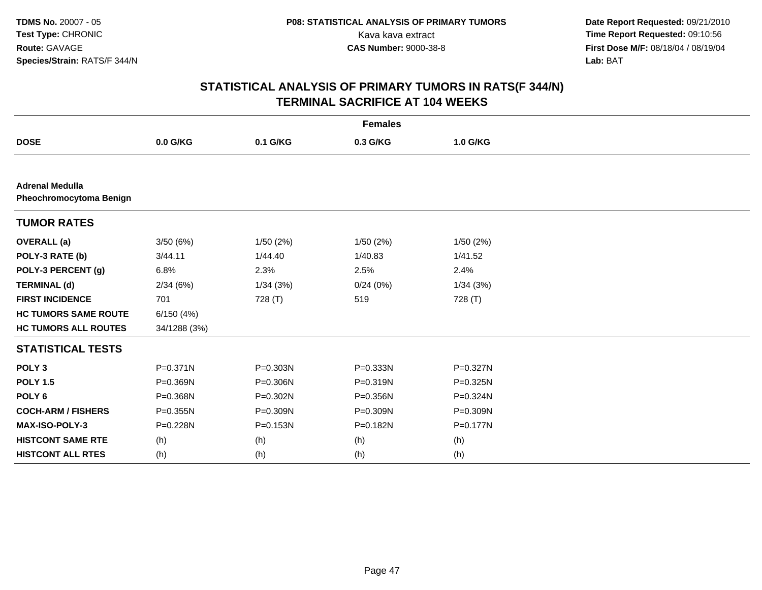|                                                   |              |              | <b>Females</b> |              |
|---------------------------------------------------|--------------|--------------|----------------|--------------|
| <b>DOSE</b>                                       | 0.0 G/KG     | 0.1 G/KG     | 0.3 G/KG       | 1.0 G/KG     |
|                                                   |              |              |                |              |
| <b>Adrenal Medulla</b><br>Pheochromocytoma Benign |              |              |                |              |
| <b>TUMOR RATES</b>                                |              |              |                |              |
| <b>OVERALL</b> (a)                                | 3/50(6%)     | 1/50(2%)     | 1/50(2%)       | 1/50(2%)     |
| POLY-3 RATE (b)                                   | 3/44.11      | 1/44.40      | 1/40.83        | 1/41.52      |
| POLY-3 PERCENT (g)                                | 6.8%         | 2.3%         | 2.5%           | 2.4%         |
| <b>TERMINAL (d)</b>                               | 2/34(6%)     | 1/34(3%)     | 0/24(0%)       | 1/34(3%)     |
| <b>FIRST INCIDENCE</b>                            | 701          | 728 (T)      | 519            | 728 (T)      |
| <b>HC TUMORS SAME ROUTE</b>                       | 6/150(4%)    |              |                |              |
| <b>HC TUMORS ALL ROUTES</b>                       | 34/1288 (3%) |              |                |              |
| <b>STATISTICAL TESTS</b>                          |              |              |                |              |
| POLY <sub>3</sub>                                 | $P = 0.371N$ | P=0.303N     | P=0.333N       | P=0.327N     |
| <b>POLY 1.5</b>                                   | P=0.369N     | $P = 0.306N$ | $P = 0.319N$   | P=0.325N     |
| POLY <sub>6</sub>                                 | P=0.368N     | P=0.302N     | P=0.356N       | P=0.324N     |
| <b>COCH-ARM / FISHERS</b>                         | P=0.355N     | P=0.309N     | P=0.309N       | $P = 0.309N$ |
| MAX-ISO-POLY-3                                    | P=0.228N     | $P = 0.153N$ | P=0.182N       | $P = 0.177N$ |
| <b>HISTCONT SAME RTE</b>                          | (h)          | (h)          | (h)            | (h)          |
| <b>HISTCONT ALL RTES</b>                          | (h)          | (h)          | (h)            | (h)          |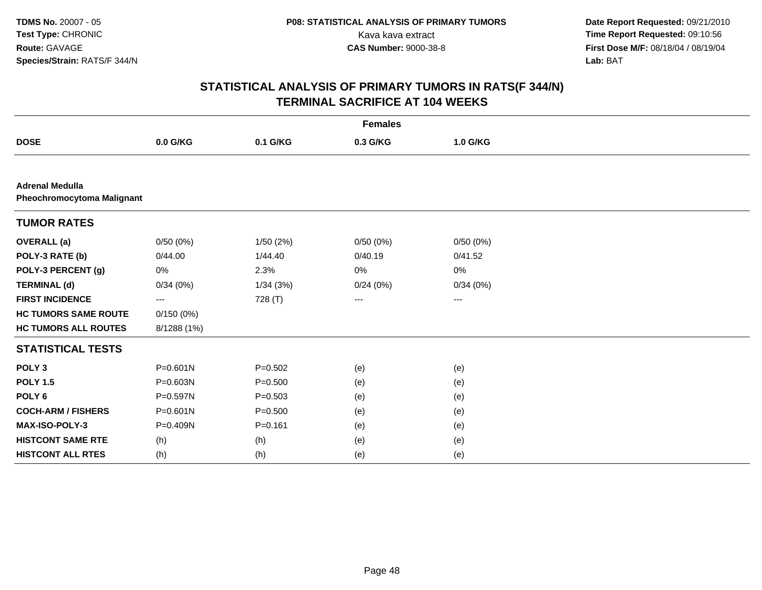|                                                             |              |             | <b>Females</b>    |                   |  |
|-------------------------------------------------------------|--------------|-------------|-------------------|-------------------|--|
| <b>DOSE</b>                                                 | 0.0 G/KG     | 0.1 G/KG    | 0.3 G/KG          | 1.0 G/KG          |  |
|                                                             |              |             |                   |                   |  |
| <b>Adrenal Medulla</b><br><b>Pheochromocytoma Malignant</b> |              |             |                   |                   |  |
| <b>TUMOR RATES</b>                                          |              |             |                   |                   |  |
| <b>OVERALL</b> (a)                                          | 0/50(0%)     | 1/50(2%)    | 0/50(0%)          | 0/50(0%)          |  |
| POLY-3 RATE (b)                                             | 0/44.00      | 1/44.40     | 0/40.19           | 0/41.52           |  |
| POLY-3 PERCENT (g)                                          | 0%           | 2.3%        | 0%                | 0%                |  |
| <b>TERMINAL (d)</b>                                         | 0/34(0%)     | 1/34(3%)    | 0/24(0%)          | 0/34(0%)          |  |
| <b>FIRST INCIDENCE</b>                                      | ---          | 728 (T)     | $\qquad \qquad -$ | $\qquad \qquad -$ |  |
| <b>HC TUMORS SAME ROUTE</b>                                 | 0/150(0%)    |             |                   |                   |  |
| <b>HC TUMORS ALL ROUTES</b>                                 | 8/1288 (1%)  |             |                   |                   |  |
| <b>STATISTICAL TESTS</b>                                    |              |             |                   |                   |  |
| POLY <sub>3</sub>                                           | $P = 0.601N$ | $P=0.502$   | (e)               | (e)               |  |
| <b>POLY 1.5</b>                                             | P=0.603N     | $P = 0.500$ | (e)               | (e)               |  |
| POLY <sub>6</sub>                                           | P=0.597N     | $P = 0.503$ | (e)               | (e)               |  |
| <b>COCH-ARM / FISHERS</b>                                   | P=0.601N     | $P = 0.500$ | (e)               | (e)               |  |
| MAX-ISO-POLY-3                                              | P=0.409N     | $P = 0.161$ | (e)               | (e)               |  |
| <b>HISTCONT SAME RTE</b>                                    | (h)          | (h)         | (e)               | (e)               |  |
| <b>HISTCONT ALL RTES</b>                                    | (h)          | (h)         | (e)               | (e)               |  |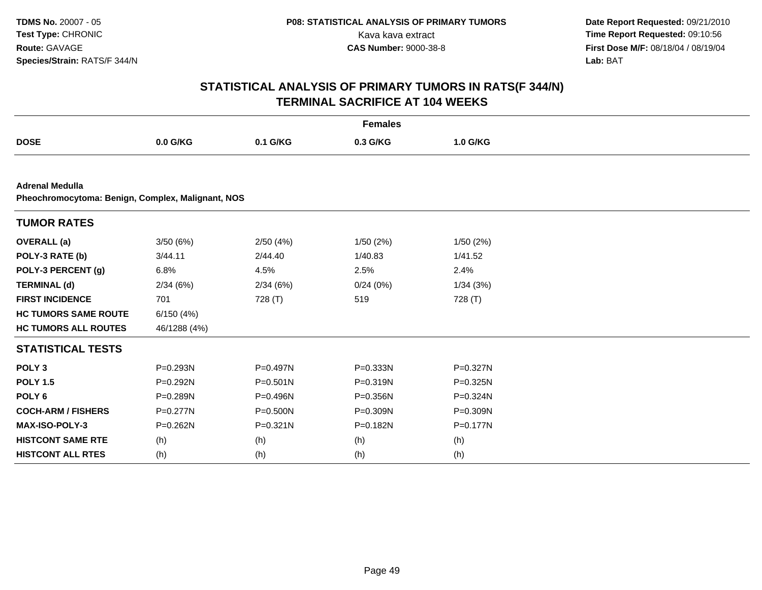|                                                                             |              |          | <b>Females</b> |          |  |
|-----------------------------------------------------------------------------|--------------|----------|----------------|----------|--|
| <b>DOSE</b>                                                                 | 0.0 G/KG     | 0.1 G/KG | 0.3 G/KG       | 1.0 G/KG |  |
|                                                                             |              |          |                |          |  |
| <b>Adrenal Medulla</b><br>Pheochromocytoma: Benign, Complex, Malignant, NOS |              |          |                |          |  |
| <b>TUMOR RATES</b>                                                          |              |          |                |          |  |
| <b>OVERALL</b> (a)                                                          | 3/50(6%)     | 2/50(4%) | 1/50(2%)       | 1/50(2%) |  |
| POLY-3 RATE (b)                                                             | 3/44.11      | 2/44.40  | 1/40.83        | 1/41.52  |  |
| POLY-3 PERCENT (g)                                                          | 6.8%         | 4.5%     | 2.5%           | 2.4%     |  |
| <b>TERMINAL (d)</b>                                                         | 2/34(6%)     | 2/34(6%) | 0/24(0%)       | 1/34(3%) |  |
| <b>FIRST INCIDENCE</b>                                                      | 701          | 728 (T)  | 519            | 728 (T)  |  |
| <b>HC TUMORS SAME ROUTE</b>                                                 | 6/150(4%)    |          |                |          |  |
| <b>HC TUMORS ALL ROUTES</b>                                                 | 46/1288 (4%) |          |                |          |  |
| <b>STATISTICAL TESTS</b>                                                    |              |          |                |          |  |
| POLY <sub>3</sub>                                                           | P=0.293N     | P=0.497N | $P = 0.333N$   | P=0.327N |  |
| <b>POLY 1.5</b>                                                             | P=0.292N     | P=0.501N | P=0.319N       | P=0.325N |  |
| POLY <sub>6</sub>                                                           | P=0.289N     | P=0.496N | P=0.356N       | P=0.324N |  |
| <b>COCH-ARM / FISHERS</b>                                                   | P=0.277N     | P=0.500N | P=0.309N       | P=0.309N |  |
| MAX-ISO-POLY-3                                                              | P=0.262N     | P=0.321N | P=0.182N       | P=0.177N |  |
| <b>HISTCONT SAME RTE</b>                                                    | (h)          | (h)      | (h)            | (h)      |  |
| <b>HISTCONT ALL RTES</b>                                                    | (h)          | (h)      | (h)            | (h)      |  |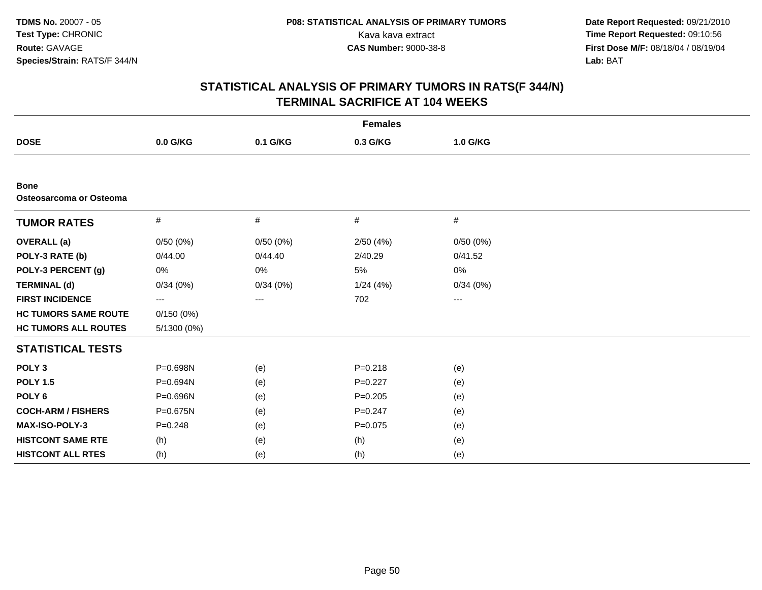| <b>Females</b>                         |             |          |             |                   |  |  |
|----------------------------------------|-------------|----------|-------------|-------------------|--|--|
| <b>DOSE</b>                            | 0.0 G/KG    | 0.1 G/KG | 0.3 G/KG    | 1.0 G/KG          |  |  |
|                                        |             |          |             |                   |  |  |
| <b>Bone</b><br>Osteosarcoma or Osteoma |             |          |             |                   |  |  |
| <b>TUMOR RATES</b>                     | #           | #        | #           | #                 |  |  |
| <b>OVERALL</b> (a)                     | 0/50(0%)    | 0/50(0%) | 2/50(4%)    | 0/50(0%)          |  |  |
| POLY-3 RATE (b)                        | 0/44.00     | 0/44.40  | 2/40.29     | 0/41.52           |  |  |
| POLY-3 PERCENT (g)                     | 0%          | 0%       | 5%          | 0%                |  |  |
| <b>TERMINAL (d)</b>                    | 0/34(0%)    | 0/34(0%) | 1/24(4%)    | 0/34(0%)          |  |  |
| <b>FIRST INCIDENCE</b>                 | ---         | $\cdots$ | 702         | $\qquad \qquad -$ |  |  |
| <b>HC TUMORS SAME ROUTE</b>            | 0/150(0%)   |          |             |                   |  |  |
| <b>HC TUMORS ALL ROUTES</b>            | 5/1300 (0%) |          |             |                   |  |  |
| <b>STATISTICAL TESTS</b>               |             |          |             |                   |  |  |
| POLY <sub>3</sub>                      | P=0.698N    | (e)      | $P = 0.218$ | (e)               |  |  |
| <b>POLY 1.5</b>                        | P=0.694N    | (e)      | $P=0.227$   | (e)               |  |  |
| POLY <sub>6</sub>                      | P=0.696N    | (e)      | $P=0.205$   | (e)               |  |  |
| <b>COCH-ARM / FISHERS</b>              | P=0.675N    | (e)      | $P = 0.247$ | (e)               |  |  |
| MAX-ISO-POLY-3                         | $P = 0.248$ | (e)      | $P = 0.075$ | (e)               |  |  |
| <b>HISTCONT SAME RTE</b>               | (h)         | (e)      | (h)         | (e)               |  |  |
| <b>HISTCONT ALL RTES</b>               | (h)         | (e)      | (h)         | (e)               |  |  |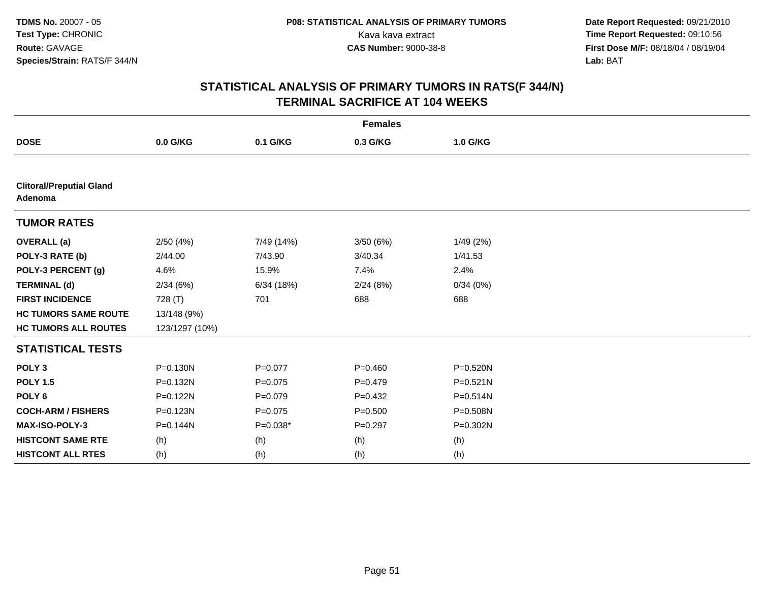|                                            |                |             | <b>Females</b> |              |
|--------------------------------------------|----------------|-------------|----------------|--------------|
| <b>DOSE</b>                                | $0.0$ G/KG     | 0.1 G/KG    | 0.3 G/KG       | 1.0 G/KG     |
|                                            |                |             |                |              |
| <b>Clitoral/Preputial Gland</b><br>Adenoma |                |             |                |              |
| <b>TUMOR RATES</b>                         |                |             |                |              |
| <b>OVERALL</b> (a)                         | 2/50(4%)       | 7/49 (14%)  | 3/50(6%)       | 1/49 (2%)    |
| POLY-3 RATE (b)                            | 2/44.00        | 7/43.90     | 3/40.34        | 1/41.53      |
| POLY-3 PERCENT (g)                         | 4.6%           | 15.9%       | 7.4%           | 2.4%         |
| <b>TERMINAL (d)</b>                        | 2/34(6%)       | 6/34(18%)   | 2/24(8%)       | 0/34(0%)     |
| <b>FIRST INCIDENCE</b>                     | 728 (T)        | 701         | 688            | 688          |
| <b>HC TUMORS SAME ROUTE</b>                | 13/148 (9%)    |             |                |              |
| <b>HC TUMORS ALL ROUTES</b>                | 123/1297 (10%) |             |                |              |
| <b>STATISTICAL TESTS</b>                   |                |             |                |              |
| POLY <sub>3</sub>                          | P=0.130N       | $P=0.077$   | $P=0.460$      | P=0.520N     |
| <b>POLY 1.5</b>                            | P=0.132N       | $P=0.075$   | $P=0.479$      | $P = 0.521N$ |
| POLY <sub>6</sub>                          | P=0.122N       | $P=0.079$   | $P=0.432$      | P=0.514N     |
| <b>COCH-ARM / FISHERS</b>                  | P=0.123N       | $P = 0.075$ | $P = 0.500$    | $P = 0.508N$ |
| MAX-ISO-POLY-3                             | P=0.144N       | $P=0.038*$  | $P = 0.297$    | P=0.302N     |
| <b>HISTCONT SAME RTE</b>                   | (h)            | (h)         | (h)            | (h)          |
| <b>HISTCONT ALL RTES</b>                   | (h)            | (h)         | (h)            | (h)          |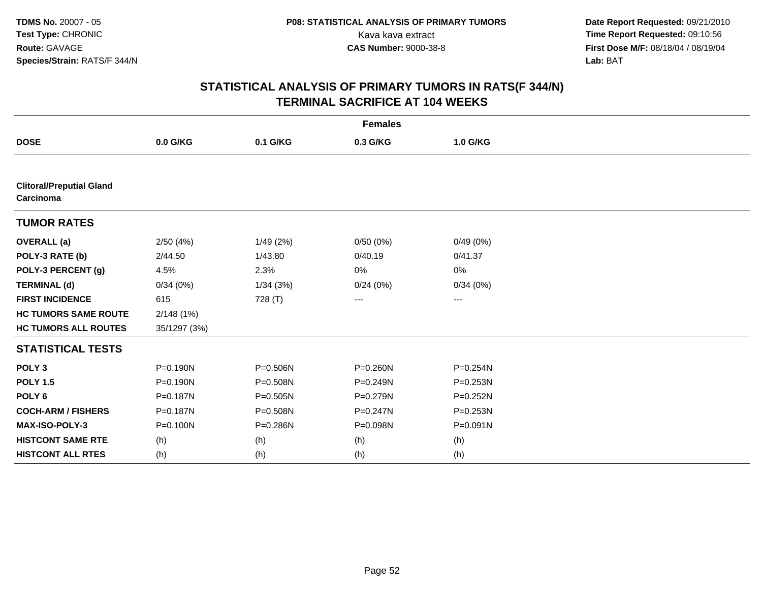|                                              |              |              | <b>Females</b> |              |
|----------------------------------------------|--------------|--------------|----------------|--------------|
| <b>DOSE</b>                                  | 0.0 G/KG     | 0.1 G/KG     | 0.3 G/KG       | 1.0 G/KG     |
|                                              |              |              |                |              |
| <b>Clitoral/Preputial Gland</b><br>Carcinoma |              |              |                |              |
| <b>TUMOR RATES</b>                           |              |              |                |              |
| <b>OVERALL (a)</b>                           | 2/50(4%)     | 1/49(2%)     | 0/50(0%)       | 0/49(0%)     |
| POLY-3 RATE (b)                              | 2/44.50      | 1/43.80      | 0/40.19        | 0/41.37      |
| POLY-3 PERCENT (g)                           | 4.5%         | 2.3%         | 0%             | 0%           |
| <b>TERMINAL (d)</b>                          | 0/34(0%)     | 1/34(3%)     | 0/24(0%)       | 0/34(0%)     |
| <b>FIRST INCIDENCE</b>                       | 615          | 728 (T)      | ---            | ---          |
| <b>HC TUMORS SAME ROUTE</b>                  | 2/148(1%)    |              |                |              |
| <b>HC TUMORS ALL ROUTES</b>                  | 35/1297 (3%) |              |                |              |
| <b>STATISTICAL TESTS</b>                     |              |              |                |              |
| POLY <sub>3</sub>                            | P=0.190N     | P=0.506N     | P=0.260N       | P=0.254N     |
| <b>POLY 1.5</b>                              | $P = 0.190N$ | P=0.508N     | P=0.249N       | $P = 0.253N$ |
| POLY <sub>6</sub>                            | $P = 0.187N$ | $P = 0.505N$ | P=0.279N       | $P = 0.252N$ |
| <b>COCH-ARM / FISHERS</b>                    | P=0.187N     | P=0.508N     | P=0.247N       | P=0.253N     |
| MAX-ISO-POLY-3                               | P=0.100N     | P=0.286N     | P=0.098N       | $P = 0.091N$ |
| <b>HISTCONT SAME RTE</b>                     | (h)          | (h)          | (h)            | (h)          |
| <b>HISTCONT ALL RTES</b>                     | (h)          | (h)          | (h)            | (h)          |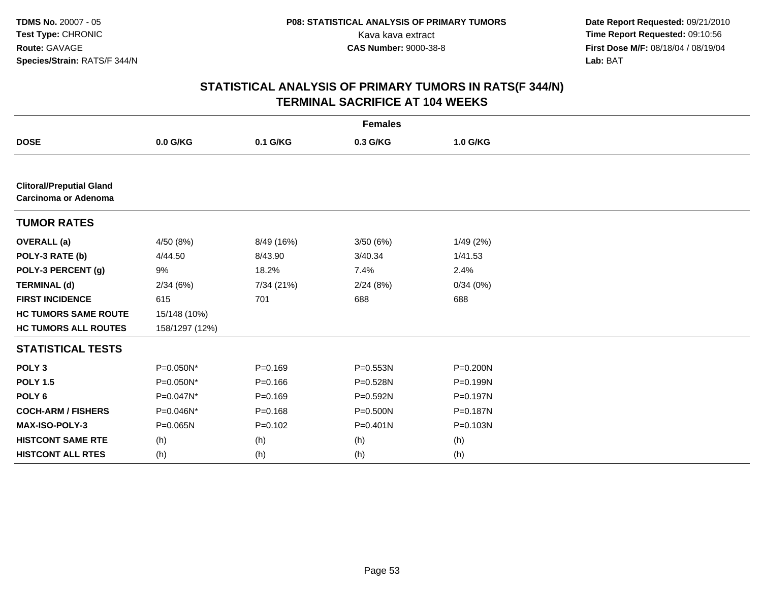| <b>Females</b>                                                 |                |             |              |          |  |  |
|----------------------------------------------------------------|----------------|-------------|--------------|----------|--|--|
| <b>DOSE</b>                                                    | 0.0 G/KG       | 0.1 G/KG    | 0.3 G/KG     | 1.0 G/KG |  |  |
|                                                                |                |             |              |          |  |  |
| <b>Clitoral/Preputial Gland</b><br><b>Carcinoma or Adenoma</b> |                |             |              |          |  |  |
| <b>TUMOR RATES</b>                                             |                |             |              |          |  |  |
| <b>OVERALL</b> (a)                                             | 4/50(8%)       | 8/49 (16%)  | 3/50(6%)     | 1/49(2%) |  |  |
| POLY-3 RATE (b)                                                | 4/44.50        | 8/43.90     | 3/40.34      | 1/41.53  |  |  |
| POLY-3 PERCENT (g)                                             | 9%             | 18.2%       | 7.4%         | 2.4%     |  |  |
| <b>TERMINAL (d)</b>                                            | 2/34(6%)       | 7/34 (21%)  | 2/24(8%)     | 0/34(0%) |  |  |
| <b>FIRST INCIDENCE</b>                                         | 615            | 701         | 688          | 688      |  |  |
| <b>HC TUMORS SAME ROUTE</b>                                    | 15/148 (10%)   |             |              |          |  |  |
| <b>HC TUMORS ALL ROUTES</b>                                    | 158/1297 (12%) |             |              |          |  |  |
| <b>STATISTICAL TESTS</b>                                       |                |             |              |          |  |  |
| POLY <sub>3</sub>                                              | P=0.050N*      | $P = 0.169$ | P=0.553N     | P=0.200N |  |  |
| <b>POLY 1.5</b>                                                | P=0.050N*      | $P = 0.166$ | P=0.528N     | P=0.199N |  |  |
| POLY <sub>6</sub>                                              | P=0.047N*      | $P = 0.169$ | P=0.592N     | P=0.197N |  |  |
| <b>COCH-ARM / FISHERS</b>                                      | P=0.046N*      | $P = 0.168$ | P=0.500N     | P=0.187N |  |  |
| MAX-ISO-POLY-3                                                 | P=0.065N       | $P = 0.102$ | $P = 0.401N$ | P=0.103N |  |  |
| <b>HISTCONT SAME RTE</b>                                       | (h)            | (h)         | (h)          | (h)      |  |  |
| <b>HISTCONT ALL RTES</b>                                       | (h)            | (h)         | (h)          | (h)      |  |  |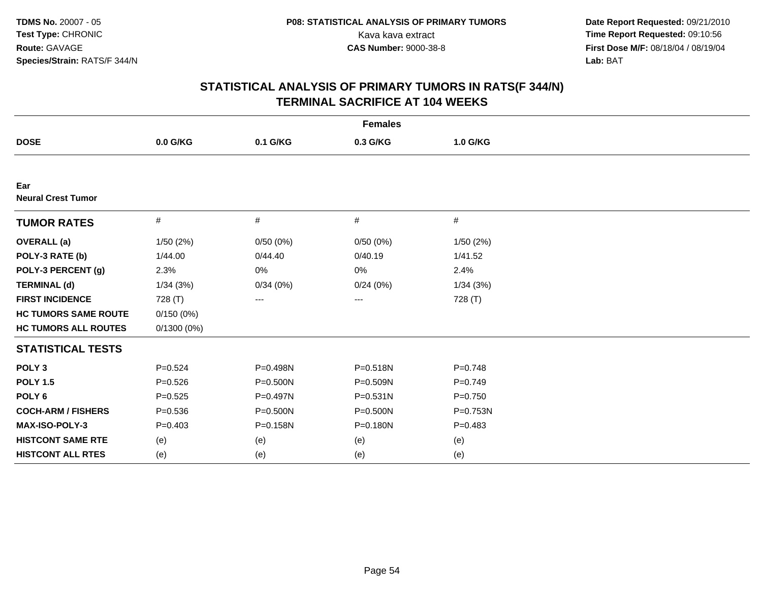| <b>Females</b>                   |               |              |              |           |  |  |
|----------------------------------|---------------|--------------|--------------|-----------|--|--|
| <b>DOSE</b>                      | 0.0 G/KG      | 0.1 G/KG     | 0.3 G/KG     | 1.0 G/KG  |  |  |
|                                  |               |              |              |           |  |  |
| Ear<br><b>Neural Crest Tumor</b> |               |              |              |           |  |  |
| <b>TUMOR RATES</b>               | $\#$          | #            | #            | $\#$      |  |  |
| <b>OVERALL</b> (a)               | 1/50(2%)      | 0/50(0%)     | 0/50(0%)     | 1/50(2%)  |  |  |
| POLY-3 RATE (b)                  | 1/44.00       | 0/44.40      | 0/40.19      | 1/41.52   |  |  |
| POLY-3 PERCENT (g)               | 2.3%          | 0%           | 0%           | 2.4%      |  |  |
| <b>TERMINAL (d)</b>              | 1/34(3%)      | 0/34(0%)     | 0/24(0%)     | 1/34(3%)  |  |  |
| <b>FIRST INCIDENCE</b>           | 728 (T)       | ---          | ---          | 728 (T)   |  |  |
| <b>HC TUMORS SAME ROUTE</b>      | 0/150(0%)     |              |              |           |  |  |
| <b>HC TUMORS ALL ROUTES</b>      | $0/1300(0\%)$ |              |              |           |  |  |
| <b>STATISTICAL TESTS</b>         |               |              |              |           |  |  |
| POLY <sub>3</sub>                | $P = 0.524$   | P=0.498N     | P=0.518N     | $P=0.748$ |  |  |
| <b>POLY 1.5</b>                  | $P = 0.526$   | $P = 0.500N$ | P=0.509N     | $P=0.749$ |  |  |
| POLY <sub>6</sub>                | $P = 0.525$   | P=0.497N     | $P = 0.531N$ | $P=0.750$ |  |  |
| <b>COCH-ARM / FISHERS</b>        | $P = 0.536$   | P=0.500N     | P=0.500N     | P=0.753N  |  |  |
| MAX-ISO-POLY-3                   | $P=0.403$     | P=0.158N     | P=0.180N     | $P=0.483$ |  |  |
| <b>HISTCONT SAME RTE</b>         | (e)           | (e)          | (e)          | (e)       |  |  |
| <b>HISTCONT ALL RTES</b>         | (e)           | (e)          | (e)          | (e)       |  |  |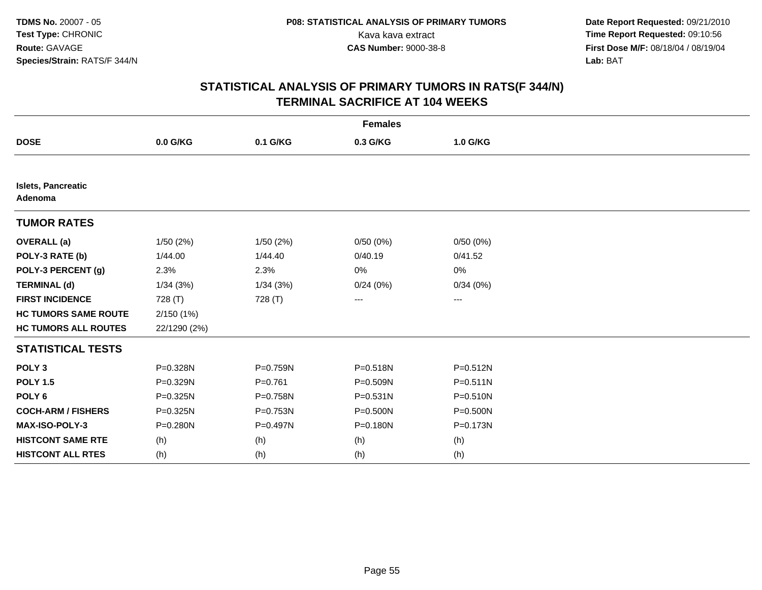| <b>Females</b>                |              |           |              |              |  |  |
|-------------------------------|--------------|-----------|--------------|--------------|--|--|
| <b>DOSE</b>                   | 0.0 G/KG     | 0.1 G/KG  | 0.3 G/KG     | 1.0 G/KG     |  |  |
|                               |              |           |              |              |  |  |
| Islets, Pancreatic<br>Adenoma |              |           |              |              |  |  |
| <b>TUMOR RATES</b>            |              |           |              |              |  |  |
| <b>OVERALL</b> (a)            | 1/50(2%)     | 1/50(2%)  | 0/50(0%)     | 0/50(0%)     |  |  |
| POLY-3 RATE (b)               | 1/44.00      | 1/44.40   | 0/40.19      | 0/41.52      |  |  |
| POLY-3 PERCENT (g)            | 2.3%         | 2.3%      | 0%           | 0%           |  |  |
| <b>TERMINAL (d)</b>           | 1/34(3%)     | 1/34(3%)  | 0/24(0%)     | 0/34(0%)     |  |  |
| <b>FIRST INCIDENCE</b>        | 728 (T)      | 728 (T)   | ---          | ---          |  |  |
| <b>HC TUMORS SAME ROUTE</b>   | 2/150(1%)    |           |              |              |  |  |
| <b>HC TUMORS ALL ROUTES</b>   | 22/1290 (2%) |           |              |              |  |  |
| <b>STATISTICAL TESTS</b>      |              |           |              |              |  |  |
| POLY <sub>3</sub>             | P=0.328N     | P=0.759N  | $P = 0.518N$ | $P = 0.512N$ |  |  |
| <b>POLY 1.5</b>               | P=0.329N     | $P=0.761$ | P=0.509N     | $P = 0.511N$ |  |  |
| POLY <sub>6</sub>             | P=0.325N     | P=0.758N  | P=0.531N     | P=0.510N     |  |  |
| <b>COCH-ARM / FISHERS</b>     | P=0.325N     | P=0.753N  | P=0.500N     | P=0.500N     |  |  |
| <b>MAX-ISO-POLY-3</b>         | P=0.280N     | P=0.497N  | P=0.180N     | P=0.173N     |  |  |
| <b>HISTCONT SAME RTE</b>      | (h)          | (h)       | (h)          | (h)          |  |  |
| <b>HISTCONT ALL RTES</b>      | (h)          | (h)       | (h)          | (h)          |  |  |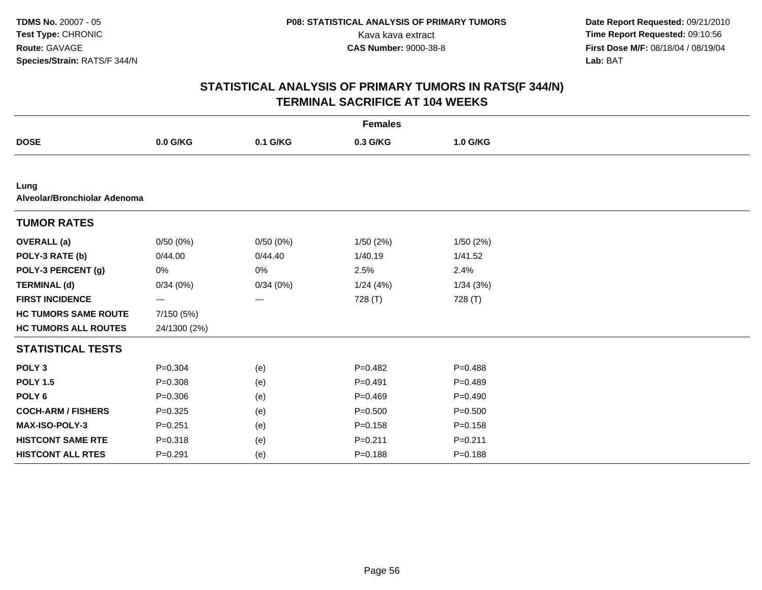| <b>Females</b>                       |              |          |             |             |  |  |
|--------------------------------------|--------------|----------|-------------|-------------|--|--|
| <b>DOSE</b>                          | 0.0 G/KG     | 0.1 G/KG | 0.3 G/KG    | 1.0 G/KG    |  |  |
|                                      |              |          |             |             |  |  |
| Lung<br>Alveolar/Bronchiolar Adenoma |              |          |             |             |  |  |
| <b>TUMOR RATES</b>                   |              |          |             |             |  |  |
| <b>OVERALL</b> (a)                   | 0/50(0%)     | 0/50(0%) | 1/50(2%)    | 1/50(2%)    |  |  |
| POLY-3 RATE (b)                      | 0/44.00      | 0/44.40  | 1/40.19     | 1/41.52     |  |  |
| POLY-3 PERCENT (g)                   | $0\%$        | $0\%$    | 2.5%        | 2.4%        |  |  |
| <b>TERMINAL (d)</b>                  | 0/34(0%)     | 0/34(0%) | 1/24(4%)    | 1/34(3%)    |  |  |
| <b>FIRST INCIDENCE</b>               | ---          | ---      | 728 (T)     | 728 (T)     |  |  |
| <b>HC TUMORS SAME ROUTE</b>          | 7/150 (5%)   |          |             |             |  |  |
| <b>HC TUMORS ALL ROUTES</b>          | 24/1300 (2%) |          |             |             |  |  |
| <b>STATISTICAL TESTS</b>             |              |          |             |             |  |  |
| POLY <sub>3</sub>                    | $P = 0.304$  | (e)      | $P=0.482$   | $P=0.488$   |  |  |
| <b>POLY 1.5</b>                      | $P = 0.308$  | (e)      | $P = 0.491$ | $P=0.489$   |  |  |
| POLY <sub>6</sub>                    | $P = 0.306$  | (e)      | $P=0.469$   | $P=0.490$   |  |  |
| <b>COCH-ARM / FISHERS</b>            | $P=0.325$    | (e)      | $P = 0.500$ | $P = 0.500$ |  |  |
| <b>MAX-ISO-POLY-3</b>                | $P = 0.251$  | (e)      | $P = 0.158$ | $P = 0.158$ |  |  |
| <b>HISTCONT SAME RTE</b>             | $P = 0.318$  | (e)      | $P = 0.211$ | $P = 0.211$ |  |  |
| <b>HISTCONT ALL RTES</b>             | $P = 0.291$  | (e)      | $P = 0.188$ | $P = 0.188$ |  |  |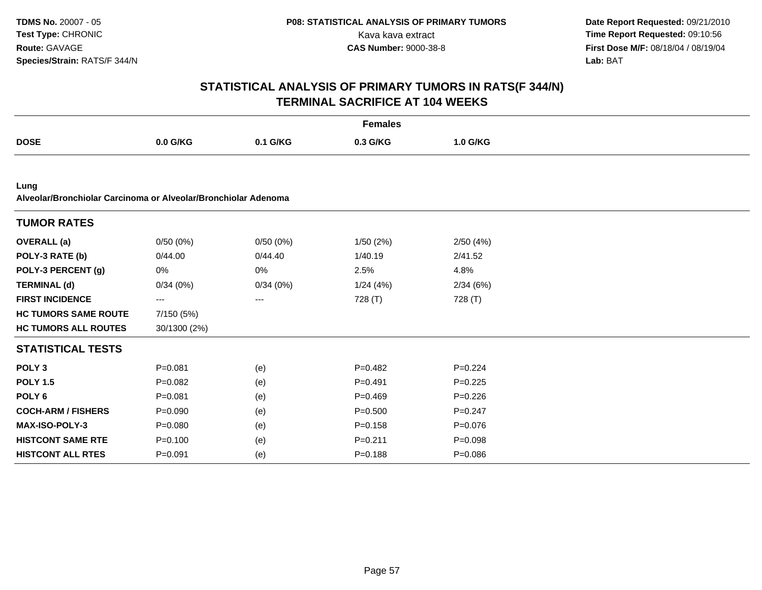|                                                                        |                        |          | <b>Females</b> |             |  |
|------------------------------------------------------------------------|------------------------|----------|----------------|-------------|--|
| <b>DOSE</b>                                                            | 0.0 G/KG               | 0.1 G/KG | 0.3 G/KG       | 1.0 G/KG    |  |
|                                                                        |                        |          |                |             |  |
| Lung<br>Alveolar/Bronchiolar Carcinoma or Alveolar/Bronchiolar Adenoma |                        |          |                |             |  |
| <b>TUMOR RATES</b>                                                     |                        |          |                |             |  |
| <b>OVERALL</b> (a)                                                     | 0/50(0%)               | 0/50(0%) | 1/50(2%)       | 2/50(4%)    |  |
| POLY-3 RATE (b)                                                        | 0/44.00                | 0/44.40  | 1/40.19        | 2/41.52     |  |
| POLY-3 PERCENT (g)                                                     | 0%                     | 0%       | 2.5%           | 4.8%        |  |
| <b>TERMINAL (d)</b>                                                    | 0/34(0%)               | 0/34(0%) | 1/24(4%)       | 2/34(6%)    |  |
| <b>FIRST INCIDENCE</b>                                                 | $\qquad \qquad \cdots$ | $--$     | 728 (T)        | 728 (T)     |  |
| <b>HC TUMORS SAME ROUTE</b>                                            | 7/150 (5%)             |          |                |             |  |
| <b>HC TUMORS ALL ROUTES</b>                                            | 30/1300 (2%)           |          |                |             |  |
| <b>STATISTICAL TESTS</b>                                               |                        |          |                |             |  |
| POLY <sub>3</sub>                                                      | $P = 0.081$            | (e)      | $P = 0.482$    | $P=0.224$   |  |
| <b>POLY 1.5</b>                                                        | $P=0.082$              | (e)      | $P=0.491$      | $P=0.225$   |  |
| POLY <sub>6</sub>                                                      | $P = 0.081$            | (e)      | $P=0.469$      | $P=0.226$   |  |
| <b>COCH-ARM / FISHERS</b>                                              | $P = 0.090$            | (e)      | $P = 0.500$    | $P = 0.247$ |  |
| <b>MAX-ISO-POLY-3</b>                                                  | $P = 0.080$            | (e)      | $P = 0.158$    | $P = 0.076$ |  |
| <b>HISTCONT SAME RTE</b>                                               | $P = 0.100$            | (e)      | $P = 0.211$    | $P = 0.098$ |  |
| <b>HISTCONT ALL RTES</b>                                               | $P = 0.091$            | (e)      | $P = 0.188$    | $P = 0.086$ |  |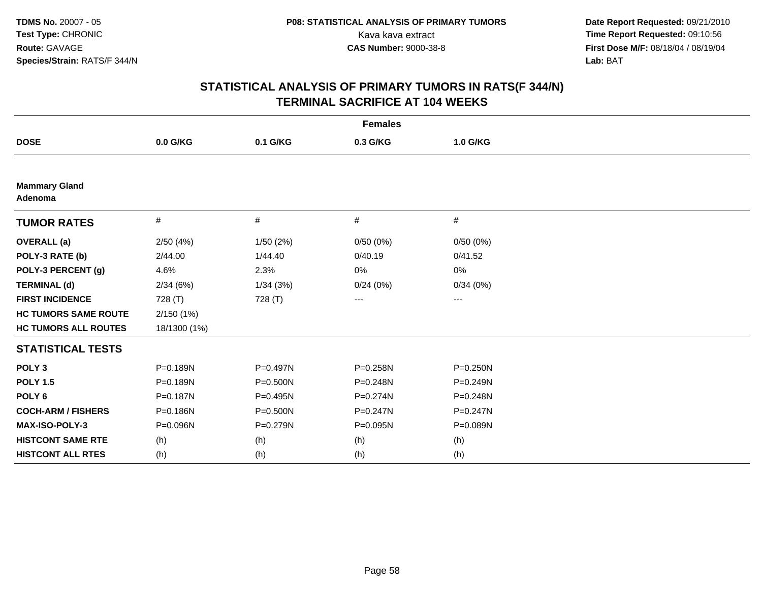| <b>Females</b>                  |              |          |              |                   |  |  |
|---------------------------------|--------------|----------|--------------|-------------------|--|--|
| <b>DOSE</b>                     | 0.0 G/KG     | 0.1 G/KG | 0.3 G/KG     | 1.0 G/KG          |  |  |
|                                 |              |          |              |                   |  |  |
| <b>Mammary Gland</b><br>Adenoma |              |          |              |                   |  |  |
| <b>TUMOR RATES</b>              | $\#$         | #        | #            | #                 |  |  |
| <b>OVERALL</b> (a)              | 2/50(4%)     | 1/50(2%) | 0/50(0%)     | 0/50(0%)          |  |  |
| POLY-3 RATE (b)                 | 2/44.00      | 1/44.40  | 0/40.19      | 0/41.52           |  |  |
| POLY-3 PERCENT (g)              | 4.6%         | 2.3%     | 0%           | 0%                |  |  |
| <b>TERMINAL (d)</b>             | 2/34(6%)     | 1/34(3%) | 0/24(0%)     | 0/34(0%)          |  |  |
| <b>FIRST INCIDENCE</b>          | 728 (T)      | 728 (T)  | $--$         | $\qquad \qquad -$ |  |  |
| <b>HC TUMORS SAME ROUTE</b>     | 2/150(1%)    |          |              |                   |  |  |
| <b>HC TUMORS ALL ROUTES</b>     | 18/1300 (1%) |          |              |                   |  |  |
| <b>STATISTICAL TESTS</b>        |              |          |              |                   |  |  |
| POLY <sub>3</sub>               | P=0.189N     | P=0.497N | P=0.258N     | $P = 0.250N$      |  |  |
| <b>POLY 1.5</b>                 | P=0.189N     | P=0.500N | P=0.248N     | P=0.249N          |  |  |
| POLY <sub>6</sub>               | P=0.187N     | P=0.495N | $P = 0.274N$ | P=0.248N          |  |  |
| <b>COCH-ARM / FISHERS</b>       | P=0.186N     | P=0.500N | $P = 0.247N$ | P=0.247N          |  |  |
| <b>MAX-ISO-POLY-3</b>           | P=0.096N     | P=0.279N | P=0.095N     | P=0.089N          |  |  |
| <b>HISTCONT SAME RTE</b>        | (h)          | (h)      | (h)          | (h)               |  |  |
| <b>HISTCONT ALL RTES</b>        | (h)          | (h)      | (h)          | (h)               |  |  |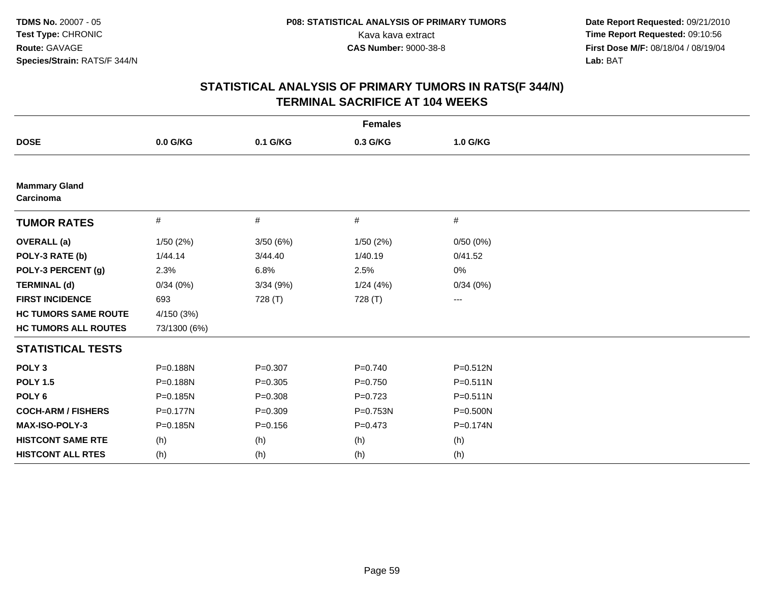| <b>Females</b>                    |              |             |             |                   |  |  |
|-----------------------------------|--------------|-------------|-------------|-------------------|--|--|
| <b>DOSE</b>                       | 0.0 G/KG     | 0.1 G/KG    | 0.3 G/KG    | 1.0 G/KG          |  |  |
|                                   |              |             |             |                   |  |  |
| <b>Mammary Gland</b><br>Carcinoma |              |             |             |                   |  |  |
| <b>TUMOR RATES</b>                | $\#$         | #           | #           | #                 |  |  |
| <b>OVERALL</b> (a)                | 1/50(2%)     | 3/50(6%)    | 1/50(2%)    | 0/50(0%)          |  |  |
| POLY-3 RATE (b)                   | 1/44.14      | 3/44.40     | 1/40.19     | 0/41.52           |  |  |
| POLY-3 PERCENT (g)                | 2.3%         | 6.8%        | 2.5%        | 0%                |  |  |
| <b>TERMINAL (d)</b>               | 0/34(0%)     | 3/34 (9%)   | 1/24(4%)    | 0/34(0%)          |  |  |
| <b>FIRST INCIDENCE</b>            | 693          | 728 (T)     | 728 (T)     | $\qquad \qquad -$ |  |  |
| <b>HC TUMORS SAME ROUTE</b>       | 4/150 (3%)   |             |             |                   |  |  |
| <b>HC TUMORS ALL ROUTES</b>       | 73/1300 (6%) |             |             |                   |  |  |
| <b>STATISTICAL TESTS</b>          |              |             |             |                   |  |  |
| POLY <sub>3</sub>                 | P=0.188N     | $P = 0.307$ | $P=0.740$   | P=0.512N          |  |  |
| <b>POLY 1.5</b>                   | P=0.188N     | $P = 0.305$ | $P=0.750$   | $P = 0.511N$      |  |  |
| POLY <sub>6</sub>                 | P=0.185N     | $P = 0.308$ | $P=0.723$   | $P = 0.511N$      |  |  |
| <b>COCH-ARM / FISHERS</b>         | P=0.177N     | $P = 0.309$ | P=0.753N    | P=0.500N          |  |  |
| <b>MAX-ISO-POLY-3</b>             | P=0.185N     | $P = 0.156$ | $P = 0.473$ | P=0.174N          |  |  |
| <b>HISTCONT SAME RTE</b>          | (h)          | (h)         | (h)         | (h)               |  |  |
| <b>HISTCONT ALL RTES</b>          | (h)          | (h)         | (h)         | (h)               |  |  |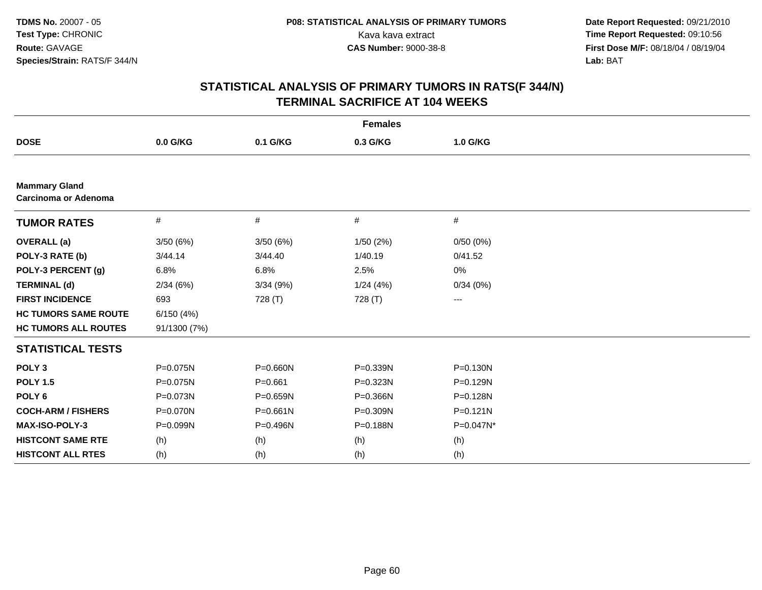| <b>Females</b>                               |              |              |           |              |  |  |
|----------------------------------------------|--------------|--------------|-----------|--------------|--|--|
| <b>DOSE</b>                                  | 0.0 G/KG     | 0.1 G/KG     | 0.3 G/KG  | 1.0 G/KG     |  |  |
|                                              |              |              |           |              |  |  |
| <b>Mammary Gland</b><br>Carcinoma or Adenoma |              |              |           |              |  |  |
| <b>TUMOR RATES</b>                           | $\#$         | #            | $\#$      | #            |  |  |
| <b>OVERALL</b> (a)                           | 3/50(6%)     | 3/50(6%)     | 1/50(2%)  | 0/50(0%)     |  |  |
| POLY-3 RATE (b)                              | 3/44.14      | 3/44.40      | 1/40.19   | 0/41.52      |  |  |
| POLY-3 PERCENT (g)                           | 6.8%         | 6.8%         | 2.5%      | 0%           |  |  |
| <b>TERMINAL (d)</b>                          | 2/34(6%)     | 3/34(9%)     | 1/24 (4%) | 0/34(0%)     |  |  |
| <b>FIRST INCIDENCE</b>                       | 693          | 728 (T)      | 728 (T)   | ---          |  |  |
| <b>HC TUMORS SAME ROUTE</b>                  | 6/150(4%)    |              |           |              |  |  |
| <b>HC TUMORS ALL ROUTES</b>                  | 91/1300 (7%) |              |           |              |  |  |
| <b>STATISTICAL TESTS</b>                     |              |              |           |              |  |  |
| POLY <sub>3</sub>                            | P=0.075N     | P=0.660N     | P=0.339N  | P=0.130N     |  |  |
| <b>POLY 1.5</b>                              | P=0.075N     | $P = 0.661$  | P=0.323N  | P=0.129N     |  |  |
| POLY <sub>6</sub>                            | P=0.073N     | $P = 0.659N$ | P=0.366N  | P=0.128N     |  |  |
| <b>COCH-ARM / FISHERS</b>                    | P=0.070N     | $P = 0.661N$ | P=0.309N  | $P = 0.121N$ |  |  |
| MAX-ISO-POLY-3                               | P=0.099N     | P=0.496N     | P=0.188N  | P=0.047N*    |  |  |
| <b>HISTCONT SAME RTE</b>                     | (h)          | (h)          | (h)       | (h)          |  |  |
| <b>HISTCONT ALL RTES</b>                     | (h)          | (h)          | (h)       | (h)          |  |  |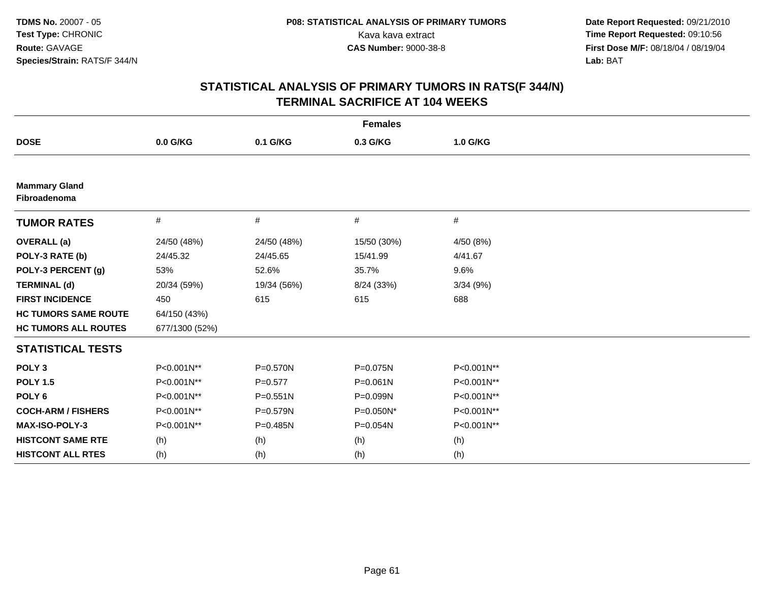| <b>Females</b>                       |                |              |              |            |  |  |
|--------------------------------------|----------------|--------------|--------------|------------|--|--|
| <b>DOSE</b>                          | $0.0$ G/KG     | 0.1 G/KG     | 0.3 G/KG     | 1.0 G/KG   |  |  |
|                                      |                |              |              |            |  |  |
| <b>Mammary Gland</b><br>Fibroadenoma |                |              |              |            |  |  |
| <b>TUMOR RATES</b>                   | $\#$           | #            | #            | #          |  |  |
| <b>OVERALL</b> (a)                   | 24/50 (48%)    | 24/50 (48%)  | 15/50 (30%)  | 4/50 (8%)  |  |  |
| POLY-3 RATE (b)                      | 24/45.32       | 24/45.65     | 15/41.99     | 4/41.67    |  |  |
| POLY-3 PERCENT (g)                   | 53%            | 52.6%        | 35.7%        | 9.6%       |  |  |
| <b>TERMINAL (d)</b>                  | 20/34 (59%)    | 19/34 (56%)  | 8/24 (33%)   | 3/34(9%)   |  |  |
| <b>FIRST INCIDENCE</b>               | 450            | 615          | 615          | 688        |  |  |
| <b>HC TUMORS SAME ROUTE</b>          | 64/150 (43%)   |              |              |            |  |  |
| <b>HC TUMORS ALL ROUTES</b>          | 677/1300 (52%) |              |              |            |  |  |
| <b>STATISTICAL TESTS</b>             |                |              |              |            |  |  |
| POLY <sub>3</sub>                    | P<0.001N**     | P=0.570N     | P=0.075N     | P<0.001N** |  |  |
| <b>POLY 1.5</b>                      | P<0.001N**     | $P=0.577$    | $P = 0.061N$ | P<0.001N** |  |  |
| POLY <sub>6</sub>                    | P<0.001N**     | $P = 0.551N$ | P=0.099N     | P<0.001N** |  |  |
| <b>COCH-ARM / FISHERS</b>            | P<0.001N**     | P=0.579N     | P=0.050N*    | P<0.001N** |  |  |
| MAX-ISO-POLY-3                       | P<0.001N**     | P=0.485N     | P=0.054N     | P<0.001N** |  |  |
| <b>HISTCONT SAME RTE</b>             | (h)            | (h)          | (h)          | (h)        |  |  |
| <b>HISTCONT ALL RTES</b>             | (h)            | (h)          | (h)          | (h)        |  |  |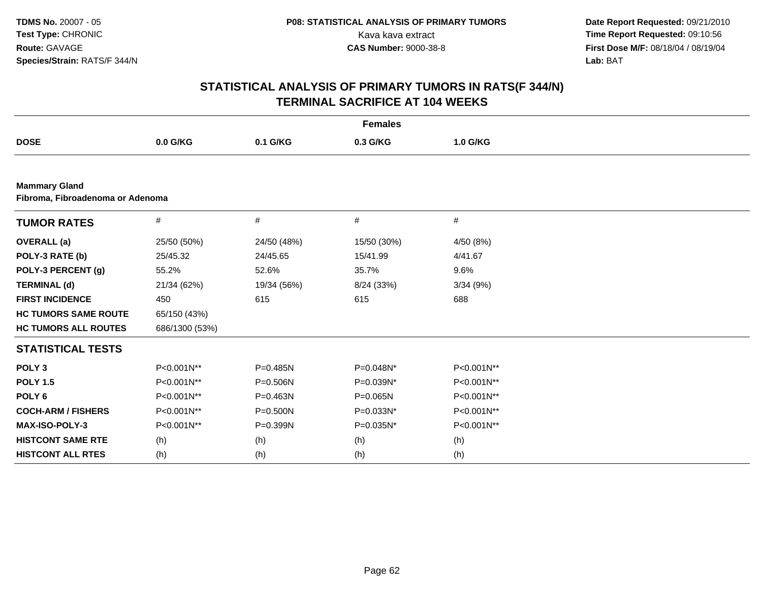|                                                          | <b>Females</b> |              |             |            |  |  |  |
|----------------------------------------------------------|----------------|--------------|-------------|------------|--|--|--|
| <b>DOSE</b>                                              | 0.0 G/KG       | 0.1 G/KG     | 0.3 G/KG    | 1.0 G/KG   |  |  |  |
|                                                          |                |              |             |            |  |  |  |
| <b>Mammary Gland</b><br>Fibroma, Fibroadenoma or Adenoma |                |              |             |            |  |  |  |
| <b>TUMOR RATES</b>                                       | #              | #            | #           | #          |  |  |  |
| <b>OVERALL</b> (a)                                       | 25/50 (50%)    | 24/50 (48%)  | 15/50 (30%) | 4/50 (8%)  |  |  |  |
| POLY-3 RATE (b)                                          | 25/45.32       | 24/45.65     | 15/41.99    | 4/41.67    |  |  |  |
| POLY-3 PERCENT (g)                                       | 55.2%          | 52.6%        | 35.7%       | 9.6%       |  |  |  |
| <b>TERMINAL (d)</b>                                      | 21/34 (62%)    | 19/34 (56%)  | 8/24 (33%)  | 3/34(9%)   |  |  |  |
| <b>FIRST INCIDENCE</b>                                   | 450            | 615          | 615         | 688        |  |  |  |
| <b>HC TUMORS SAME ROUTE</b>                              | 65/150 (43%)   |              |             |            |  |  |  |
| <b>HC TUMORS ALL ROUTES</b>                              | 686/1300 (53%) |              |             |            |  |  |  |
| <b>STATISTICAL TESTS</b>                                 |                |              |             |            |  |  |  |
| POLY <sub>3</sub>                                        | P<0.001N**     | $P = 0.485N$ | P=0.048N*   | P<0.001N** |  |  |  |
| <b>POLY 1.5</b>                                          | P<0.001N**     | P=0.506N     | P=0.039N*   | P<0.001N** |  |  |  |
| POLY <sub>6</sub>                                        | P<0.001N**     | P=0.463N     | P=0.065N    | P<0.001N** |  |  |  |
| <b>COCH-ARM / FISHERS</b>                                | P<0.001N**     | P=0.500N     | P=0.033N*   | P<0.001N** |  |  |  |
| <b>MAX-ISO-POLY-3</b>                                    | P<0.001N**     | P=0.399N     | P=0.035N*   | P<0.001N** |  |  |  |
| <b>HISTCONT SAME RTE</b>                                 | (h)            | (h)          | (h)         | (h)        |  |  |  |
| <b>HISTCONT ALL RTES</b>                                 | (h)            | (h)          | (h)         | (h)        |  |  |  |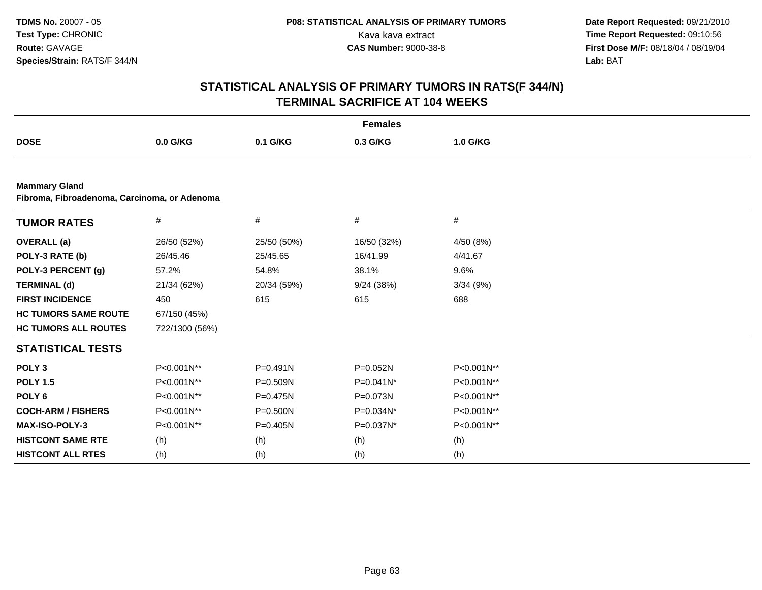| <b>Females</b>                                                       |                |              |             |            |  |  |  |  |
|----------------------------------------------------------------------|----------------|--------------|-------------|------------|--|--|--|--|
| <b>DOSE</b>                                                          | $0.0$ G/KG     | 0.1 G/KG     | 0.3 G/KG    | 1.0 G/KG   |  |  |  |  |
|                                                                      |                |              |             |            |  |  |  |  |
| <b>Mammary Gland</b><br>Fibroma, Fibroadenoma, Carcinoma, or Adenoma |                |              |             |            |  |  |  |  |
| <b>TUMOR RATES</b>                                                   | $\#$           | #            | #           | $\#$       |  |  |  |  |
| <b>OVERALL</b> (a)                                                   | 26/50 (52%)    | 25/50 (50%)  | 16/50 (32%) | 4/50 (8%)  |  |  |  |  |
| POLY-3 RATE (b)                                                      | 26/45.46       | 25/45.65     | 16/41.99    | 4/41.67    |  |  |  |  |
| POLY-3 PERCENT (g)                                                   | 57.2%          | 54.8%        | 38.1%       | 9.6%       |  |  |  |  |
| <b>TERMINAL (d)</b>                                                  | 21/34 (62%)    | 20/34 (59%)  | 9/24(38%)   | 3/34(9%)   |  |  |  |  |
| <b>FIRST INCIDENCE</b>                                               | 450            | 615          | 615         | 688        |  |  |  |  |
| <b>HC TUMORS SAME ROUTE</b>                                          | 67/150 (45%)   |              |             |            |  |  |  |  |
| <b>HC TUMORS ALL ROUTES</b>                                          | 722/1300 (56%) |              |             |            |  |  |  |  |
| <b>STATISTICAL TESTS</b>                                             |                |              |             |            |  |  |  |  |
| POLY <sub>3</sub>                                                    | P<0.001N**     | $P = 0.491N$ | P=0.052N    | P<0.001N** |  |  |  |  |
| <b>POLY 1.5</b>                                                      | P<0.001N**     | P=0.509N     | P=0.041N*   | P<0.001N** |  |  |  |  |
| POLY <sub>6</sub>                                                    | P<0.001N**     | P=0.475N     | P=0.073N    | P<0.001N** |  |  |  |  |
| <b>COCH-ARM / FISHERS</b>                                            | P<0.001N**     | P=0.500N     | P=0.034N*   | P<0.001N** |  |  |  |  |
| <b>MAX-ISO-POLY-3</b>                                                | P<0.001N**     | $P = 0.405N$ | P=0.037N*   | P<0.001N** |  |  |  |  |
| <b>HISTCONT SAME RTE</b>                                             | (h)            | (h)          | (h)         | (h)        |  |  |  |  |
| <b>HISTCONT ALL RTES</b>                                             | (h)            | (h)          | (h)         | (h)        |  |  |  |  |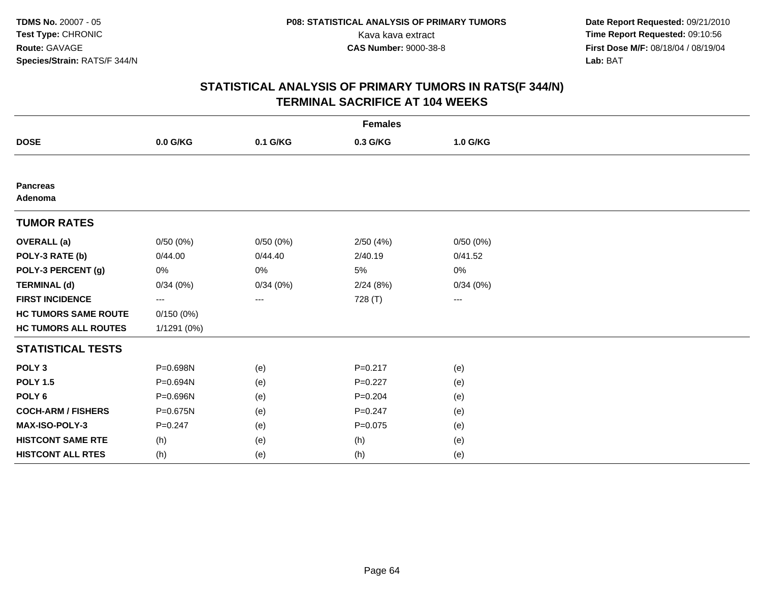| <b>Females</b>              |             |          |             |                   |  |  |
|-----------------------------|-------------|----------|-------------|-------------------|--|--|
| <b>DOSE</b>                 | 0.0 G/KG    | 0.1 G/KG | 0.3 G/KG    | 1.0 G/KG          |  |  |
|                             |             |          |             |                   |  |  |
| <b>Pancreas</b><br>Adenoma  |             |          |             |                   |  |  |
| <b>TUMOR RATES</b>          |             |          |             |                   |  |  |
| <b>OVERALL</b> (a)          | 0/50(0%)    | 0/50(0%) | 2/50(4%)    | 0/50(0%)          |  |  |
| POLY-3 RATE (b)             | 0/44.00     | 0/44.40  | 2/40.19     | 0/41.52           |  |  |
| POLY-3 PERCENT (g)          | 0%          | 0%       | 5%          | 0%                |  |  |
| <b>TERMINAL (d)</b>         | 0/34(0%)    | 0/34(0%) | 2/24(8%)    | 0/34(0%)          |  |  |
| <b>FIRST INCIDENCE</b>      | ---         | ---      | 728 (T)     | $\qquad \qquad -$ |  |  |
| <b>HC TUMORS SAME ROUTE</b> | 0/150(0%)   |          |             |                   |  |  |
| <b>HC TUMORS ALL ROUTES</b> | 1/1291 (0%) |          |             |                   |  |  |
| <b>STATISTICAL TESTS</b>    |             |          |             |                   |  |  |
| POLY <sub>3</sub>           | P=0.698N    | (e)      | $P = 0.217$ | (e)               |  |  |
| <b>POLY 1.5</b>             | P=0.694N    | (e)      | $P=0.227$   | (e)               |  |  |
| POLY <sub>6</sub>           | P=0.696N    | (e)      | $P = 0.204$ | (e)               |  |  |
| <b>COCH-ARM / FISHERS</b>   | P=0.675N    | (e)      | $P = 0.247$ | (e)               |  |  |
| MAX-ISO-POLY-3              | $P = 0.247$ | (e)      | $P = 0.075$ | (e)               |  |  |
| <b>HISTCONT SAME RTE</b>    | (h)         | (e)      | (h)         | (e)               |  |  |
| <b>HISTCONT ALL RTES</b>    | (h)         | (e)      | (h)         | (e)               |  |  |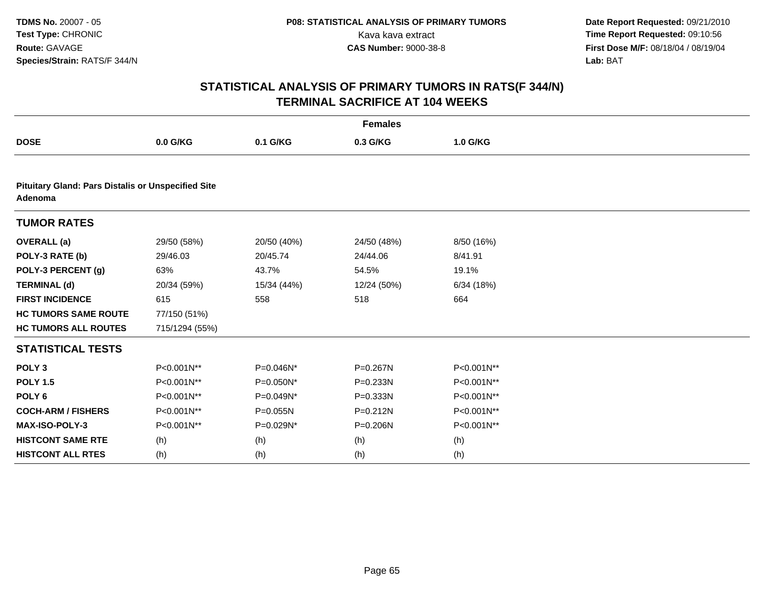| <b>Females</b>              |                                                           |             |              |            |  |  |  |  |  |
|-----------------------------|-----------------------------------------------------------|-------------|--------------|------------|--|--|--|--|--|
| <b>DOSE</b>                 | 0.0 G/KG                                                  | 0.1 G/KG    | 0.3 G/KG     | 1.0 G/KG   |  |  |  |  |  |
|                             |                                                           |             |              |            |  |  |  |  |  |
| Adenoma                     | <b>Pituitary Gland: Pars Distalis or Unspecified Site</b> |             |              |            |  |  |  |  |  |
| <b>TUMOR RATES</b>          |                                                           |             |              |            |  |  |  |  |  |
| <b>OVERALL</b> (a)          | 29/50 (58%)                                               | 20/50 (40%) | 24/50 (48%)  | 8/50 (16%) |  |  |  |  |  |
| POLY-3 RATE (b)             | 29/46.03                                                  | 20/45.74    | 24/44.06     | 8/41.91    |  |  |  |  |  |
| POLY-3 PERCENT (g)          | 63%                                                       | 43.7%       | 54.5%        | 19.1%      |  |  |  |  |  |
| <b>TERMINAL (d)</b>         | 20/34 (59%)                                               | 15/34 (44%) | 12/24 (50%)  | 6/34 (18%) |  |  |  |  |  |
| <b>FIRST INCIDENCE</b>      | 615                                                       | 558         | 518          | 664        |  |  |  |  |  |
| <b>HC TUMORS SAME ROUTE</b> | 77/150 (51%)                                              |             |              |            |  |  |  |  |  |
| <b>HC TUMORS ALL ROUTES</b> | 715/1294 (55%)                                            |             |              |            |  |  |  |  |  |
| <b>STATISTICAL TESTS</b>    |                                                           |             |              |            |  |  |  |  |  |
| POLY <sub>3</sub>           | P<0.001N**                                                | P=0.046N*   | P=0.267N     | P<0.001N** |  |  |  |  |  |
| <b>POLY 1.5</b>             | P<0.001N**                                                | P=0.050N*   | $P = 0.233N$ | P<0.001N** |  |  |  |  |  |
| POLY <sub>6</sub>           | P<0.001N**                                                | P=0.049N*   | P=0.333N     | P<0.001N** |  |  |  |  |  |
| <b>COCH-ARM / FISHERS</b>   | P<0.001N**                                                | P=0.055N    | $P = 0.212N$ | P<0.001N** |  |  |  |  |  |
| MAX-ISO-POLY-3              | P<0.001N**                                                | P=0.029N*   | P=0.206N     | P<0.001N** |  |  |  |  |  |
| <b>HISTCONT SAME RTE</b>    | (h)                                                       | (h)         | (h)          | (h)        |  |  |  |  |  |
| <b>HISTCONT ALL RTES</b>    | (h)                                                       | (h)         | (h)          | (h)        |  |  |  |  |  |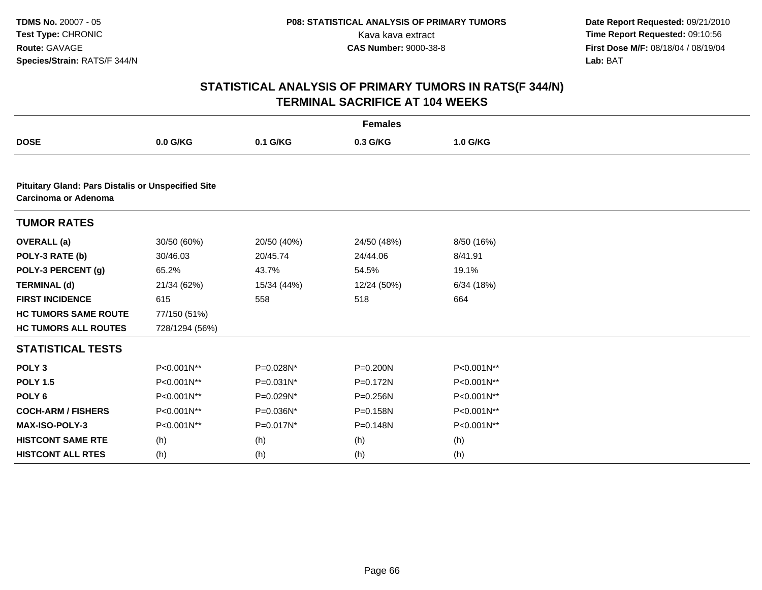| <b>Females</b>                                                                    |                |                |              |            |  |  |
|-----------------------------------------------------------------------------------|----------------|----------------|--------------|------------|--|--|
| <b>DOSE</b>                                                                       | 0.0 G/KG       | 0.1 G/KG       | 0.3 G/KG     | 1.0 G/KG   |  |  |
|                                                                                   |                |                |              |            |  |  |
| <b>Pituitary Gland: Pars Distalis or Unspecified Site</b><br>Carcinoma or Adenoma |                |                |              |            |  |  |
| <b>TUMOR RATES</b>                                                                |                |                |              |            |  |  |
| <b>OVERALL</b> (a)                                                                | 30/50 (60%)    | 20/50 (40%)    | 24/50 (48%)  | 8/50 (16%) |  |  |
| POLY-3 RATE (b)                                                                   | 30/46.03       | 20/45.74       | 24/44.06     | 8/41.91    |  |  |
| POLY-3 PERCENT (g)                                                                | 65.2%          | 43.7%          | 54.5%        | 19.1%      |  |  |
| <b>TERMINAL (d)</b>                                                               | 21/34 (62%)    | 15/34 (44%)    | 12/24 (50%)  | 6/34(18%)  |  |  |
| <b>FIRST INCIDENCE</b>                                                            | 615            | 558            | 518          | 664        |  |  |
| <b>HC TUMORS SAME ROUTE</b>                                                       | 77/150 (51%)   |                |              |            |  |  |
| <b>HC TUMORS ALL ROUTES</b>                                                       | 728/1294 (56%) |                |              |            |  |  |
| <b>STATISTICAL TESTS</b>                                                          |                |                |              |            |  |  |
| POLY <sub>3</sub>                                                                 | P<0.001N**     | P=0.028N*      | $P = 0.200N$ | P<0.001N** |  |  |
| <b>POLY 1.5</b>                                                                   | P<0.001N**     | $P = 0.031N^*$ | P=0.172N     | P<0.001N** |  |  |
| POLY <sub>6</sub>                                                                 | P<0.001N**     | P=0.029N*      | P=0.256N     | P<0.001N** |  |  |
| <b>COCH-ARM / FISHERS</b>                                                         | P<0.001N**     | P=0.036N*      | P=0.158N     | P<0.001N** |  |  |
| <b>MAX-ISO-POLY-3</b>                                                             | P<0.001N**     | P=0.017N*      | P=0.148N     | P<0.001N** |  |  |
| <b>HISTCONT SAME RTE</b>                                                          | (h)            | (h)            | (h)          | (h)        |  |  |
| <b>HISTCONT ALL RTES</b>                                                          | (h)            | (h)            | (h)          | (h)        |  |  |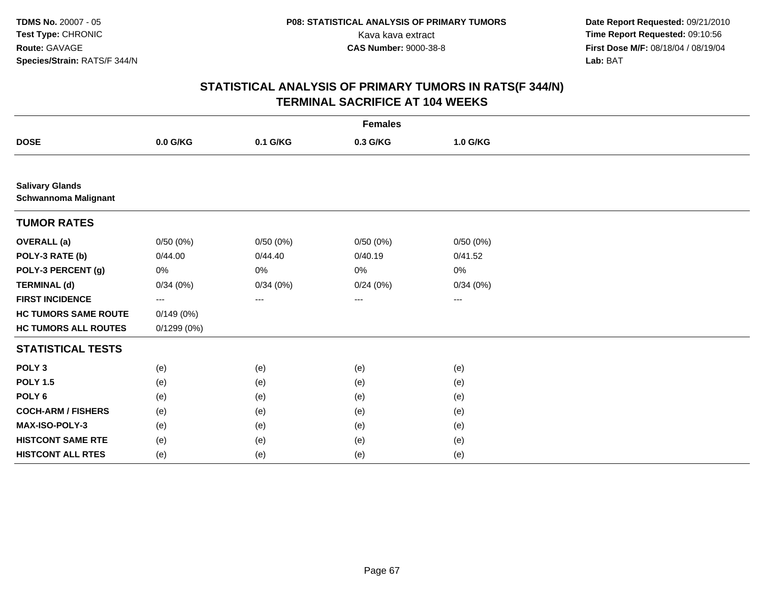|                                                       | <b>Females</b> |                   |          |          |  |  |  |
|-------------------------------------------------------|----------------|-------------------|----------|----------|--|--|--|
| <b>DOSE</b>                                           | 0.0 G/KG       | 0.1 G/KG          | 0.3 G/KG | 1.0 G/KG |  |  |  |
|                                                       |                |                   |          |          |  |  |  |
| <b>Salivary Glands</b><br><b>Schwannoma Malignant</b> |                |                   |          |          |  |  |  |
| <b>TUMOR RATES</b>                                    |                |                   |          |          |  |  |  |
| <b>OVERALL</b> (a)                                    | 0/50(0%)       | 0/50(0%)          | 0/50(0%) | 0/50(0%) |  |  |  |
| POLY-3 RATE (b)                                       | 0/44.00        | 0/44.40           | 0/40.19  | 0/41.52  |  |  |  |
| POLY-3 PERCENT (g)                                    | 0%             | 0%                | 0%       | $0\%$    |  |  |  |
| <b>TERMINAL (d)</b>                                   | 0/34(0%)       | 0/34(0%)          | 0/24(0%) | 0/34(0%) |  |  |  |
| <b>FIRST INCIDENCE</b>                                | ---            | $\qquad \qquad -$ | ---      | ---      |  |  |  |
| <b>HC TUMORS SAME ROUTE</b>                           | 0/149(0%)      |                   |          |          |  |  |  |
| <b>HC TUMORS ALL ROUTES</b>                           | 0/1299(0%)     |                   |          |          |  |  |  |
| <b>STATISTICAL TESTS</b>                              |                |                   |          |          |  |  |  |
| POLY <sub>3</sub>                                     | (e)            | (e)               | (e)      | (e)      |  |  |  |
| <b>POLY 1.5</b>                                       | (e)            | (e)               | (e)      | (e)      |  |  |  |
| POLY <sub>6</sub>                                     | (e)            | (e)               | (e)      | (e)      |  |  |  |
| <b>COCH-ARM / FISHERS</b>                             | (e)            | (e)               | (e)      | (e)      |  |  |  |
| MAX-ISO-POLY-3                                        | (e)            | (e)               | (e)      | (e)      |  |  |  |
| <b>HISTCONT SAME RTE</b>                              | (e)            | (e)               | (e)      | (e)      |  |  |  |
| <b>HISTCONT ALL RTES</b>                              | (e)            | (e)               | (e)      | (e)      |  |  |  |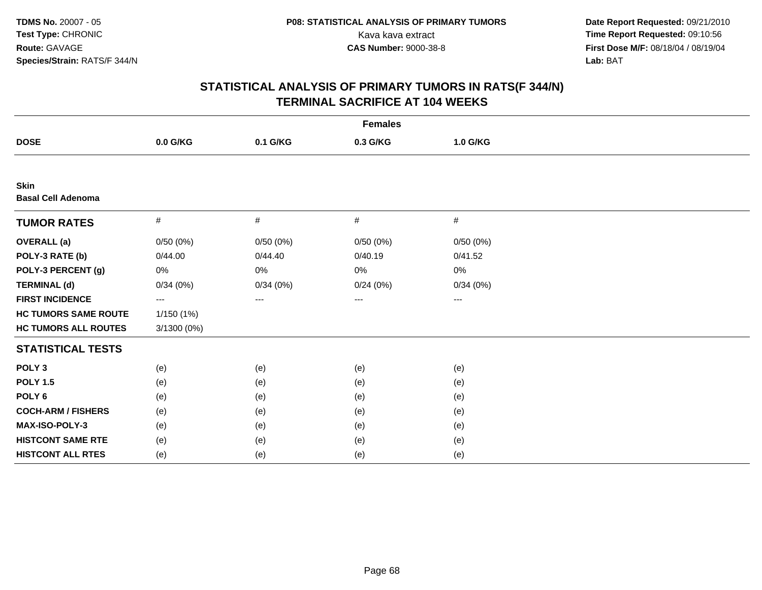| <b>Females</b>                           |             |          |          |          |  |  |
|------------------------------------------|-------------|----------|----------|----------|--|--|
| <b>DOSE</b>                              | 0.0 G/KG    | 0.1 G/KG | 0.3 G/KG | 1.0 G/KG |  |  |
|                                          |             |          |          |          |  |  |
| <b>Skin</b><br><b>Basal Cell Adenoma</b> |             |          |          |          |  |  |
| <b>TUMOR RATES</b>                       | #           | $\#$     | #        | $\#$     |  |  |
| <b>OVERALL</b> (a)                       | 0/50(0%)    | 0/50(0%) | 0/50(0%) | 0/50(0%) |  |  |
| POLY-3 RATE (b)                          | 0/44.00     | 0/44.40  | 0/40.19  | 0/41.52  |  |  |
| POLY-3 PERCENT (g)                       | 0%          | 0%       | 0%       | 0%       |  |  |
| <b>TERMINAL (d)</b>                      | 0/34(0%)    | 0/34(0%) | 0/24(0%) | 0/34(0%) |  |  |
| <b>FIRST INCIDENCE</b>                   | ---         | ---      | ---      | ---      |  |  |
| <b>HC TUMORS SAME ROUTE</b>              | 1/150 (1%)  |          |          |          |  |  |
| <b>HC TUMORS ALL ROUTES</b>              | 3/1300 (0%) |          |          |          |  |  |
| <b>STATISTICAL TESTS</b>                 |             |          |          |          |  |  |
| POLY <sub>3</sub>                        | (e)         | (e)      | (e)      | (e)      |  |  |
| <b>POLY 1.5</b>                          | (e)         | (e)      | (e)      | (e)      |  |  |
| POLY <sub>6</sub>                        | (e)         | (e)      | (e)      | (e)      |  |  |
| <b>COCH-ARM / FISHERS</b>                | (e)         | (e)      | (e)      | (e)      |  |  |
| MAX-ISO-POLY-3                           | (e)         | (e)      | (e)      | (e)      |  |  |
| <b>HISTCONT SAME RTE</b>                 | (e)         | (e)      | (e)      | (e)      |  |  |
| <b>HISTCONT ALL RTES</b>                 | (e)         | (e)      | (e)      | (e)      |  |  |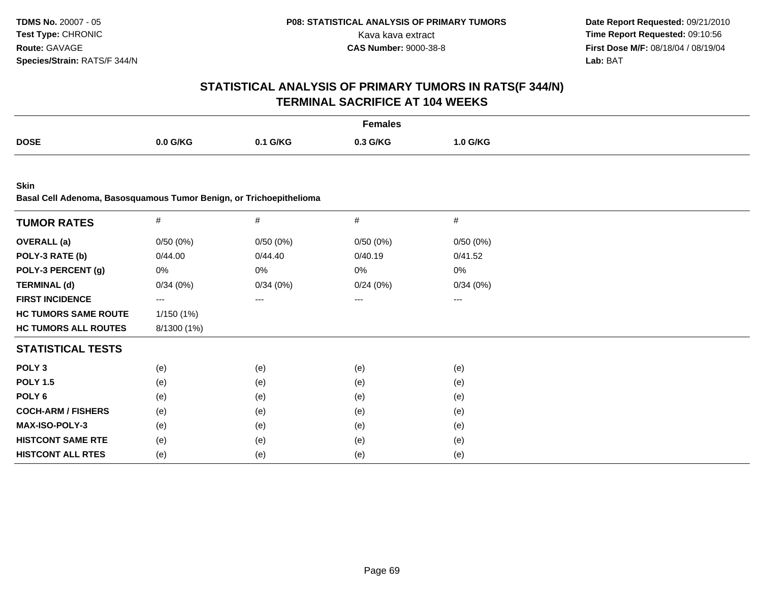# **STATISTICAL ANALYSIS OF PRIMARY TUMORS IN RATS(F 344/N)TERMINAL SACRIFICE AT 104 WEEKS**

|             |            |          | <b>Females</b> |          |
|-------------|------------|----------|----------------|----------|
| <b>DOSE</b> | $0.0$ G/KG | 0.1 G/KG | 0.3 G/KG       | 1.0 G/KG |
|             |            |          |                |          |

**Skin**

**Basal Cell Adenoma, Basosquamous Tumor Benign, or Trichoepithelioma**

| <b>TUMOR RATES</b>          | $\#$              | #        | #        | #        |
|-----------------------------|-------------------|----------|----------|----------|
| <b>OVERALL</b> (a)          | 0/50(0%)          | 0/50(0%) | 0/50(0%) | 0/50(0%) |
| POLY-3 RATE (b)             | 0/44.00           | 0/44.40  | 0/40.19  | 0/41.52  |
| POLY-3 PERCENT (g)          | 0%                | 0%       | 0%       | 0%       |
| <b>TERMINAL (d)</b>         | 0/34(0%)          | 0/34(0%) | 0/24(0%) | 0/34(0%) |
| <b>FIRST INCIDENCE</b>      | $\qquad \qquad -$ | ---      | ---      | $---$    |
| <b>HC TUMORS SAME ROUTE</b> | 1/150(1%)         |          |          |          |
| <b>HC TUMORS ALL ROUTES</b> | 8/1300 (1%)       |          |          |          |
| <b>STATISTICAL TESTS</b>    |                   |          |          |          |
| POLY <sub>3</sub>           | (e)               | (e)      | (e)      | (e)      |
| <b>POLY 1.5</b>             | (e)               | (e)      | (e)      | (e)      |
| POLY 6                      | (e)               | (e)      | (e)      | (e)      |
| <b>COCH-ARM / FISHERS</b>   | (e)               | (e)      | (e)      | (e)      |
| <b>MAX-ISO-POLY-3</b>       | (e)               | (e)      | (e)      | (e)      |
| <b>HISTCONT SAME RTE</b>    | (e)               | (e)      | (e)      | (e)      |
| <b>HISTCONT ALL RTES</b>    | (e)               | (e)      | (e)      | (e)      |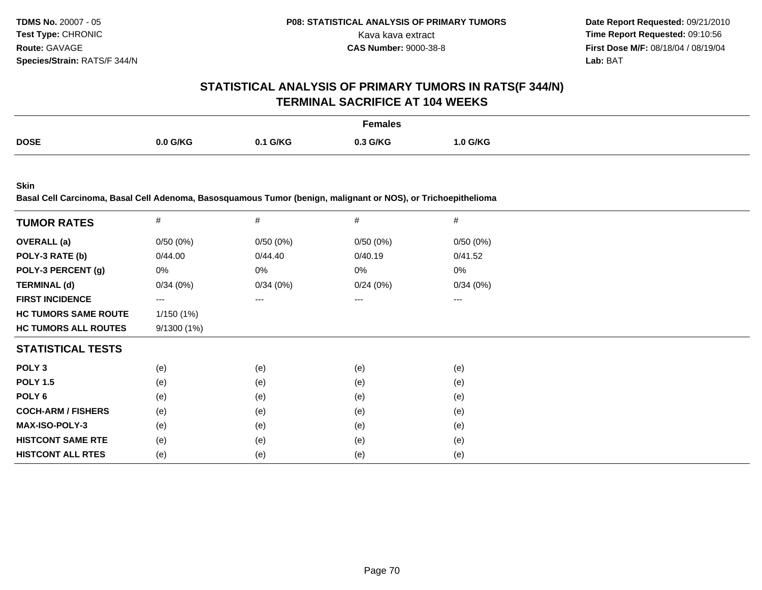## **STATISTICAL ANALYSIS OF PRIMARY TUMORS IN RATS(F 344/N)TERMINAL SACRIFICE AT 104 WEEKS**

|             |          |                 | Females  |          |
|-------------|----------|-----------------|----------|----------|
| <b>DOSE</b> | 0.0 G/KG | <u>ገ.1 G/KG</u> | 0.3 G/KG | 1.0 G/KG |

**Skin**

**Basal Cell Carcinoma, Basal Cell Adenoma, Basosquamous Tumor (benign, malignant or NOS), or Trichoepithelioma**

| <b>TUMOR RATES</b>          | $\#$              | $\#$     | #        | $\#$     |
|-----------------------------|-------------------|----------|----------|----------|
| <b>OVERALL</b> (a)          | 0/50(0%)          | 0/50(0%) | 0/50(0%) | 0/50(0%) |
| POLY-3 RATE (b)             | 0/44.00           | 0/44.40  | 0/40.19  | 0/41.52  |
| POLY-3 PERCENT (g)          | 0%                | 0%       | 0%       | 0%       |
| <b>TERMINAL (d)</b>         | 0/34(0%)          | 0/34(0%) | 0/24(0%) | 0/34(0%) |
| <b>FIRST INCIDENCE</b>      | $\qquad \qquad -$ | ---      | ---      | $---$    |
| <b>HC TUMORS SAME ROUTE</b> | 1/150(1%)         |          |          |          |
| <b>HC TUMORS ALL ROUTES</b> | 9/1300(1%)        |          |          |          |
| <b>STATISTICAL TESTS</b>    |                   |          |          |          |
| POLY <sub>3</sub>           | (e)               | (e)      | (e)      | (e)      |
| <b>POLY 1.5</b>             | (e)               | (e)      | (e)      | (e)      |
| POLY 6                      | (e)               | (e)      | (e)      | (e)      |
| <b>COCH-ARM / FISHERS</b>   | (e)               | (e)      | (e)      | (e)      |
| <b>MAX-ISO-POLY-3</b>       | (e)               | (e)      | (e)      | (e)      |
| <b>HISTCONT SAME RTE</b>    | (e)               | (e)      | (e)      | (e)      |
| <b>HISTCONT ALL RTES</b>    | (e)               | (e)      | (e)      | (e)      |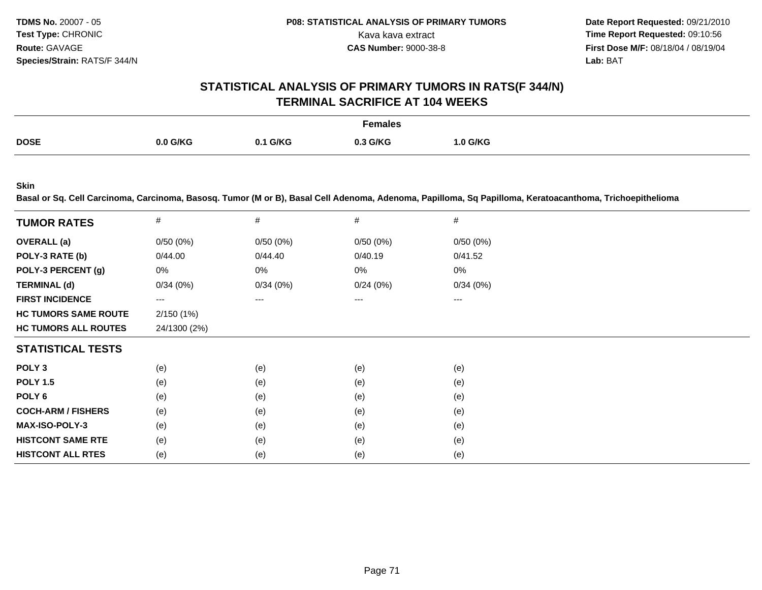**Date Report Requested:** 09/21/2010 Kava kava extract **Time Report Requested: 09:10:56**<br>**CAS Number: 9000-38-8 Time Report Requested: 09:10:56 First Dose M/F:** 08/18/04 / 08/19/04 Lab: BAT **Lab:** BAT

## **STATISTICAL ANALYSIS OF PRIMARY TUMORS IN RATS(F 344/N)TERMINAL SACRIFICE AT 104 WEEKS**

|             |            |          | Females  |          |
|-------------|------------|----------|----------|----------|
| <b>DOSE</b> | $0.0$ G/KG | 0.1 G/KG | 0.3 G/KG | 1.0 G/KG |
|             |            |          |          |          |

**Skin**

**Basal or Sq. Cell Carcinoma, Carcinoma, Basosq. Tumor (M or B), Basal Cell Adenoma, Adenoma, Papilloma, Sq Papilloma, Keratoacanthoma, Trichoepithelioma**

| <b>TUMOR RATES</b>          | #            | #        | #        | #        |  |
|-----------------------------|--------------|----------|----------|----------|--|
| <b>OVERALL</b> (a)          | 0/50(0%)     | 0/50(0%) | 0/50(0%) | 0/50(0%) |  |
| POLY-3 RATE (b)             | 0/44.00      | 0/44.40  | 0/40.19  | 0/41.52  |  |
| POLY-3 PERCENT (g)          | 0%           | 0%       | 0%       | 0%       |  |
| <b>TERMINAL (d)</b>         | 0/34(0%)     | 0/34(0%) | 0/24(0%) | 0/34(0%) |  |
| <b>FIRST INCIDENCE</b>      | ---          | ---      | ---      | ---      |  |
| <b>HC TUMORS SAME ROUTE</b> | 2/150(1%)    |          |          |          |  |
| <b>HC TUMORS ALL ROUTES</b> | 24/1300 (2%) |          |          |          |  |
| <b>STATISTICAL TESTS</b>    |              |          |          |          |  |
| POLY <sub>3</sub>           | (e)          | (e)      | (e)      | (e)      |  |
| <b>POLY 1.5</b>             | (e)          | (e)      | (e)      | (e)      |  |
| POLY 6                      | (e)          | (e)      | (e)      | (e)      |  |
| <b>COCH-ARM / FISHERS</b>   | (e)          | (e)      | (e)      | (e)      |  |
| <b>MAX-ISO-POLY-3</b>       | (e)          | (e)      | (e)      | (e)      |  |
| <b>HISTCONT SAME RTE</b>    | (e)          | (e)      | (e)      | (e)      |  |
| <b>HISTCONT ALL RTES</b>    | (e)          | (e)      | (e)      | (e)      |  |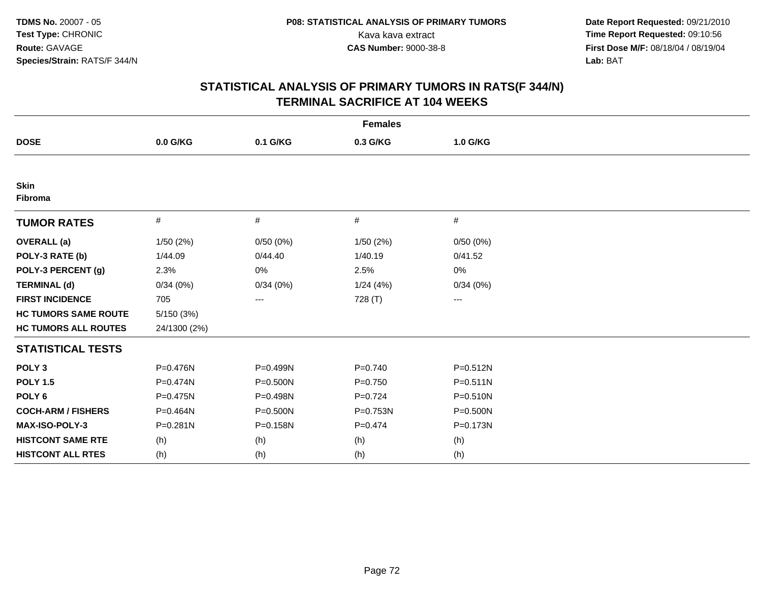| <b>Females</b>              |              |              |             |              |  |  |  |  |
|-----------------------------|--------------|--------------|-------------|--------------|--|--|--|--|
| <b>DOSE</b>                 | 0.0 G/KG     | 0.1 G/KG     | 0.3 G/KG    | 1.0 G/KG     |  |  |  |  |
|                             |              |              |             |              |  |  |  |  |
| <b>Skin</b><br>Fibroma      |              |              |             |              |  |  |  |  |
| <b>TUMOR RATES</b>          | $\#$         | #            | #           | #            |  |  |  |  |
| <b>OVERALL</b> (a)          | 1/50(2%)     | 0/50(0%)     | 1/50(2%)    | 0/50(0%)     |  |  |  |  |
| POLY-3 RATE (b)             | 1/44.09      | 0/44.40      | 1/40.19     | 0/41.52      |  |  |  |  |
| POLY-3 PERCENT (g)          | 2.3%         | 0%           | 2.5%        | 0%           |  |  |  |  |
| <b>TERMINAL (d)</b>         | 0/34(0%)     | 0/34(0%)     | 1/24(4%)    | 0/34(0%)     |  |  |  |  |
| <b>FIRST INCIDENCE</b>      | 705          | ---          | 728 (T)     | ---          |  |  |  |  |
| <b>HC TUMORS SAME ROUTE</b> | 5/150(3%)    |              |             |              |  |  |  |  |
| <b>HC TUMORS ALL ROUTES</b> | 24/1300 (2%) |              |             |              |  |  |  |  |
| <b>STATISTICAL TESTS</b>    |              |              |             |              |  |  |  |  |
| POLY <sub>3</sub>           | P=0.476N     | P=0.499N     | $P = 0.740$ | $P = 0.512N$ |  |  |  |  |
| <b>POLY 1.5</b>             | P=0.474N     | $P = 0.500N$ | $P=0.750$   | $P = 0.511N$ |  |  |  |  |
| POLY <sub>6</sub>           | P=0.475N     | P=0.498N     | $P=0.724$   | P=0.510N     |  |  |  |  |
| <b>COCH-ARM / FISHERS</b>   | P=0.464N     | P=0.500N     | P=0.753N    | P=0.500N     |  |  |  |  |
| <b>MAX-ISO-POLY-3</b>       | $P = 0.281N$ | P=0.158N     | $P = 0.474$ | P=0.173N     |  |  |  |  |
| <b>HISTCONT SAME RTE</b>    | (h)          | (h)          | (h)         | (h)          |  |  |  |  |
| <b>HISTCONT ALL RTES</b>    | (h)          | (h)          | (h)         | (h)          |  |  |  |  |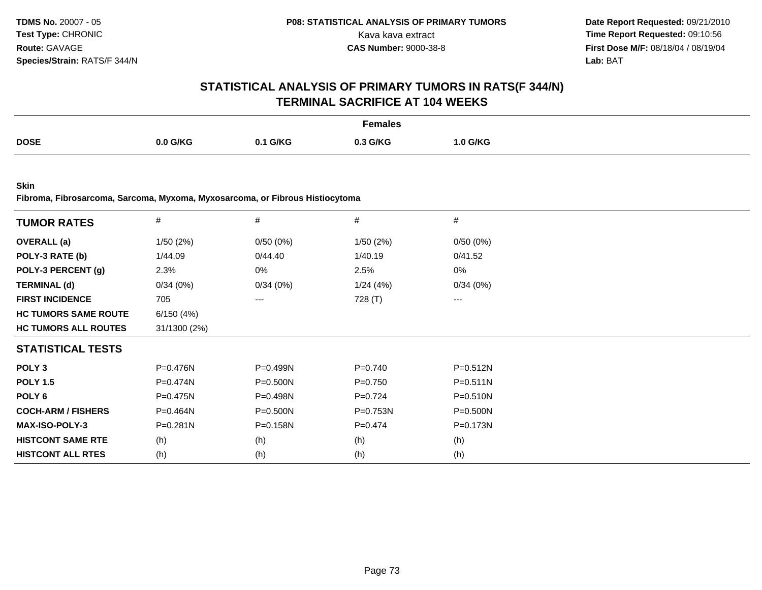## **STATISTICAL ANALYSIS OF PRIMARY TUMORS IN RATS(F 344/N)TERMINAL SACRIFICE AT 104 WEEKS**

|             |          |                    | <sup>⊤</sup> emales |                 |
|-------------|----------|--------------------|---------------------|-----------------|
| <b>DOSE</b> | 0.0 G/KG | <b>G/KG</b><br>0.1 | 0.3 G/KG            | <b>1.0 G/KG</b> |

**Skin**

**Fibroma, Fibrosarcoma, Sarcoma, Myxoma, Myxosarcoma, or Fibrous Histiocytoma**

| <b>TUMOR RATES</b>          | $\#$         | $\#$         | $\#$      | #            |
|-----------------------------|--------------|--------------|-----------|--------------|
| <b>OVERALL</b> (a)          | 1/50(2%)     | 0/50(0%)     | 1/50(2%)  | 0/50(0%)     |
| POLY-3 RATE (b)             | 1/44.09      | 0/44.40      | 1/40.19   | 0/41.52      |
| POLY-3 PERCENT (g)          | 2.3%         | 0%           | 2.5%      | 0%           |
| <b>TERMINAL (d)</b>         | 0/34(0%)     | 0/34(0%)     | 1/24(4%)  | 0/34(0%)     |
| <b>FIRST INCIDENCE</b>      | 705          | ---          | 728 (T)   | ---          |
| <b>HC TUMORS SAME ROUTE</b> | 6/150(4%)    |              |           |              |
| <b>HC TUMORS ALL ROUTES</b> | 31/1300 (2%) |              |           |              |
| <b>STATISTICAL TESTS</b>    |              |              |           |              |
| POLY <sub>3</sub>           | P=0.476N     | P=0.499N     | $P=0.740$ | $P = 0.512N$ |
| <b>POLY 1.5</b>             | $P = 0.474N$ | $P = 0.500N$ | $P=0.750$ | $P = 0.511N$ |
| POLY 6                      | $P = 0.475N$ | $P = 0.498N$ | $P=0.724$ | $P = 0.510N$ |
| <b>COCH-ARM / FISHERS</b>   | P=0.464N     | P=0.500N     | P=0.753N  | P=0.500N     |
| <b>MAX-ISO-POLY-3</b>       | $P = 0.281N$ | $P = 0.158N$ | $P=0.474$ | $P = 0.173N$ |
| <b>HISTCONT SAME RTE</b>    | (h)          | (h)          | (h)       | (h)          |
| <b>HISTCONT ALL RTES</b>    | (h)          | (h)          | (h)       | (h)          |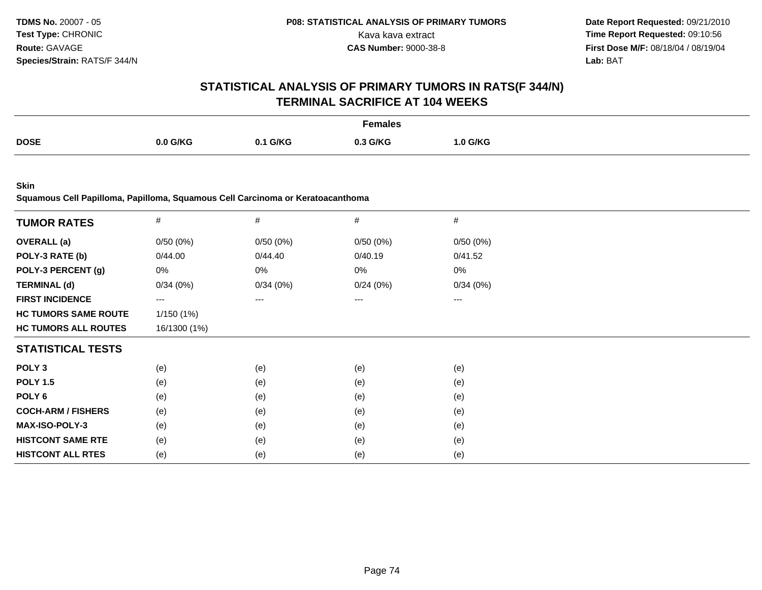## **STATISTICAL ANALYSIS OF PRIMARY TUMORS IN RATS(F 344/N)TERMINAL SACRIFICE AT 104 WEEKS**

|             |          |                | Females  |                 |
|-------------|----------|----------------|----------|-----------------|
| <b>DOSE</b> | 0.0 G/KG | <b>1. G/KG</b> | 0.3 G/KG | <b>1.0 G/KG</b> |

**Skin**

**Squamous Cell Papilloma, Papilloma, Squamous Cell Carcinoma or Keratoacanthoma**

| <b>TUMOR RATES</b>          | $\#$         | $\#$     | $\#$     | $\#$     |  |
|-----------------------------|--------------|----------|----------|----------|--|
| <b>OVERALL</b> (a)          | 0/50(0%)     | 0/50(0%) | 0/50(0%) | 0/50(0%) |  |
| POLY-3 RATE (b)             | 0/44.00      | 0/44.40  | 0/40.19  | 0/41.52  |  |
| POLY-3 PERCENT (g)          | 0%           | 0%       | 0%       | 0%       |  |
| <b>TERMINAL (d)</b>         | 0/34(0%)     | 0/34(0%) | 0/24(0%) | 0/34(0%) |  |
| <b>FIRST INCIDENCE</b>      | $\cdots$     | $---$    | ---      | $--$     |  |
| <b>HC TUMORS SAME ROUTE</b> | 1/150 (1%)   |          |          |          |  |
| <b>HC TUMORS ALL ROUTES</b> | 16/1300 (1%) |          |          |          |  |
| <b>STATISTICAL TESTS</b>    |              |          |          |          |  |
| POLY <sub>3</sub>           | (e)          | (e)      | (e)      | (e)      |  |
| <b>POLY 1.5</b>             | (e)          | (e)      | (e)      | (e)      |  |
| POLY 6                      | (e)          | (e)      | (e)      | (e)      |  |
| <b>COCH-ARM / FISHERS</b>   | (e)          | (e)      | (e)      | (e)      |  |
| <b>MAX-ISO-POLY-3</b>       | (e)          | (e)      | (e)      | (e)      |  |
| <b>HISTCONT SAME RTE</b>    | (e)          | (e)      | (e)      | (e)      |  |
| <b>HISTCONT ALL RTES</b>    | (e)          | (e)      | (e)      | (e)      |  |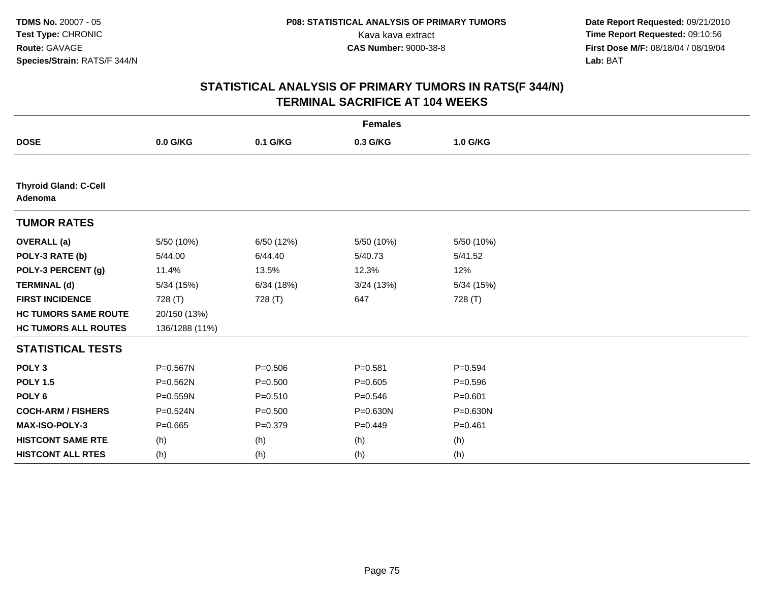| <b>Females</b>                          |                |             |              |             |  |  |
|-----------------------------------------|----------------|-------------|--------------|-------------|--|--|
| <b>DOSE</b>                             | 0.0 G/KG       | 0.1 G/KG    | 0.3 G/KG     | 1.0 G/KG    |  |  |
|                                         |                |             |              |             |  |  |
| <b>Thyroid Gland: C-Cell</b><br>Adenoma |                |             |              |             |  |  |
| <b>TUMOR RATES</b>                      |                |             |              |             |  |  |
| <b>OVERALL</b> (a)                      | 5/50 (10%)     | 6/50 (12%)  | 5/50 (10%)   | 5/50 (10%)  |  |  |
| POLY-3 RATE (b)                         | 5/44.00        | 6/44.40     | 5/40.73      | 5/41.52     |  |  |
| POLY-3 PERCENT (g)                      | 11.4%          | 13.5%       | 12.3%        | 12%         |  |  |
| <b>TERMINAL (d)</b>                     | 5/34 (15%)     | 6/34(18%)   | 3/24(13%)    | 5/34(15%)   |  |  |
| <b>FIRST INCIDENCE</b>                  | 728 (T)        | 728 (T)     | 647          | 728 (T)     |  |  |
| <b>HC TUMORS SAME ROUTE</b>             | 20/150 (13%)   |             |              |             |  |  |
| <b>HC TUMORS ALL ROUTES</b>             | 136/1288 (11%) |             |              |             |  |  |
| <b>STATISTICAL TESTS</b>                |                |             |              |             |  |  |
| POLY <sub>3</sub>                       | P=0.567N       | $P = 0.506$ | $P = 0.581$  | $P=0.594$   |  |  |
| <b>POLY 1.5</b>                         | P=0.562N       | $P = 0.500$ | $P=0.605$    | $P = 0.596$ |  |  |
| POLY <sub>6</sub>                       | P=0.559N       | $P = 0.510$ | $P = 0.546$  | $P = 0.601$ |  |  |
| <b>COCH-ARM / FISHERS</b>               | P=0.524N       | $P = 0.500$ | $P = 0.630N$ | P=0.630N    |  |  |
| MAX-ISO-POLY-3                          | $P = 0.665$    | $P = 0.379$ | $P=0.449$    | $P = 0.461$ |  |  |
| <b>HISTCONT SAME RTE</b>                | (h)            | (h)         | (h)          | (h)         |  |  |
| <b>HISTCONT ALL RTES</b>                | (h)            | (h)         | (h)          | (h)         |  |  |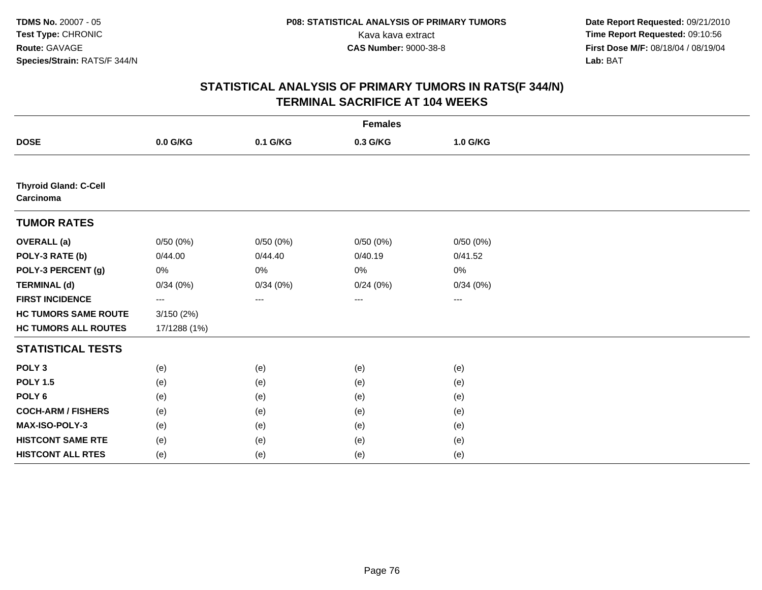| <b>Females</b>                            |              |          |                   |                   |  |  |  |
|-------------------------------------------|--------------|----------|-------------------|-------------------|--|--|--|
| <b>DOSE</b>                               | 0.0 G/KG     | 0.1 G/KG | 0.3 G/KG          | 1.0 G/KG          |  |  |  |
|                                           |              |          |                   |                   |  |  |  |
| <b>Thyroid Gland: C-Cell</b><br>Carcinoma |              |          |                   |                   |  |  |  |
| <b>TUMOR RATES</b>                        |              |          |                   |                   |  |  |  |
| <b>OVERALL (a)</b>                        | 0/50(0%)     | 0/50(0%) | 0/50(0%)          | 0/50(0%)          |  |  |  |
| POLY-3 RATE (b)                           | 0/44.00      | 0/44.40  | 0/40.19           | 0/41.52           |  |  |  |
| POLY-3 PERCENT (g)                        | 0%           | 0%       | 0%                | 0%                |  |  |  |
| <b>TERMINAL (d)</b>                       | 0/34(0%)     | 0/34(0%) | 0/24(0%)          | 0/34(0%)          |  |  |  |
| <b>FIRST INCIDENCE</b>                    | $---$        | $\cdots$ | $\qquad \qquad -$ | $\qquad \qquad -$ |  |  |  |
| <b>HC TUMORS SAME ROUTE</b>               | 3/150(2%)    |          |                   |                   |  |  |  |
| <b>HC TUMORS ALL ROUTES</b>               | 17/1288 (1%) |          |                   |                   |  |  |  |
| <b>STATISTICAL TESTS</b>                  |              |          |                   |                   |  |  |  |
| POLY <sub>3</sub>                         | (e)          | (e)      | (e)               | (e)               |  |  |  |
| <b>POLY 1.5</b>                           | (e)          | (e)      | (e)               | (e)               |  |  |  |
| POLY <sub>6</sub>                         | (e)          | (e)      | (e)               | (e)               |  |  |  |
| <b>COCH-ARM / FISHERS</b>                 | (e)          | (e)      | (e)               | (e)               |  |  |  |
| MAX-ISO-POLY-3                            | (e)          | (e)      | (e)               | (e)               |  |  |  |
| <b>HISTCONT SAME RTE</b>                  | (e)          | (e)      | (e)               | (e)               |  |  |  |
| <b>HISTCONT ALL RTES</b>                  | (e)          | (e)      | (e)               | (e)               |  |  |  |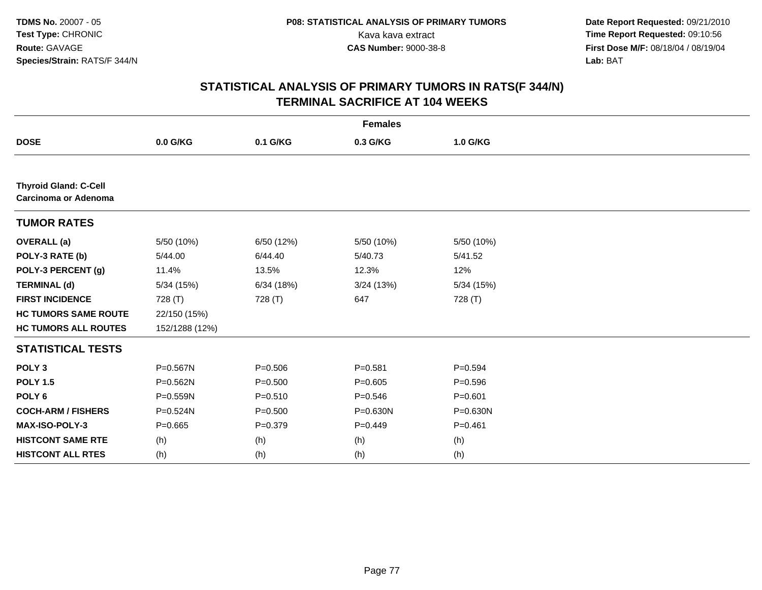| <b>Females</b>                                       |                |             |             |             |  |  |
|------------------------------------------------------|----------------|-------------|-------------|-------------|--|--|
| <b>DOSE</b>                                          | 0.0 G/KG       | 0.1 G/KG    | 0.3 G/KG    | 1.0 G/KG    |  |  |
|                                                      |                |             |             |             |  |  |
| <b>Thyroid Gland: C-Cell</b><br>Carcinoma or Adenoma |                |             |             |             |  |  |
| <b>TUMOR RATES</b>                                   |                |             |             |             |  |  |
| <b>OVERALL</b> (a)                                   | 5/50 (10%)     | 6/50 (12%)  | 5/50 (10%)  | 5/50 (10%)  |  |  |
| POLY-3 RATE (b)                                      | 5/44.00        | 6/44.40     | 5/40.73     | 5/41.52     |  |  |
| POLY-3 PERCENT (g)                                   | 11.4%          | 13.5%       | 12.3%       | 12%         |  |  |
| <b>TERMINAL (d)</b>                                  | 5/34 (15%)     | 6/34(18%)   | 3/24(13%)   | 5/34(15%)   |  |  |
| <b>FIRST INCIDENCE</b>                               | 728 (T)        | 728 (T)     | 647         | 728 (T)     |  |  |
| <b>HC TUMORS SAME ROUTE</b>                          | 22/150 (15%)   |             |             |             |  |  |
| <b>HC TUMORS ALL ROUTES</b>                          | 152/1288 (12%) |             |             |             |  |  |
| <b>STATISTICAL TESTS</b>                             |                |             |             |             |  |  |
| POLY <sub>3</sub>                                    | P=0.567N       | $P = 0.506$ | $P = 0.581$ | $P = 0.594$ |  |  |
| <b>POLY 1.5</b>                                      | $P = 0.562N$   | $P = 0.500$ | $P = 0.605$ | $P = 0.596$ |  |  |
| POLY <sub>6</sub>                                    | $P = 0.559N$   | $P = 0.510$ | $P = 0.546$ | $P = 0.601$ |  |  |
| <b>COCH-ARM / FISHERS</b>                            | P=0.524N       | $P = 0.500$ | P=0.630N    | P=0.630N    |  |  |
| MAX-ISO-POLY-3                                       | $P=0.665$      | $P=0.379$   | $P=0.449$   | $P = 0.461$ |  |  |
| <b>HISTCONT SAME RTE</b>                             | (h)            | (h)         | (h)         | (h)         |  |  |
| <b>HISTCONT ALL RTES</b>                             | (h)            | (h)         | (h)         | (h)         |  |  |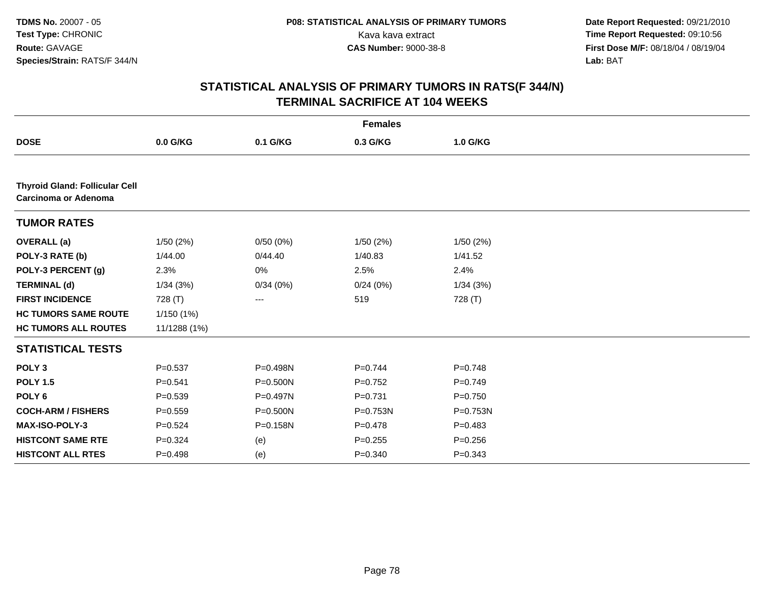|                                                               |              |                   | <b>Females</b> |             |  |
|---------------------------------------------------------------|--------------|-------------------|----------------|-------------|--|
| <b>DOSE</b>                                                   | 0.0 G/KG     | 0.1 G/KG          | 0.3 G/KG       | 1.0 G/KG    |  |
|                                                               |              |                   |                |             |  |
| <b>Thyroid Gland: Follicular Cell</b><br>Carcinoma or Adenoma |              |                   |                |             |  |
| <b>TUMOR RATES</b>                                            |              |                   |                |             |  |
| <b>OVERALL</b> (a)                                            | 1/50(2%)     | 0/50(0%)          | 1/50(2%)       | 1/50(2%)    |  |
| POLY-3 RATE (b)                                               | 1/44.00      | 0/44.40           | 1/40.83        | 1/41.52     |  |
| POLY-3 PERCENT (g)                                            | 2.3%         | 0%                | 2.5%           | 2.4%        |  |
| <b>TERMINAL (d)</b>                                           | 1/34(3%)     | 0/34(0%)          | 0/24(0%)       | 1/34(3%)    |  |
| <b>FIRST INCIDENCE</b>                                        | 728 (T)      | $\qquad \qquad -$ | 519            | 728 (T)     |  |
| <b>HC TUMORS SAME ROUTE</b>                                   | 1/150(1%)    |                   |                |             |  |
| <b>HC TUMORS ALL ROUTES</b>                                   | 11/1288 (1%) |                   |                |             |  |
| <b>STATISTICAL TESTS</b>                                      |              |                   |                |             |  |
| POLY <sub>3</sub>                                             | $P = 0.537$  | P=0.498N          | $P=0.744$      | $P = 0.748$ |  |
| <b>POLY 1.5</b>                                               | $P = 0.541$  | P=0.500N          | $P=0.752$      | $P=0.749$   |  |
| POLY <sub>6</sub>                                             | $P = 0.539$  | P=0.497N          | $P = 0.731$    | $P=0.750$   |  |
| <b>COCH-ARM / FISHERS</b>                                     | $P = 0.559$  | $P = 0.500N$      | P=0.753N       | P=0.753N    |  |
| MAX-ISO-POLY-3                                                | $P = 0.524$  | P=0.158N          | $P = 0.478$    | $P=0.483$   |  |
| <b>HISTCONT SAME RTE</b>                                      | $P = 0.324$  | (e)               | $P = 0.255$    | $P = 0.256$ |  |
| <b>HISTCONT ALL RTES</b>                                      | $P=0.498$    | (e)               | $P = 0.340$    | $P = 0.343$ |  |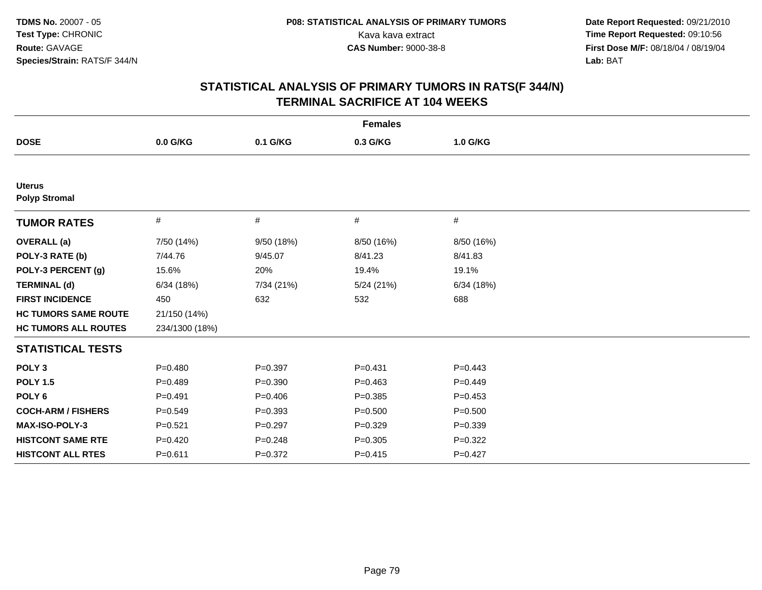| <b>Females</b>                        |                |             |             |             |  |  |
|---------------------------------------|----------------|-------------|-------------|-------------|--|--|
| <b>DOSE</b>                           | $0.0$ G/KG     | 0.1 G/KG    | 0.3 G/KG    | 1.0 G/KG    |  |  |
|                                       |                |             |             |             |  |  |
| <b>Uterus</b><br><b>Polyp Stromal</b> |                |             |             |             |  |  |
| <b>TUMOR RATES</b>                    | #              | #           | #           | #           |  |  |
| <b>OVERALL</b> (a)                    | 7/50 (14%)     | 9/50 (18%)  | 8/50 (16%)  | 8/50 (16%)  |  |  |
| POLY-3 RATE (b)                       | 7/44.76        | 9/45.07     | 8/41.23     | 8/41.83     |  |  |
| POLY-3 PERCENT (g)                    | 15.6%          | 20%         | 19.4%       | 19.1%       |  |  |
| <b>TERMINAL (d)</b>                   | 6/34(18%)      | 7/34 (21%)  | 5/24 (21%)  | 6/34(18%)   |  |  |
| <b>FIRST INCIDENCE</b>                | 450            | 632         | 532         | 688         |  |  |
| <b>HC TUMORS SAME ROUTE</b>           | 21/150 (14%)   |             |             |             |  |  |
| <b>HC TUMORS ALL ROUTES</b>           | 234/1300 (18%) |             |             |             |  |  |
| <b>STATISTICAL TESTS</b>              |                |             |             |             |  |  |
| POLY <sub>3</sub>                     | $P=0.480$      | $P=0.397$   | $P = 0.431$ | $P=0.443$   |  |  |
| <b>POLY 1.5</b>                       | $P=0.489$      | $P = 0.390$ | $P=0.463$   | $P=0.449$   |  |  |
| POLY <sub>6</sub>                     | $P=0.491$      | $P = 0.406$ | $P=0.385$   | $P=0.453$   |  |  |
| <b>COCH-ARM / FISHERS</b>             | $P=0.549$      | $P = 0.393$ | $P = 0.500$ | $P = 0.500$ |  |  |
| MAX-ISO-POLY-3                        | $P = 0.521$    | $P = 0.297$ | $P=0.329$   | $P = 0.339$ |  |  |
| <b>HISTCONT SAME RTE</b>              | $P=0.420$      | $P = 0.248$ | $P = 0.305$ | $P=0.322$   |  |  |
| <b>HISTCONT ALL RTES</b>              | $P = 0.611$    | $P = 0.372$ | $P=0.415$   | $P=0.427$   |  |  |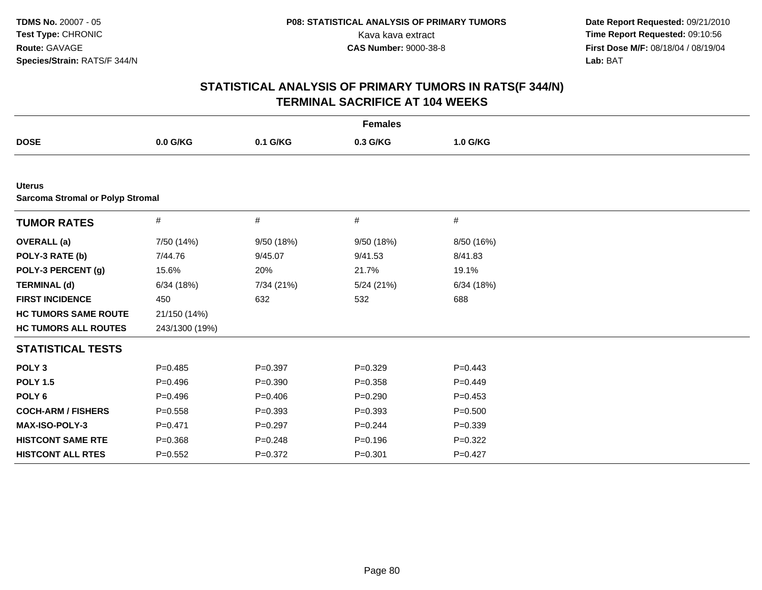| <b>Females</b>                                           |                |             |             |             |  |  |
|----------------------------------------------------------|----------------|-------------|-------------|-------------|--|--|
| <b>DOSE</b>                                              | 0.0 G/KG       | 0.1 G/KG    | 0.3 G/KG    | 1.0 G/KG    |  |  |
|                                                          |                |             |             |             |  |  |
| <b>Uterus</b><br><b>Sarcoma Stromal or Polyp Stromal</b> |                |             |             |             |  |  |
| <b>TUMOR RATES</b>                                       | #              | #           | #           | #           |  |  |
| <b>OVERALL</b> (a)                                       | 7/50 (14%)     | 9/50 (18%)  | 9/50 (18%)  | 8/50 (16%)  |  |  |
| POLY-3 RATE (b)                                          | 7/44.76        | 9/45.07     | 9/41.53     | 8/41.83     |  |  |
| POLY-3 PERCENT (g)                                       | 15.6%          | 20%         | 21.7%       | 19.1%       |  |  |
| <b>TERMINAL (d)</b>                                      | 6/34(18%)      | 7/34 (21%)  | 5/24 (21%)  | 6/34(18%)   |  |  |
| <b>FIRST INCIDENCE</b>                                   | 450            | 632         | 532         | 688         |  |  |
| <b>HC TUMORS SAME ROUTE</b>                              | 21/150 (14%)   |             |             |             |  |  |
| <b>HC TUMORS ALL ROUTES</b>                              | 243/1300 (19%) |             |             |             |  |  |
| <b>STATISTICAL TESTS</b>                                 |                |             |             |             |  |  |
| POLY <sub>3</sub>                                        | $P=0.485$      | $P=0.397$   | $P=0.329$   | $P=0.443$   |  |  |
| <b>POLY 1.5</b>                                          | $P=0.496$      | $P = 0.390$ | $P = 0.358$ | $P=0.449$   |  |  |
| POLY <sub>6</sub>                                        | $P=0.496$      | $P=0.406$   | $P=0.290$   | $P=0.453$   |  |  |
| <b>COCH-ARM / FISHERS</b>                                | $P = 0.558$    | $P = 0.393$ | $P = 0.393$ | $P = 0.500$ |  |  |
| MAX-ISO-POLY-3                                           | $P=0.471$      | $P=0.297$   | $P=0.244$   | $P = 0.339$ |  |  |
| <b>HISTCONT SAME RTE</b>                                 | $P = 0.368$    | $P = 0.248$ | $P = 0.196$ | $P=0.322$   |  |  |
| <b>HISTCONT ALL RTES</b>                                 | $P=0.552$      | $P = 0.372$ | $P = 0.301$ | $P = 0.427$ |  |  |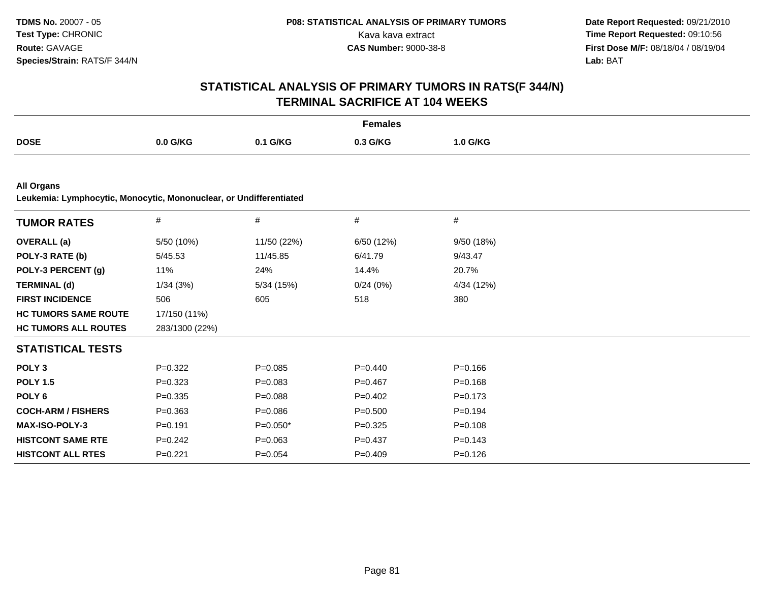|                                                                    |                |             | <b>Females</b> |             |  |
|--------------------------------------------------------------------|----------------|-------------|----------------|-------------|--|
| <b>DOSE</b>                                                        | 0.0 G/KG       | 0.1 G/KG    | 0.3 G/KG       | 1.0 G/KG    |  |
| <b>All Organs</b>                                                  |                |             |                |             |  |
| Leukemia: Lymphocytic, Monocytic, Mononuclear, or Undifferentiated |                |             |                |             |  |
| <b>TUMOR RATES</b>                                                 | #              | #           | #              | #           |  |
| <b>OVERALL</b> (a)                                                 | 5/50 (10%)     | 11/50 (22%) | 6/50 (12%)     | 9/50 (18%)  |  |
| POLY-3 RATE (b)                                                    | 5/45.53        | 11/45.85    | 6/41.79        | 9/43.47     |  |
| POLY-3 PERCENT (g)                                                 | 11%            | 24%         | 14.4%          | 20.7%       |  |
| <b>TERMINAL (d)</b>                                                | 1/34(3%)       | 5/34(15%)   | 0/24(0%)       | 4/34 (12%)  |  |
| <b>FIRST INCIDENCE</b>                                             | 506            | 605         | 518            | 380         |  |
| <b>HC TUMORS SAME ROUTE</b>                                        | 17/150 (11%)   |             |                |             |  |
| <b>HC TUMORS ALL ROUTES</b>                                        | 283/1300 (22%) |             |                |             |  |
| <b>STATISTICAL TESTS</b>                                           |                |             |                |             |  |
| POLY <sub>3</sub>                                                  | $P=0.322$      | $P = 0.085$ | $P=0.440$      | $P = 0.166$ |  |
| <b>POLY 1.5</b>                                                    | $P = 0.323$    | $P = 0.083$ | $P = 0.467$    | $P = 0.168$ |  |
| POLY <sub>6</sub>                                                  | $P = 0.335$    | $P = 0.088$ | $P=0.402$      | $P = 0.173$ |  |
| <b>COCH-ARM / FISHERS</b>                                          | $P = 0.363$    | $P = 0.086$ | $P = 0.500$    | $P=0.194$   |  |
| <b>MAX-ISO-POLY-3</b>                                              | $P = 0.191$    | $P=0.050*$  | $P = 0.325$    | $P = 0.108$ |  |
| <b>HISTCONT SAME RTE</b>                                           | $P = 0.242$    | $P = 0.063$ | $P = 0.437$    | $P = 0.143$ |  |
| <b>HISTCONT ALL RTES</b>                                           | $P=0.221$      | $P = 0.054$ | $P = 0.409$    | $P = 0.126$ |  |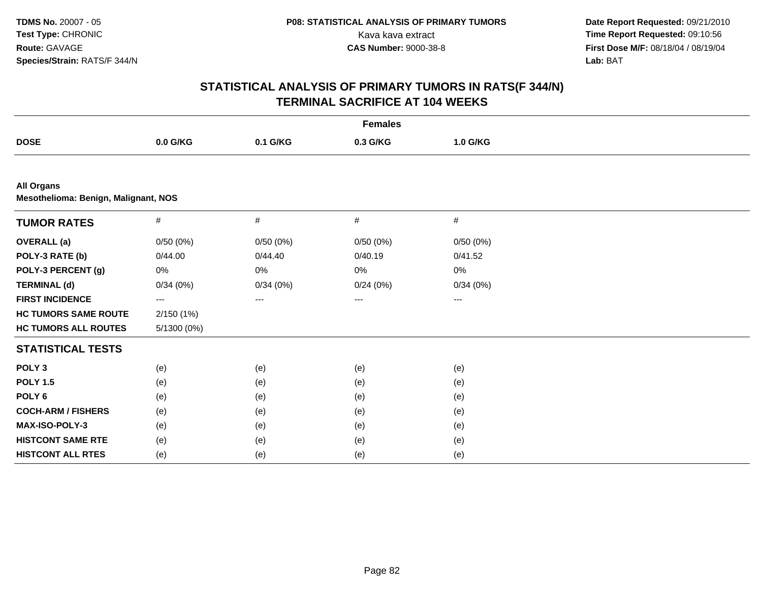|                                                           |             |          | <b>Females</b> |          |  |
|-----------------------------------------------------------|-------------|----------|----------------|----------|--|
| <b>DOSE</b>                                               | 0.0 G/KG    | 0.1 G/KG | 0.3 G/KG       | 1.0 G/KG |  |
|                                                           |             |          |                |          |  |
| <b>All Organs</b><br>Mesothelioma: Benign, Malignant, NOS |             |          |                |          |  |
| <b>TUMOR RATES</b>                                        | $\#$        | $\#$     | #              | $\#$     |  |
| <b>OVERALL</b> (a)                                        | 0/50(0%)    | 0/50(0%) | 0/50(0%)       | 0/50(0%) |  |
| POLY-3 RATE (b)                                           | 0/44.00     | 0/44.40  | 0/40.19        | 0/41.52  |  |
| POLY-3 PERCENT (g)                                        | 0%          | 0%       | 0%             | 0%       |  |
| <b>TERMINAL (d)</b>                                       | 0/34(0%)    | 0/34(0%) | 0/24(0%)       | 0/34(0%) |  |
| <b>FIRST INCIDENCE</b>                                    | ---         | ---      | ---            | ---      |  |
| <b>HC TUMORS SAME ROUTE</b>                               | 2/150(1%)   |          |                |          |  |
| <b>HC TUMORS ALL ROUTES</b>                               | 5/1300 (0%) |          |                |          |  |
| <b>STATISTICAL TESTS</b>                                  |             |          |                |          |  |
| POLY <sub>3</sub>                                         | (e)         | (e)      | (e)            | (e)      |  |
| <b>POLY 1.5</b>                                           | (e)         | (e)      | (e)            | (e)      |  |
| POLY <sub>6</sub>                                         | (e)         | (e)      | (e)            | (e)      |  |
| <b>COCH-ARM / FISHERS</b>                                 | (e)         | (e)      | (e)            | (e)      |  |
| MAX-ISO-POLY-3                                            | (e)         | (e)      | (e)            | (e)      |  |
| <b>HISTCONT SAME RTE</b>                                  | (e)         | (e)      | (e)            | (e)      |  |
| <b>HISTCONT ALL RTES</b>                                  | (e)         | (e)      | (e)            | (e)      |  |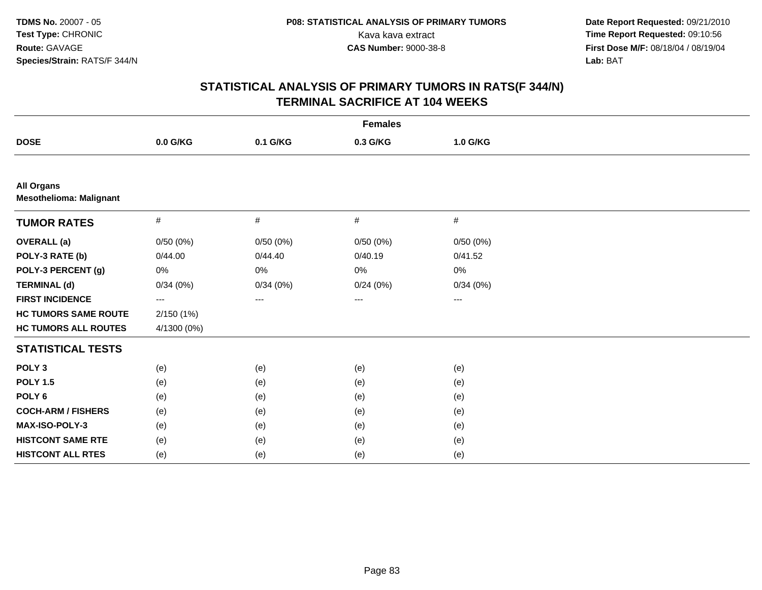| <b>Females</b>                                      |             |          |                   |          |  |
|-----------------------------------------------------|-------------|----------|-------------------|----------|--|
| <b>DOSE</b>                                         | 0.0 G/KG    | 0.1 G/KG | 0.3 G/KG          | 1.0 G/KG |  |
|                                                     |             |          |                   |          |  |
| <b>All Organs</b><br><b>Mesothelioma: Malignant</b> |             |          |                   |          |  |
| <b>TUMOR RATES</b>                                  | $\#$        | #        | #                 | #        |  |
| <b>OVERALL</b> (a)                                  | 0/50(0%)    | 0/50(0%) | 0/50(0%)          | 0/50(0%) |  |
| POLY-3 RATE (b)                                     | 0/44.00     | 0/44.40  | 0/40.19           | 0/41.52  |  |
| POLY-3 PERCENT (g)                                  | 0%          | 0%       | 0%                | 0%       |  |
| <b>TERMINAL (d)</b>                                 | 0/34(0%)    | 0/34(0%) | 0/24(0%)          | 0/34(0%) |  |
| <b>FIRST INCIDENCE</b>                              | ---         | ---      | $\qquad \qquad -$ | $---$    |  |
| <b>HC TUMORS SAME ROUTE</b>                         | 2/150(1%)   |          |                   |          |  |
| <b>HC TUMORS ALL ROUTES</b>                         | 4/1300 (0%) |          |                   |          |  |
| <b>STATISTICAL TESTS</b>                            |             |          |                   |          |  |
| POLY <sub>3</sub>                                   | (e)         | (e)      | (e)               | (e)      |  |
| <b>POLY 1.5</b>                                     | (e)         | (e)      | (e)               | (e)      |  |
| POLY <sub>6</sub>                                   | (e)         | (e)      | (e)               | (e)      |  |
| <b>COCH-ARM / FISHERS</b>                           | (e)         | (e)      | (e)               | (e)      |  |
| MAX-ISO-POLY-3                                      | (e)         | (e)      | (e)               | (e)      |  |
| <b>HISTCONT SAME RTE</b>                            | (e)         | (e)      | (e)               | (e)      |  |
| <b>HISTCONT ALL RTES</b>                            | (e)         | (e)      | (e)               | (e)      |  |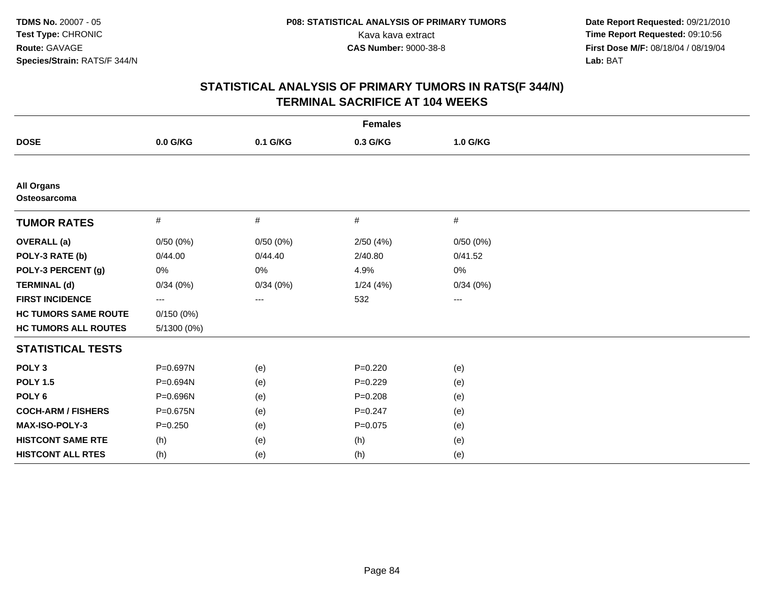| <b>Females</b>                    |             |          |             |                     |  |
|-----------------------------------|-------------|----------|-------------|---------------------|--|
| <b>DOSE</b>                       | 0.0 G/KG    | 0.1 G/KG | 0.3 G/KG    | 1.0 G/KG            |  |
|                                   |             |          |             |                     |  |
| <b>All Organs</b><br>Osteosarcoma |             |          |             |                     |  |
| <b>TUMOR RATES</b>                | #           | #        | #           | $\#$                |  |
| <b>OVERALL</b> (a)                | 0/50(0%)    | 0/50(0%) | 2/50(4%)    | 0/50(0%)            |  |
| POLY-3 RATE (b)                   | 0/44.00     | 0/44.40  | 2/40.80     | 0/41.52             |  |
| POLY-3 PERCENT (g)                | 0%          | $0\%$    | 4.9%        | 0%                  |  |
| <b>TERMINAL (d)</b>               | 0/34(0%)    | 0/34(0%) | 1/24(4%)    | 0/34(0%)            |  |
| <b>FIRST INCIDENCE</b>            | ---         | $\cdots$ | 532         | $\qquad \qquad - -$ |  |
| <b>HC TUMORS SAME ROUTE</b>       | 0/150(0%)   |          |             |                     |  |
| <b>HC TUMORS ALL ROUTES</b>       | 5/1300 (0%) |          |             |                     |  |
| <b>STATISTICAL TESTS</b>          |             |          |             |                     |  |
| POLY <sub>3</sub>                 | P=0.697N    | (e)      | $P=0.220$   | (e)                 |  |
| <b>POLY 1.5</b>                   | P=0.694N    | (e)      | $P=0.229$   | (e)                 |  |
| POLY <sub>6</sub>                 | P=0.696N    | (e)      | $P = 0.208$ | (e)                 |  |
| <b>COCH-ARM / FISHERS</b>         | P=0.675N    | (e)      | $P = 0.247$ | (e)                 |  |
| MAX-ISO-POLY-3                    | $P = 0.250$ | (e)      | $P=0.075$   | (e)                 |  |
| <b>HISTCONT SAME RTE</b>          | (h)         | (e)      | (h)         | (e)                 |  |
| <b>HISTCONT ALL RTES</b>          | (h)         | (e)      | (h)         | (e)                 |  |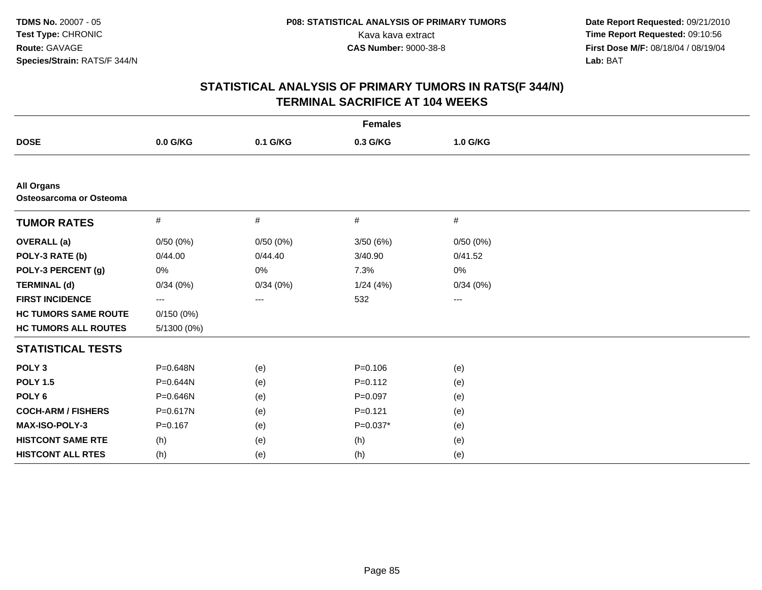| <b>Females</b>                               |             |          |             |                   |  |
|----------------------------------------------|-------------|----------|-------------|-------------------|--|
| <b>DOSE</b>                                  | $0.0$ G/KG  | 0.1 G/KG | 0.3 G/KG    | 1.0 G/KG          |  |
|                                              |             |          |             |                   |  |
| <b>All Organs</b><br>Osteosarcoma or Osteoma |             |          |             |                   |  |
| <b>TUMOR RATES</b>                           | #           | #        | #           | #                 |  |
| <b>OVERALL</b> (a)                           | 0/50(0%)    | 0/50(0%) | 3/50 (6%)   | 0/50(0%)          |  |
| POLY-3 RATE (b)                              | 0/44.00     | 0/44.40  | 3/40.90     | 0/41.52           |  |
| POLY-3 PERCENT (g)                           | 0%          | 0%       | 7.3%        | 0%                |  |
| <b>TERMINAL (d)</b>                          | 0/34(0%)    | 0/34(0%) | 1/24(4%)    | 0/34(0%)          |  |
| <b>FIRST INCIDENCE</b>                       | ---         | $\cdots$ | 532         | $\qquad \qquad -$ |  |
| <b>HC TUMORS SAME ROUTE</b>                  | 0/150(0%)   |          |             |                   |  |
| <b>HC TUMORS ALL ROUTES</b>                  | 5/1300 (0%) |          |             |                   |  |
| <b>STATISTICAL TESTS</b>                     |             |          |             |                   |  |
| POLY <sub>3</sub>                            | P=0.648N    | (e)      | $P=0.106$   | (e)               |  |
| <b>POLY 1.5</b>                              | P=0.644N    | (e)      | $P=0.112$   | (e)               |  |
| POLY <sub>6</sub>                            | P=0.646N    | (e)      | $P = 0.097$ | (e)               |  |
| <b>COCH-ARM / FISHERS</b>                    | P=0.617N    | (e)      | $P = 0.121$ | (e)               |  |
| <b>MAX-ISO-POLY-3</b>                        | $P=0.167$   | (e)      | $P=0.037*$  | (e)               |  |
| <b>HISTCONT SAME RTE</b>                     | (h)         | (e)      | (h)         | (e)               |  |
| <b>HISTCONT ALL RTES</b>                     | (h)         | (e)      | (h)         | (e)               |  |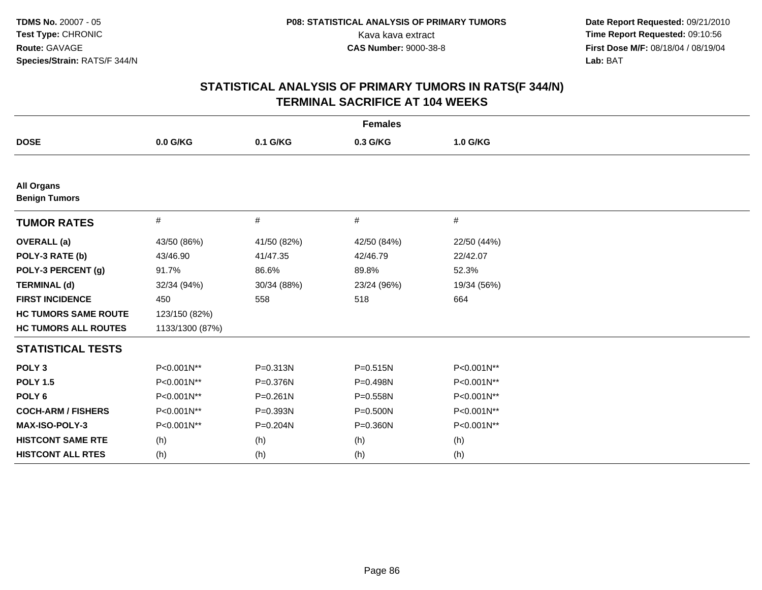| <b>Females</b>                            |                 |              |              |             |  |
|-------------------------------------------|-----------------|--------------|--------------|-------------|--|
| <b>DOSE</b>                               | 0.0 G/KG        | 0.1 G/KG     | 0.3 G/KG     | 1.0 G/KG    |  |
|                                           |                 |              |              |             |  |
| <b>All Organs</b><br><b>Benign Tumors</b> |                 |              |              |             |  |
| <b>TUMOR RATES</b>                        | #               | #            | #            | #           |  |
| <b>OVERALL</b> (a)                        | 43/50 (86%)     | 41/50 (82%)  | 42/50 (84%)  | 22/50 (44%) |  |
| POLY-3 RATE (b)                           | 43/46.90        | 41/47.35     | 42/46.79     | 22/42.07    |  |
| POLY-3 PERCENT (g)                        | 91.7%           | 86.6%        | 89.8%        | 52.3%       |  |
| <b>TERMINAL (d)</b>                       | 32/34 (94%)     | 30/34 (88%)  | 23/24 (96%)  | 19/34 (56%) |  |
| <b>FIRST INCIDENCE</b>                    | 450             | 558          | 518          | 664         |  |
| <b>HC TUMORS SAME ROUTE</b>               | 123/150 (82%)   |              |              |             |  |
| <b>HC TUMORS ALL ROUTES</b>               | 1133/1300 (87%) |              |              |             |  |
| <b>STATISTICAL TESTS</b>                  |                 |              |              |             |  |
| POLY <sub>3</sub>                         | P<0.001N**      | P=0.313N     | $P = 0.515N$ | P<0.001N**  |  |
| <b>POLY 1.5</b>                           | P<0.001N**      | P=0.376N     | P=0.498N     | P<0.001N**  |  |
| POLY <sub>6</sub>                         | P<0.001N**      | $P = 0.261N$ | P=0.558N     | P<0.001N**  |  |
| <b>COCH-ARM / FISHERS</b>                 | P<0.001N**      | P=0.393N     | $P = 0.500N$ | P<0.001N**  |  |
| MAX-ISO-POLY-3                            | P<0.001N**      | P=0.204N     | $P = 0.360N$ | P<0.001N**  |  |
| <b>HISTCONT SAME RTE</b>                  | (h)             | (h)          | (h)          | (h)         |  |
| <b>HISTCONT ALL RTES</b>                  | (h)             | (h)          | (h)          | (h)         |  |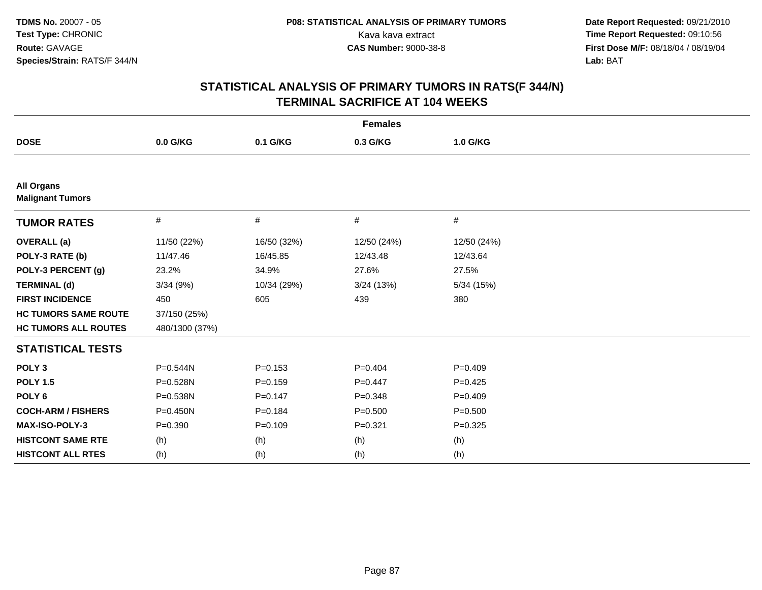| <b>Females</b>                               |                |             |             |             |  |
|----------------------------------------------|----------------|-------------|-------------|-------------|--|
| <b>DOSE</b>                                  | 0.0 G/KG       | 0.1 G/KG    | 0.3 G/KG    | 1.0 G/KG    |  |
|                                              |                |             |             |             |  |
| <b>All Organs</b><br><b>Malignant Tumors</b> |                |             |             |             |  |
| <b>TUMOR RATES</b>                           | #              | #           | #           | $\#$        |  |
| <b>OVERALL</b> (a)                           | 11/50 (22%)    | 16/50 (32%) | 12/50 (24%) | 12/50 (24%) |  |
| POLY-3 RATE (b)                              | 11/47.46       | 16/45.85    | 12/43.48    | 12/43.64    |  |
| POLY-3 PERCENT (g)                           | 23.2%          | 34.9%       | 27.6%       | 27.5%       |  |
| <b>TERMINAL (d)</b>                          | 3/34 (9%)      | 10/34 (29%) | 3/24(13%)   | 5/34 (15%)  |  |
| <b>FIRST INCIDENCE</b>                       | 450            | 605         | 439         | 380         |  |
| <b>HC TUMORS SAME ROUTE</b>                  | 37/150 (25%)   |             |             |             |  |
| <b>HC TUMORS ALL ROUTES</b>                  | 480/1300 (37%) |             |             |             |  |
| <b>STATISTICAL TESTS</b>                     |                |             |             |             |  |
| POLY <sub>3</sub>                            | P=0.544N       | $P = 0.153$ | $P=0.404$   | $P=0.409$   |  |
| <b>POLY 1.5</b>                              | P=0.528N       | $P=0.159$   | $P=0.447$   | $P=0.425$   |  |
| POLY <sub>6</sub>                            | P=0.538N       | $P = 0.147$ | $P = 0.348$ | $P=0.409$   |  |
| <b>COCH-ARM / FISHERS</b>                    | P=0.450N       | $P = 0.184$ | $P = 0.500$ | $P = 0.500$ |  |
| <b>MAX-ISO-POLY-3</b>                        | $P = 0.390$    | $P=0.109$   | $P = 0.321$ | $P=0.325$   |  |
| <b>HISTCONT SAME RTE</b>                     | (h)            | (h)         | (h)         | (h)         |  |
| <b>HISTCONT ALL RTES</b>                     | (h)            | (h)         | (h)         | (h)         |  |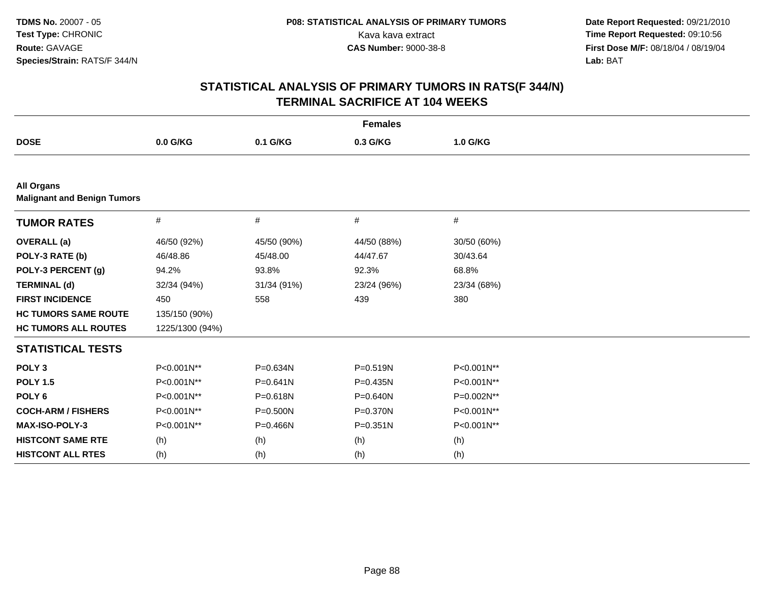| <b>Females</b>                                          |                 |              |              |             |  |
|---------------------------------------------------------|-----------------|--------------|--------------|-------------|--|
| <b>DOSE</b>                                             | 0.0 G/KG        | 0.1 G/KG     | 0.3 G/KG     | 1.0 G/KG    |  |
|                                                         |                 |              |              |             |  |
| <b>All Organs</b><br><b>Malignant and Benign Tumors</b> |                 |              |              |             |  |
| <b>TUMOR RATES</b>                                      | $\#$            | #            | #            | $\#$        |  |
| <b>OVERALL</b> (a)                                      | 46/50 (92%)     | 45/50 (90%)  | 44/50 (88%)  | 30/50 (60%) |  |
| POLY-3 RATE (b)                                         | 46/48.86        | 45/48.00     | 44/47.67     | 30/43.64    |  |
| POLY-3 PERCENT (g)                                      | 94.2%           | 93.8%        | 92.3%        | 68.8%       |  |
| <b>TERMINAL (d)</b>                                     | 32/34 (94%)     | 31/34 (91%)  | 23/24 (96%)  | 23/34 (68%) |  |
| <b>FIRST INCIDENCE</b>                                  | 450             | 558          | 439          | 380         |  |
| <b>HC TUMORS SAME ROUTE</b>                             | 135/150 (90%)   |              |              |             |  |
| <b>HC TUMORS ALL ROUTES</b>                             | 1225/1300 (94%) |              |              |             |  |
| <b>STATISTICAL TESTS</b>                                |                 |              |              |             |  |
| POLY <sub>3</sub>                                       | P<0.001N**      | P=0.634N     | P=0.519N     | P<0.001N**  |  |
| <b>POLY 1.5</b>                                         | P<0.001N**      | $P = 0.641N$ | $P = 0.435N$ | P<0.001N**  |  |
| POLY <sub>6</sub>                                       | P<0.001N**      | P=0.618N     | P=0.640N     | P=0.002N**  |  |
| <b>COCH-ARM / FISHERS</b>                               | P<0.001N**      | $P = 0.500N$ | $P = 0.370N$ | P<0.001N**  |  |
| MAX-ISO-POLY-3                                          | P<0.001N**      | $P = 0.466N$ | $P = 0.351N$ | P<0.001N**  |  |
| <b>HISTCONT SAME RTE</b>                                | (h)             | (h)          | (h)          | (h)         |  |
| <b>HISTCONT ALL RTES</b>                                | (h)             | (h)          | (h)          | (h)         |  |